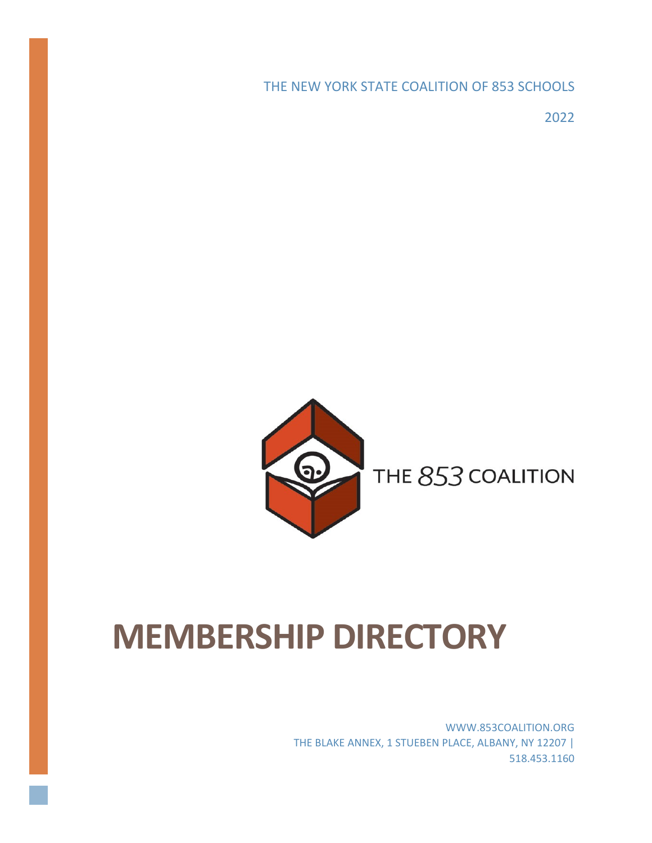THE NEW YORK STATE COALITION OF 853 SCHOOLS

2022



# THE 853 COALITION

# **MEMBERSHIP DIRECTORY**

WWW.853COALITION.ORG THE BLAKE ANNEX, 1 STUEBEN PLACE, ALBANY, NY 12207 | 518.453.1160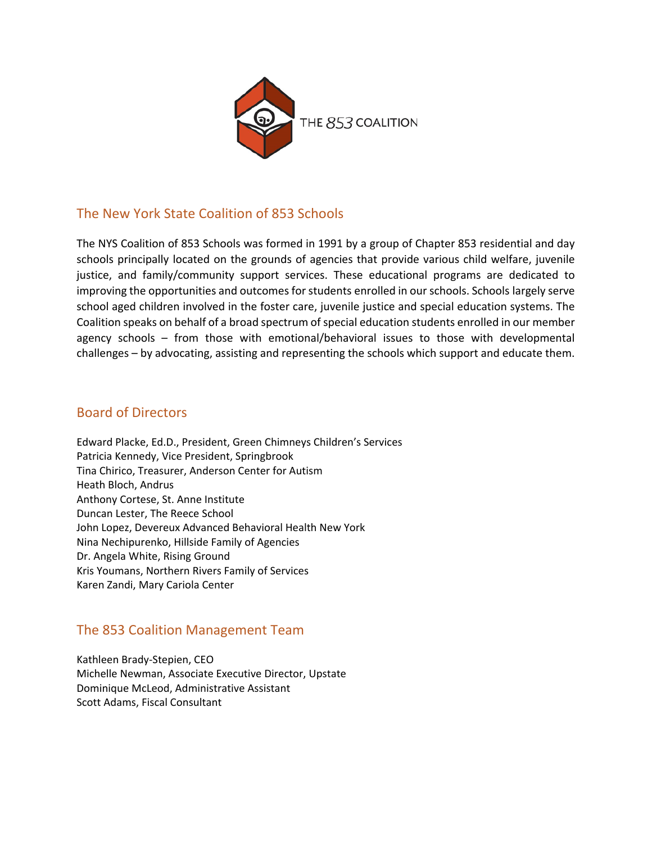

# The New York State Coalition of 853 Schools

The NYS Coalition of 853 Schools was formed in 1991 by a group of Chapter 853 residential and day schools principally located on the grounds of agencies that provide various child welfare, juvenile justice, and family/community support services. These educational programs are dedicated to improving the opportunities and outcomes for students enrolled in our schools. Schools largely serve school aged children involved in the foster care, juvenile justice and special education systems. The Coalition speaks on behalf of a broad spectrum of special education students enrolled in our member agency schools – from those with emotional/behavioral issues to those with developmental challenges – by advocating, assisting and representing the schools which support and educate them.

# Board of Directors

Edward Placke, Ed.D., President, Green Chimneys Children's Services Patricia Kennedy, Vice President, Springbrook Tina Chirico, Treasurer, Anderson Center for Autism Heath Bloch, Andrus Anthony Cortese, St. Anne Institute Duncan Lester, The Reece School John Lopez, Devereux Advanced Behavioral Health New York Nina Nechipurenko, Hillside Family of Agencies Dr. Angela White, Rising Ground Kris Youmans, Northern Rivers Family of Services Karen Zandi, Mary Cariola Center

# The 853 Coalition Management Team

Kathleen Brady-Stepien, CEO Michelle Newman, Associate Executive Director, Upstate Dominique McLeod, Administrative Assistant Scott Adams, Fiscal Consultant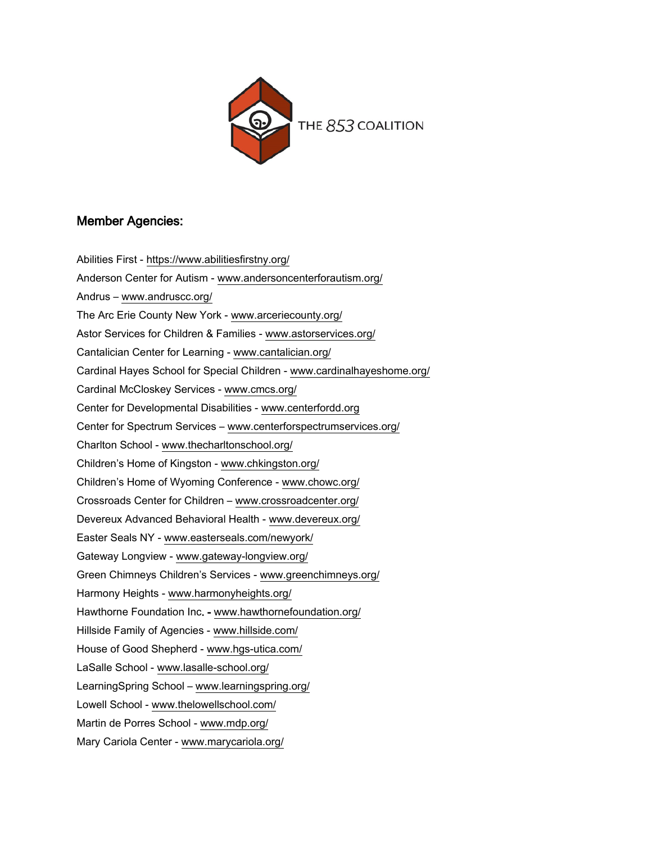

# Member Agencies:

Abilities First - <https://www.abilitiesfirstny.org/> Anderson Center for Autism - [www.andersoncenterforautism.org/](http://www.andersoncenterforautism.org/) Andrus – [www.andruscc.org/](http://www.andruscc.org/) The Arc Erie County New York - www.arceriecounty.org/ Astor Services for Children & Families - [www.astorservices.org/](http://www.astorservices.org/) Cantalician Center for Learning - [www.cantalician.org/](http://www.cantalician.org/) Cardinal Hayes School for Special Children - [www.cardinalhayeshome.org/](http://www.cardinalhayeshome.org/) Cardinal McCloskey Services - [www.cmcs.org/](http://www.cmcs.org/) Center for Developmental Disabilities - [www.centerfordd.org](http://www.centerfordd.org/) Center for Spectrum Services – [www.centerforspectrumservices.org/](http://www.centerforspectrumservices.org/) Charlton School - [www.thecharltonschool.org/](http://www.thecharltonschool.org/) Children's Home of Kingston - [www.chkingston.org/](http://www.chkingston.org/) Children's Home of Wyoming Conference - [www.chowc.org/](http://www.chowc.org/) Crossroads Center for Children – [www.crossroadcenter.org/](http://www.crossroadcenter.org/) Devereux Advanced Behavioral Health - [www.devereux.org/](http://www.devereux.org/) Easter Seals NY - [www.easterseals.com/newyork/](http://www.easterseals.com/newyork/) Gateway Longview - [www.gateway-longview.org/](http://www.gateway-longview.org/) Green Chimneys Children's Services - [www.greenchimneys.org/](http://www.greenchimneys.org/) Harmony Heights - [www.harmonyheights.org/](http://www.harmonyheights.org/) Hawthorne Foundation Inc. - [www.hawthornefoundation.org/](http://www.hawthornefoundation.org/) Hillside Family of Agencies - [www.hillside.com/](http://www.hillside.com/) House of Good Shepherd - [www.hgs-utica.com/](http://www.hgs-utica.com/) LaSalle School - [www.lasalle-school.org/](http://www.lasalle-school.org/) LearningSpring School – www.learningspring.org/ Lowell School - [www.thelowellschool.com/](http://www.thelowellschool.com/) Martin de Porres School - [www.mdp.org/](http://www.mdp.org/) Mary Cariola Center - [www.marycariola.org/](http://www.marycariola.org/)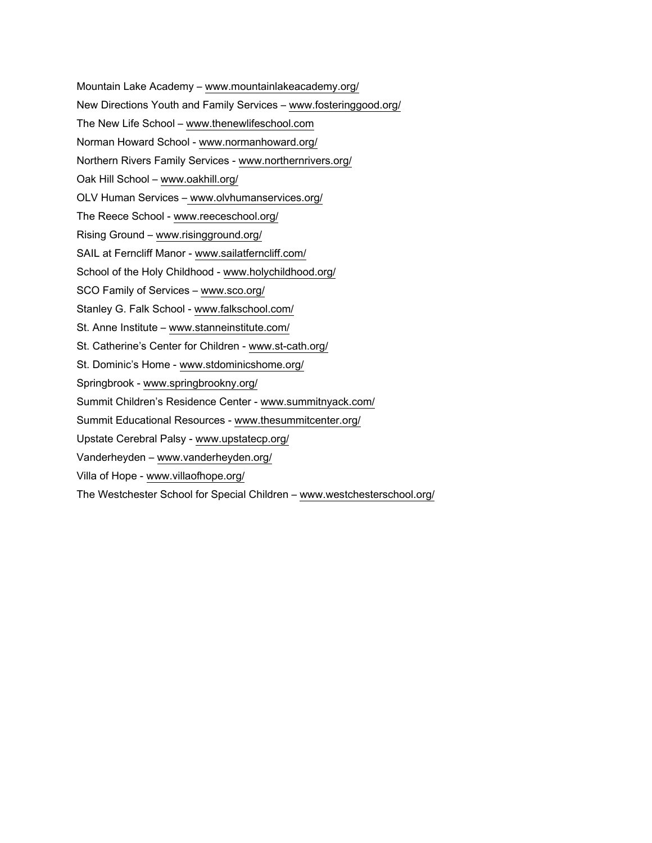- Mountain Lake Academy www.mountainlakeacademy.org/
- New Directions Youth and Family Services [www.fosteringgood.org/](http://www.fosteringgood.org/)
- The New Life School www.thenewlifeschool.com
- Norman Howard School [www.normanhoward.org/](http://www.normanhoward.org/)
- Northern Rivers Family Services [www.northernrivers.org/](http://www.northernrivers.org/)
- Oak Hill School [www.oakhill.org/](http://www.oakhill.org/)
- OLV Human Services www.olvhumanservices.org/
- The Reece School [www.reeceschool.org/](http://www.reeceschool.org/)
- Rising Ground www.risingground.org/
- SAIL at Ferncliff Manor [www.sailatferncliff.com/](http://www.sailatferncliff.com/)
- School of the Holy Childhood www.holychildhood.org/
- SCO Family of Services www[.sco.org/](http://sco.org/)
- Stanley G. Falk School [www.falkschool.com/](http://www.falkschool.com/)
- St. Anne Institute www[.stanneinstitute.com/](http://stanneinstitute.com/)
- St. Catherine's Center for Children [www.st-cath.org/](http://www.st-cath.org/)
- St. Dominic's Home [www.stdominicshome.org/](http://www.stdominicshome.org/)
- Springbrook [www.springbrookny.org/](http://www.springbrookny.org/)
- Summit Children's Residence Center [www.summitnyack.com/](http://www.summitnyack.com/)
- Summit Educational Resources [www.thesummitcenter.org/](http://www.thesummitcenter.org/)
- Upstate Cerebral Palsy [www.upstatecp.org/](http://www.upstatecp.org/)
- Vanderheyden [www.vanderheyden.org/](http://www.vanderheyden.org/)
- Villa of Hope [www.villaofhope.org/](http://www.villaofhope.org/)
- The Westchester School for Special Children [www.westchesterschool.org/](http://www.westchesterschool.org/)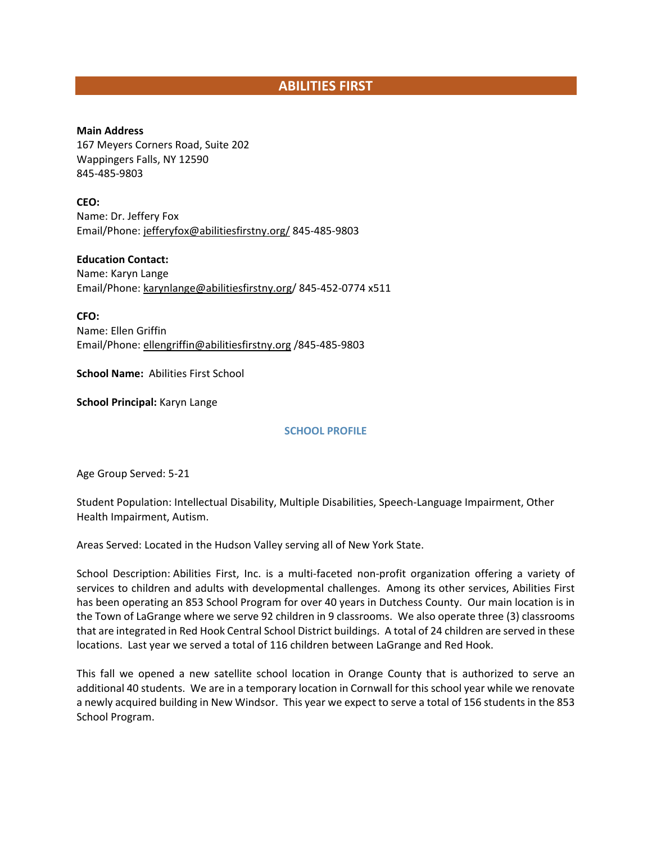# **ABILITIES FIRST**

**Main Address** 167 Meyers Corners Road, Suite 202 Wappingers Falls, NY 12590 845-485-9803

**CEO:** Name: Dr. Jeffery Fox Email/Phone: [jefferyfox@abilitiesfirstny.org/](mailto:jefferyfox@abilitiesfirstny.org/) 845-485-9803

**Education Contact:** Name: Karyn Lange Email/Phone: karynlange@abilitiesfirstny.org/ 845-452-0774 x511

**CFO:** Name: Ellen Griffin Email/Phone: [ellengriffin@abilitiesfirstny.org](mailto:ellengriffin@abilitiesfirstny.org) /845-485-9803

**School Name:** Abilities First School

**School Principal:** Karyn Lange

**SCHOOL PROFILE**

Age Group Served: 5-21

Student Population: Intellectual Disability, Multiple Disabilities, Speech-Language Impairment, Other Health Impairment, Autism.

Areas Served: Located in the Hudson Valley serving all of New York State.

School Description: Abilities First, Inc. is a multi-faceted non-profit organization offering a variety of services to children and adults with developmental challenges. Among its other services, Abilities First has been operating an 853 School Program for over 40 years in Dutchess County. Our main location is in the Town of LaGrange where we serve 92 children in 9 classrooms. We also operate three (3) classrooms that are integrated in Red Hook Central School District buildings. A total of 24 children are served in these locations. Last year we served a total of 116 children between LaGrange and Red Hook.

This fall we opened a new satellite school location in Orange County that is authorized to serve an additional 40 students. We are in a temporary location in Cornwall for this school year while we renovate a newly acquired building in New Windsor. This year we expect to serve a total of 156 students in the 853 School Program.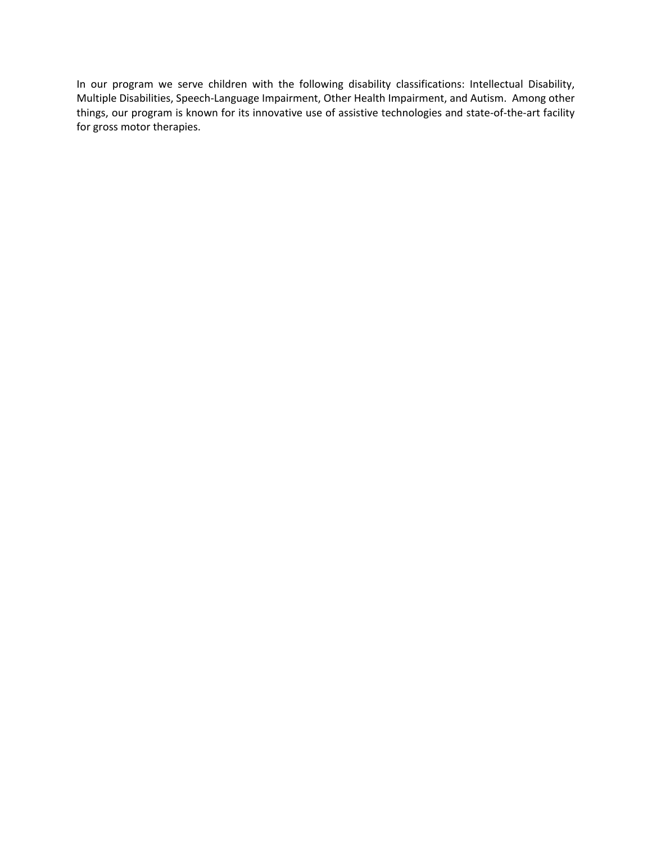In our program we serve children with the following disability classifications: Intellectual Disability, Multiple Disabilities, Speech-Language Impairment, Other Health Impairment, and Autism. Among other things, our program is known for its innovative use of assistive technologies and state-of-the-art facility for gross motor therapies.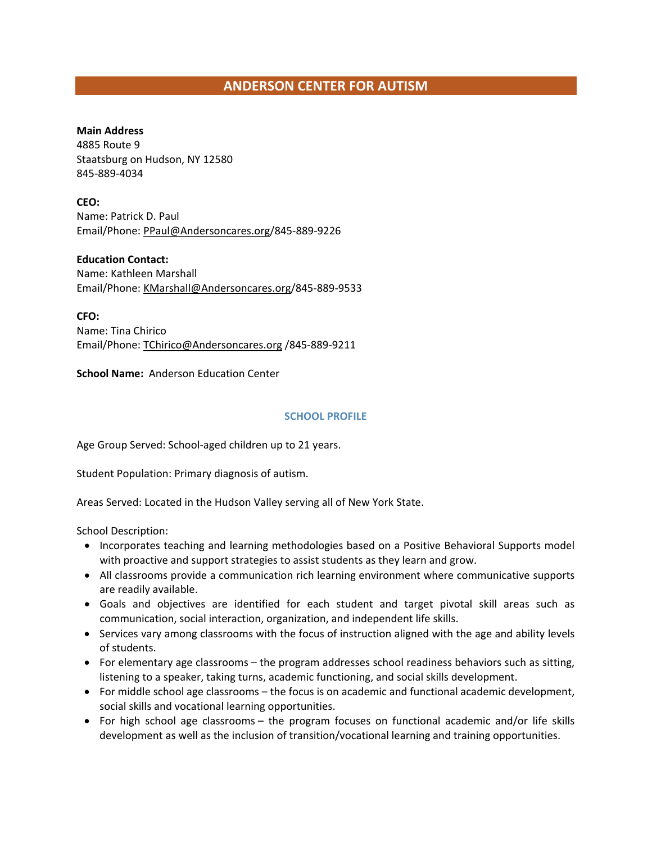# **ANDERSON CENTER FOR AUTISM**

#### **Main Address**

4885 Route 9 Staatsburg on Hudson, NY 12580 845-889-4034

**CEO:** Name: Patrick D. Paul

Email/Phone: PPaul@Andersoncares.org/845-889-9226

**Education Contact:**

Name: Kathleen Marshall Email/Phone: KMarshall@Andersoncares.org/845-889-9533

**CFO:** Name: Tina Chirico Email/Phone: [TChirico@Andersoncares.org](mailto:TChirico@Andersoncares.org) /845-889-9211

**School Name:** Anderson Education Center

#### **SCHOOL PROFILE**

Age Group Served: School-aged children up to 21 years.

Student Population: Primary diagnosis of autism.

Areas Served: Located in the Hudson Valley serving all of New York State.

School Description:

- Incorporates teaching and learning methodologies based on a Positive Behavioral Supports model with proactive and support strategies to assist students as they learn and grow.
- All classrooms provide a communication rich learning environment where communicative supports are readily available.
- Goals and objectives are identified for each student and target pivotal skill areas such as communication, social interaction, organization, and independent life skills.
- Services vary among classrooms with the focus of instruction aligned with the age and ability levels of students.
- For elementary age classrooms the program addresses school readiness behaviors such as sitting, listening to a speaker, taking turns, academic functioning, and social skills development.
- For middle school age classrooms the focus is on academic and functional academic development, social skills and vocational learning opportunities.
- For high school age classrooms the program focuses on functional academic and/or life skills development as well as the inclusion of transition/vocational learning and training opportunities.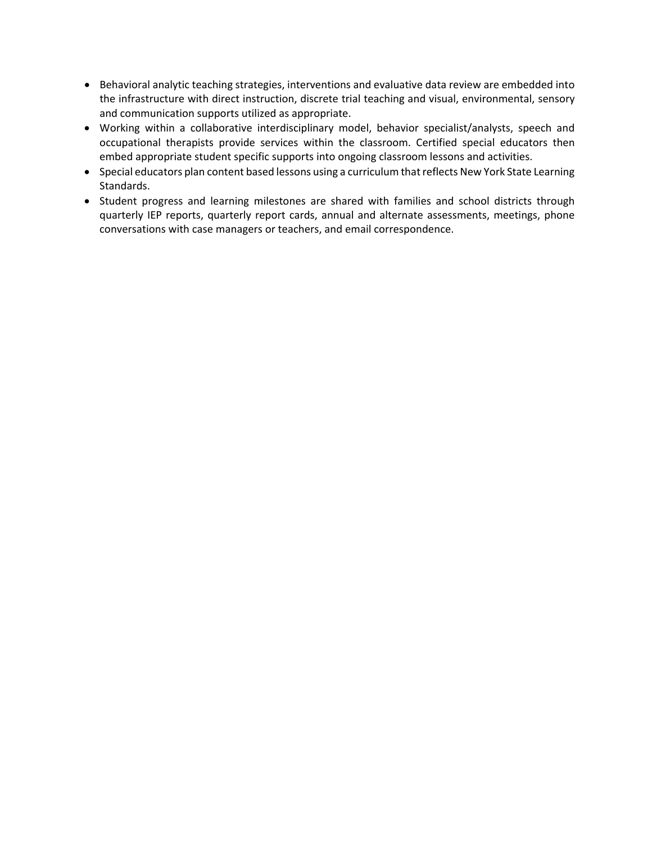- Behavioral analytic teaching strategies, interventions and evaluative data review are embedded into the infrastructure with direct instruction, discrete trial teaching and visual, environmental, sensory and communication supports utilized as appropriate.
- Working within a collaborative interdisciplinary model, behavior specialist/analysts, speech and occupational therapists provide services within the classroom. Certified special educators then embed appropriate student specific supports into ongoing classroom lessons and activities.
- Special educators plan content based lessons using a curriculum that reflects New York State Learning Standards.
- Student progress and learning milestones are shared with families and school districts through quarterly IEP reports, quarterly report cards, annual and alternate assessments, meetings, phone conversations with case managers or teachers, and email correspondence.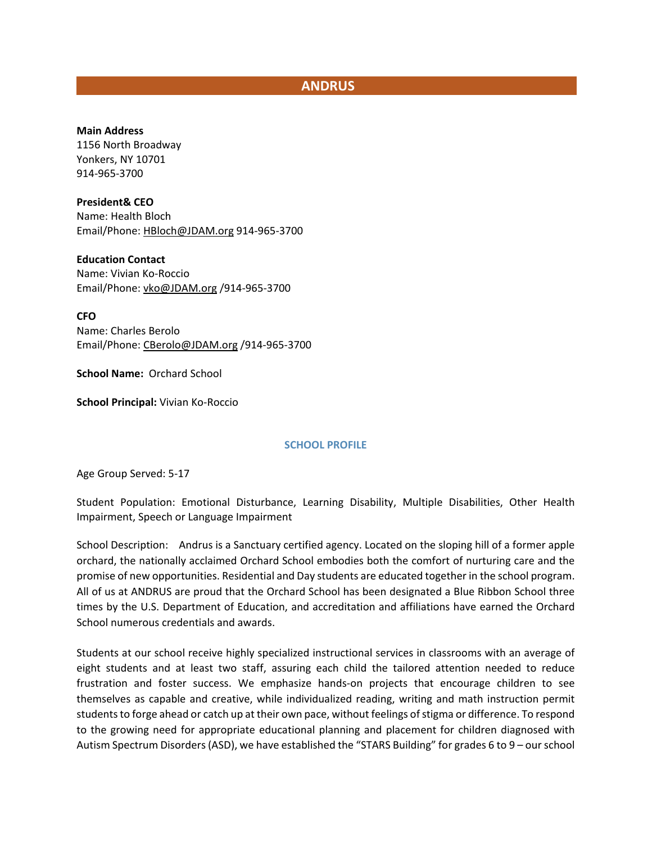# **ANDRUS**

#### **Main Address**

1156 North Broadway Yonkers, NY 10701 914-965-3700

#### **President& CEO**

Name: Health Bloch Email/Phone[: HBloch@JDAM.org](mailto:HBloch@JDAM.org) 914-965-3700

#### **Education Contact** Name: Vivian Ko-Roccio Email/Phone[: vko@JDAM.org](mailto:vko@JDAM.org) /914-965-3700

**CFO**

Name: Charles Berolo Email/Phone[: CBerolo@JDAM.org](mailto:CBerolo@JDAM.org) /914-965-3700

**School Name:** Orchard School

**School Principal:** Vivian Ko-Roccio

#### **SCHOOL PROFILE**

Age Group Served: 5-17

Student Population: Emotional Disturbance, Learning Disability, Multiple Disabilities, Other Health Impairment, Speech or Language Impairment

School Description: Andrus is a Sanctuary certified agency. Located on the sloping hill of a former apple orchard, the nationally acclaimed Orchard School embodies both the comfort of nurturing care and the promise of new opportunities. Residential and Day students are educated together in the school program. All of us at ANDRUS are proud that the Orchard School has been designated a Blue Ribbon School three times by the U.S. Department of Education, and accreditation and affiliations have earned the Orchard School numerous credentials and awards.

Students at our school receive highly specialized instructional services in classrooms with an average of eight students and at least two staff, assuring each child the tailored attention needed to reduce frustration and foster success. We emphasize hands-on projects that encourage children to see themselves as capable and creative, while individualized reading, writing and math instruction permit students to forge ahead or catch up at their own pace, without feelings of stigma or difference. To respond to the growing need for appropriate educational planning and placement for children diagnosed with Autism Spectrum Disorders (ASD), we have established the "STARS Building" for grades 6 to 9 – our school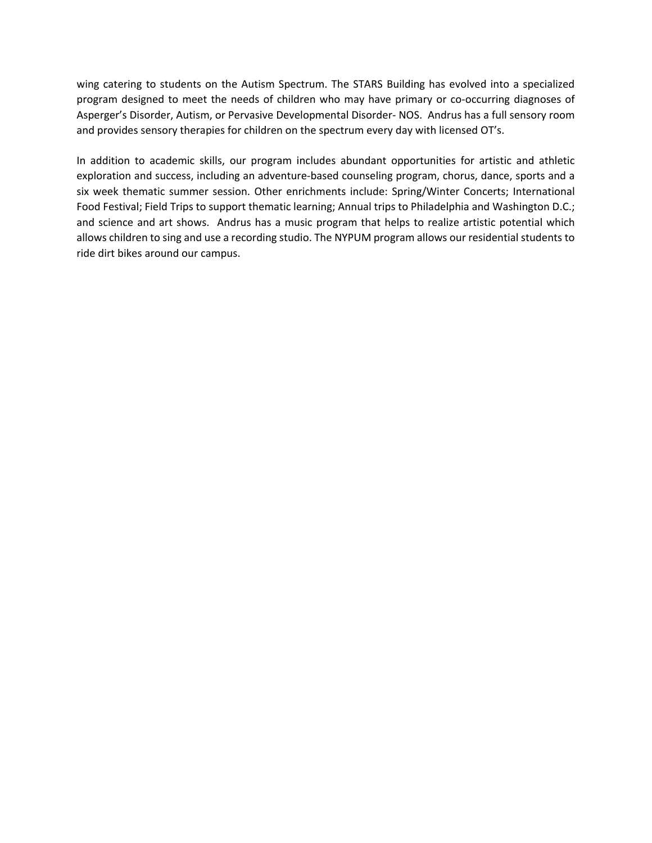wing catering to students on the Autism Spectrum. The STARS Building has evolved into a specialized program designed to meet the needs of children who may have primary or co-occurring diagnoses of Asperger's Disorder, Autism, or Pervasive Developmental Disorder- NOS. Andrus has a full sensory room and provides sensory therapies for children on the spectrum every day with licensed OT's.

In addition to academic skills, our program includes abundant opportunities for artistic and athletic exploration and success, including an adventure-based counseling program, chorus, dance, sports and a six week thematic summer session. Other enrichments include: Spring/Winter Concerts; International Food Festival; Field Trips to support thematic learning; Annual trips to Philadelphia and Washington D.C.; and science and art shows. Andrus has a music program that helps to realize artistic potential which allows children to sing and use a recording studio. The NYPUM program allows our residential students to ride dirt bikes around our campus.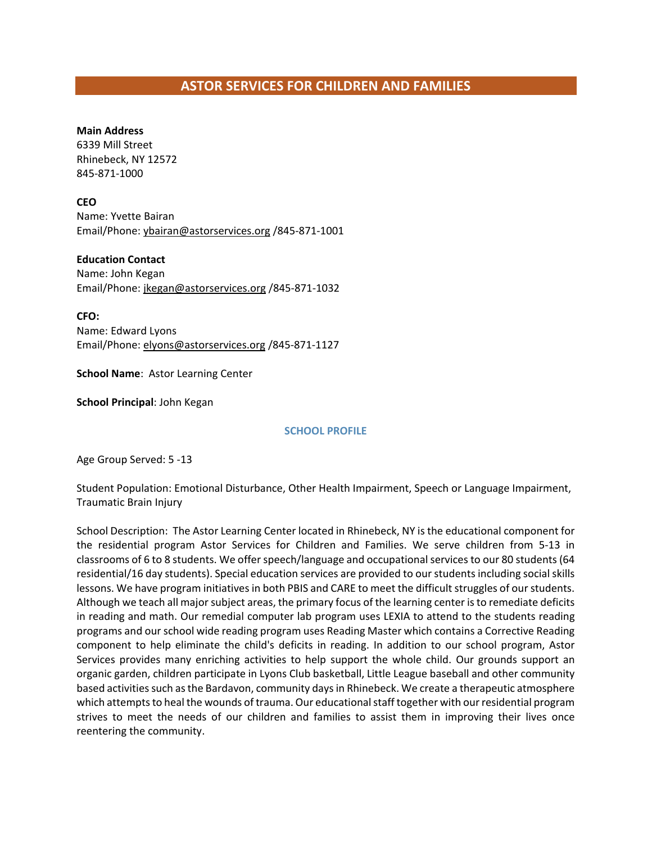# **ASTOR SERVICES FOR CHILDREN AND FAMILIES**

#### **Main Address**

6339 Mill Street Rhinebeck, NY 12572 845-871-1000

**CEO**

Name: Yvette Bairan Email/Phone[: ybairan@astorservices.org](file://DCFS01/USERS/dmcleod/853%20Coalition/Member%20Lists/ybairan@astorservices.org%20) /845-871-1001

**Education Contact**

Name: John Kegan Email/Phone[: jkegan@astorservices.org](mailto:jkegan@astorservices.org) /845-871-1032

**CFO:** Name: Edward Lyons Email/Phone[: elyons@astorservices.org](mailto:elyons@astorservices.org) /845-871-1127

**School Name**: Astor Learning Center

**School Principal**: John Kegan

#### **SCHOOL PROFILE**

Age Group Served: 5 -13

Student Population: Emotional Disturbance, Other Health Impairment, Speech or Language Impairment, Traumatic Brain Injury

School Description: The Astor Learning Center located in Rhinebeck, NY is the educational component for the residential program Astor Services for Children and Families. We serve children from 5-13 in classrooms of 6 to 8 students. We offer speech/language and occupational services to our 80 students (64 residential/16 day students). Special education services are provided to our students including social skills lessons. We have program initiatives in both PBIS and CARE to meet the difficult struggles of our students. Although we teach all major subject areas, the primary focus of the learning center is to remediate deficits in reading and math. Our remedial computer lab program uses LEXIA to attend to the students reading programs and our school wide reading program uses Reading Master which contains a Corrective Reading component to help eliminate the child's deficits in reading. In addition to our school program, Astor Services provides many enriching activities to help support the whole child. Our grounds support an organic garden, children participate in Lyons Club basketball, Little League baseball and other community based activities such as the Bardavon, community days in Rhinebeck. We create a therapeutic atmosphere which attempts to heal the wounds of trauma. Our educational staff together with our residential program strives to meet the needs of our children and families to assist them in improving their lives once reentering the community.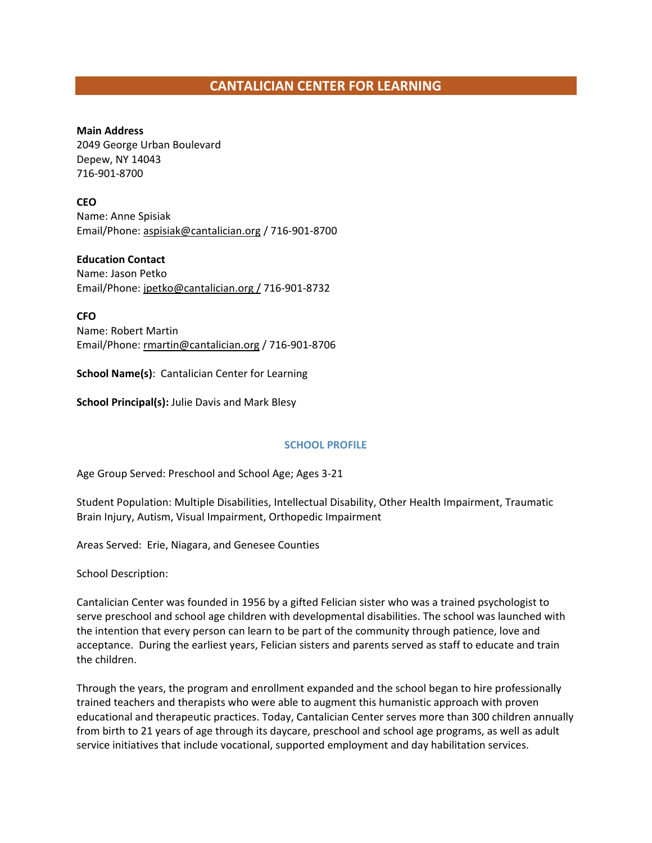# **CANTALICIAN CENTER FOR LEARNING**

**Main Address** 2049 George Urban Boulevard Depew, NY 14043 716-901-8700

**CEO**

Name: Anne Spisiak Email/Phone[: aspisiak@cantalician.org](mailto:aspisiak@cantalician.org) / 716-901-8700

**Education Contact**

Name: Jason Petko Email/Phone[: jpetko@cantalician.org](mailto:jpetko@cantalician.org) / 716-901-8732

**CFO** Name: Robert Martin Email/Phone[: rmartin@cantalician.org](mailto:rmartin@cantalician.org) / 716-901-8706

**School Name(s)**: Cantalician Center for Learning

**School Principal(s):** Julie Davis and Mark Blesy

#### **SCHOOL PROFILE**

Age Group Served: Preschool and School Age; Ages 3-21

Student Population: Multiple Disabilities, Intellectual Disability, Other Health Impairment, Traumatic Brain Injury, Autism, Visual Impairment, Orthopedic Impairment

Areas Served: Erie, Niagara, and Genesee Counties

School Description:

Cantalician Center was founded in 1956 by a gifted Felician sister who was a trained psychologist to serve preschool and school age children with developmental disabilities. The school was launched with the intention that every person can learn to be part of the community through patience, love and acceptance. During the earliest years, Felician sisters and parents served as staff to educate and train the children.

Through the years, the program and enrollment expanded and the school began to hire professionally trained teachers and therapists who were able to augment this humanistic approach with proven educational and therapeutic practices. Today, Cantalician Center serves more than 300 children annually from birth to 21 years of age through its daycare, preschool and school age programs, as well as adult service initiatives that include vocational, supported employment and day habilitation services.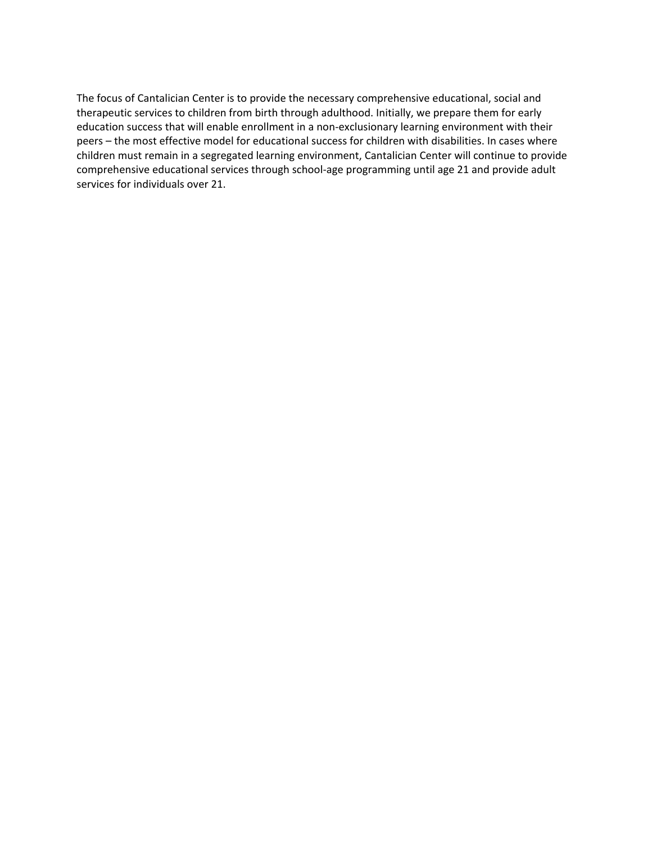The focus of Cantalician Center is to provide the necessary comprehensive educational, social and therapeutic services to children from birth through adulthood. Initially, we prepare them for early education success that will enable enrollment in a non-exclusionary learning environment with their peers – the most effective model for educational success for children with disabilities. In cases where children must remain in a segregated learning environment, Cantalician Center will continue to provide comprehensive educational services through school-age programming until age 21 and provide adult services for individuals over 21.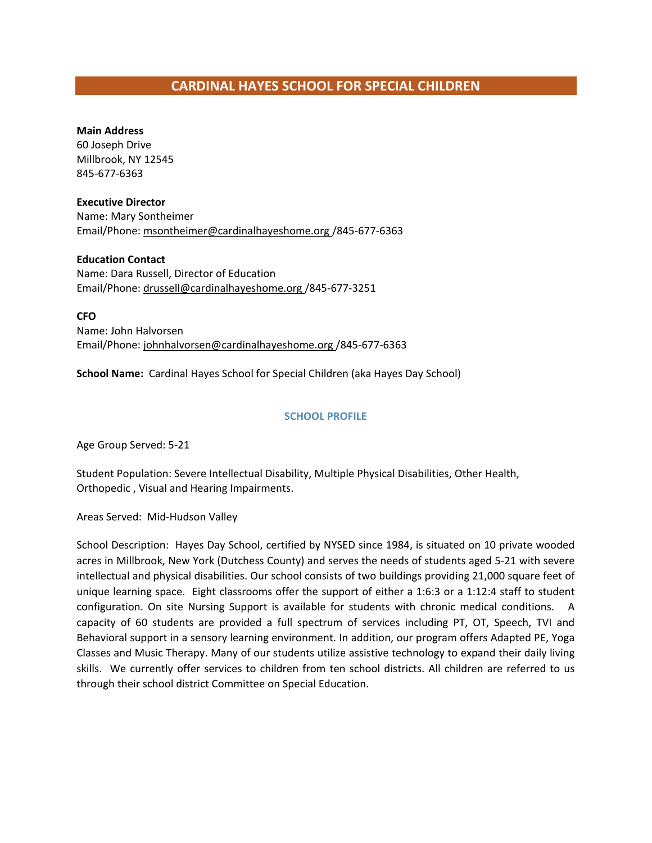# **CARDINAL HAYES SCHOOL FOR SPECIAL CHILDREN**

#### **Main Address**

60 Joseph Drive Millbrook, NY 12545 845-677-6363

#### **Executive Director**

Name: Mary Sontheimer Email/Phone: [msontheimer@cardinalhayeshome.org](mailto:msontheimer@cardinalhayeshome.org) /845-677-6363

#### **Education Contact** Name: Dara Russell, Director of Education Email/Phone[: drussell@cardinalhayeshome.org](mailto:drussell@cardinalhayeshome.org) /845-677-3251

**CFO** Name: John Halvorsen Email/Phone[: johnhalvorsen@cardinalhayeshome.org](mailto:johnhalvorsen@cardinalhayeshome.org) /845-677-6363

**School Name:** Cardinal Hayes School for Special Children (aka Hayes Day School)

#### **SCHOOL PROFILE**

Age Group Served: 5-21

Student Population: Severe Intellectual Disability, Multiple Physical Disabilities, Other Health, Orthopedic , Visual and Hearing Impairments.

Areas Served: Mid-Hudson Valley

School Description: Hayes Day School, certified by NYSED since 1984, is situated on 10 private wooded acres in Millbrook, New York (Dutchess County) and serves the needs of students aged 5-21 with severe intellectual and physical disabilities. Our school consists of two buildings providing 21,000 square feet of unique learning space. Eight classrooms offer the support of either a 1:6:3 or a 1:12:4 staff to student configuration. On site Nursing Support is available for students with chronic medical conditions. A capacity of 60 students are provided a full spectrum of services including PT, OT, Speech, TVI and Behavioral support in a sensory learning environment. In addition, our program offers Adapted PE, Yoga Classes and Music Therapy. Many of our students utilize assistive technology to expand their daily living skills. We currently offer services to children from ten school districts. All children are referred to us through their school district Committee on Special Education.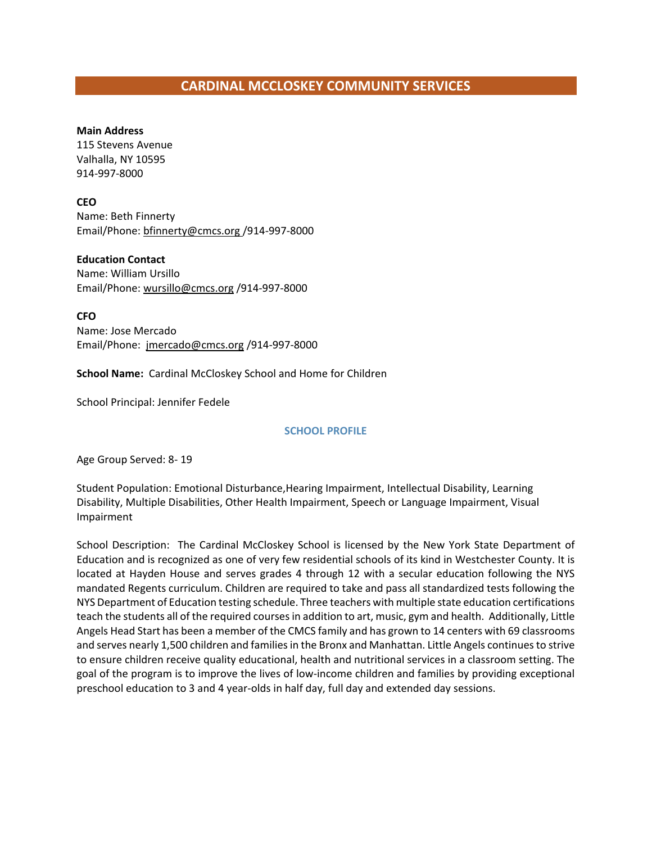# **CARDINAL MCCLOSKEY COMMUNITY SERVICES**

#### **Main Address**

115 Stevens Avenue Valhalla, NY 10595 914-997-8000

#### **CEO**

Name: Beth Finnerty Email/Phone: bfinnerty@cmcs.org /914-997-8000

#### **Education Contact**

Name: William Ursillo Email/Phone: wursillo@cmcs.org /914-997-8000

**CFO** Name: Jose Mercado Email/Phone: jmercado@cmcs.org /914-997-8000

**School Name:** Cardinal McCloskey School and Home for Children

School Principal: Jennifer Fedele

#### **SCHOOL PROFILE**

Age Group Served: 8- 19

Student Population: Emotional Disturbance,Hearing Impairment, Intellectual Disability, Learning Disability, Multiple Disabilities, Other Health Impairment, Speech or Language Impairment, Visual Impairment

School Description: The Cardinal McCloskey School is licensed by the New York State Department of Education and is recognized as one of very few residential schools of its kind in Westchester County. It is located at Hayden House and serves grades 4 through 12 with a secular education following the NYS mandated Regents curriculum. Children are required to take and pass all standardized tests following the NYS Department of Education testing schedule. Three teachers with multiple state education certifications teach the students all of the required courses in addition to art, music, gym and health. Additionally, Little Angels Head Start has been a member of the CMCS family and has grown to 14 centers with 69 classrooms and serves nearly 1,500 children and families in the Bronx and Manhattan. Little Angels continues to strive to ensure children receive quality educational, health and nutritional services in a classroom setting. The goal of the program is to improve the lives of low-income children and families by providing exceptional preschool education to 3 and 4 year-olds in half day, full day and extended day sessions.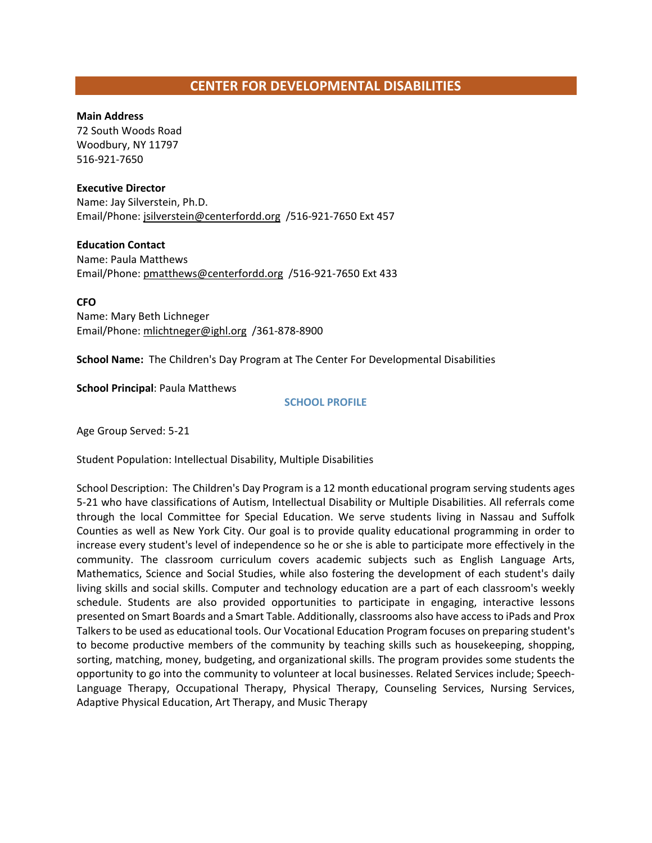# **CENTER FOR DEVELOPMENTAL DISABILITIES**

#### **Main Address**

72 South Woods Road Woodbury, NY 11797 516-921-7650

#### **Executive Director**

Name: Jay Silverstein, Ph.D. Email/Phone[: jsilverstein@centerfordd.org](mailto:jsilverstein@centerfordd.org) /516-921-7650 Ext 457

#### **Education Contact** Name: Paula Matthews Email/Phone[: pmatthews@centerfordd.org](mailto:pmatthews@centerfordd.org) /516-921-7650 Ext 433

**CFO** Name: Mary Beth Lichneger Email/Phone[: mlichtneger@ighl.org](mailto:mlichtneger@ighl.org) /361-878-8900

**School Name:** The Children's Day Program at The Center For Developmental Disabilities

#### **School Principal**: Paula Matthews

#### **SCHOOL PROFILE**

Age Group Served: 5-21

Student Population: Intellectual Disability, Multiple Disabilities

School Description: The Children's Day Program is a 12 month educational program serving students ages 5-21 who have classifications of Autism, Intellectual Disability or Multiple Disabilities. All referrals come through the local Committee for Special Education. We serve students living in Nassau and Suffolk Counties as well as New York City. Our goal is to provide quality educational programming in order to increase every student's level of independence so he or she is able to participate more effectively in the community. The classroom curriculum covers academic subjects such as English Language Arts, Mathematics, Science and Social Studies, while also fostering the development of each student's daily living skills and social skills. Computer and technology education are a part of each classroom's weekly schedule. Students are also provided opportunities to participate in engaging, interactive lessons presented on Smart Boards and a Smart Table. Additionally, classrooms also have access to iPads and Prox Talkers to be used as educational tools. Our Vocational Education Program focuses on preparing student's to become productive members of the community by teaching skills such as housekeeping, shopping, sorting, matching, money, budgeting, and organizational skills. The program provides some students the opportunity to go into the community to volunteer at local businesses. Related Services include; Speech-Language Therapy, Occupational Therapy, Physical Therapy, Counseling Services, Nursing Services, Adaptive Physical Education, Art Therapy, and Music Therapy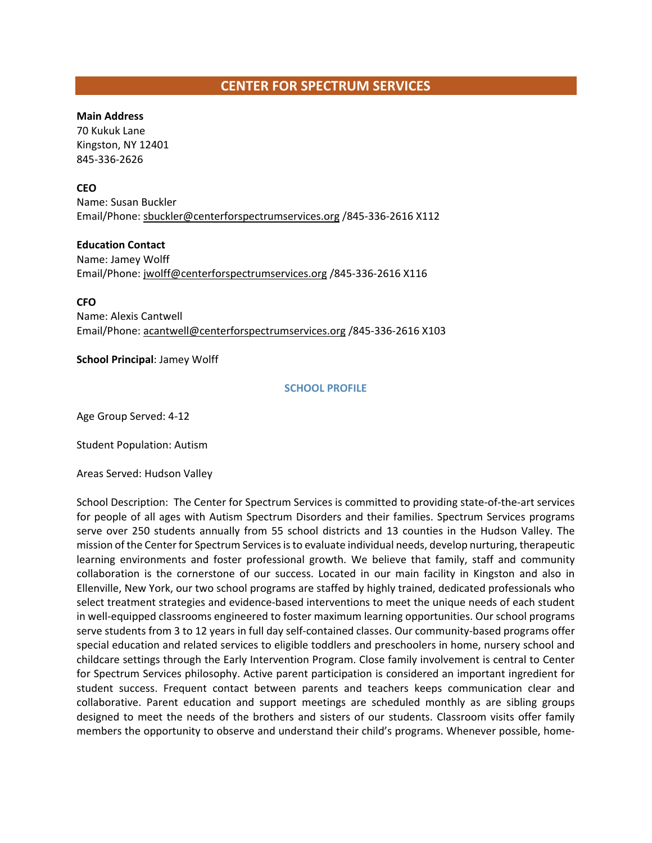# **CENTER FOR SPECTRUM SERVICES**

#### **Main Address**

70 Kukuk Lane Kingston, NY 12401 845-336-2626

#### **CEO**

Name: Susan Buckler Email/Phone[: sbuckler@centerforspectrumservices.org](mailto:sbuckler@centerforspectrumservices.org) /845-336-2616 X112

**Education Contact** Name: Jamey Wolff Email/Phone[: jwolff@centerforspectrumservices.org](mailto:jwolff@centerforspectrumservices.org) /845-336-2616 X116

**CFO** Name: Alexis Cantwell Email/Phone[: acantwell@centerforspectrumservices.org](mailto:acantwell@centerforspectrumservices.org) /845-336-2616 X103

#### **School Principal**: Jamey Wolff

#### **SCHOOL PROFILE**

Age Group Served: 4-12

Student Population: Autism

Areas Served: Hudson Valley

School Description: The Center for Spectrum Services is committed to providing state-of-the-art services for people of all ages with Autism Spectrum Disorders and their families. Spectrum Services programs serve over 250 students annually from 55 school districts and 13 counties in the Hudson Valley. The mission of the Center for Spectrum Services is to evaluate individual needs, develop nurturing, therapeutic learning environments and foster professional growth. We believe that family, staff and community collaboration is the cornerstone of our success. Located in our main facility in Kingston and also in Ellenville, New York, our two school programs are staffed by highly trained, dedicated professionals who select treatment strategies and evidence-based interventions to meet the unique needs of each student in well-equipped classrooms engineered to foster maximum learning opportunities. Our school programs serve students from 3 to 12 years in full day self-contained classes. Our community-based programs offer special education and related services to eligible toddlers and preschoolers in home, nursery school and childcare settings through the Early Intervention Program. Close family involvement is central to Center for Spectrum Services philosophy. Active parent participation is considered an important ingredient for student success. Frequent contact between parents and teachers keeps communication clear and collaborative. Parent education and support meetings are scheduled monthly as are sibling groups designed to meet the needs of the brothers and sisters of our students. Classroom visits offer family members the opportunity to observe and understand their child's programs. Whenever possible, home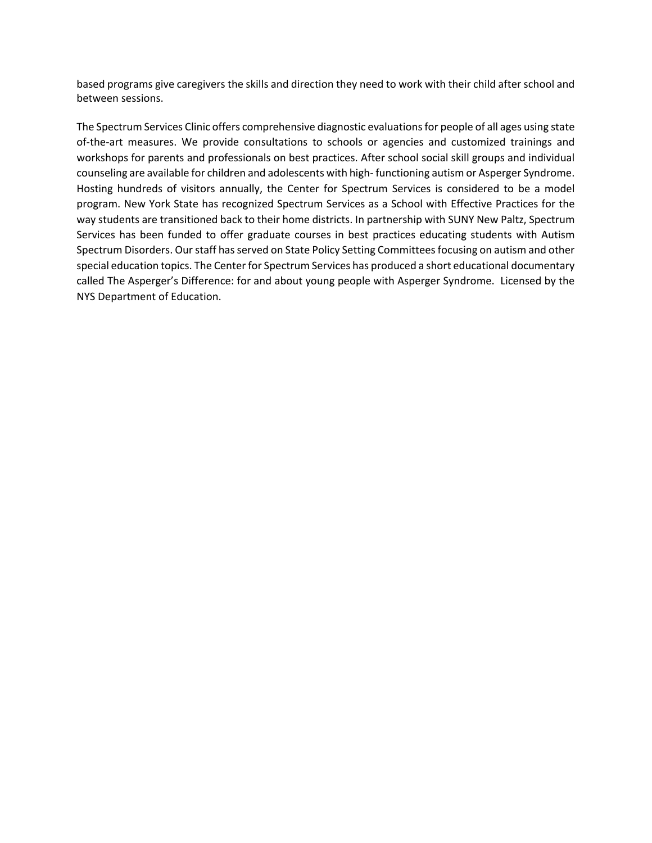based programs give caregivers the skills and direction they need to work with their child after school and between sessions.

The Spectrum Services Clinic offers comprehensive diagnostic evaluations for people of all ages using state of-the-art measures. We provide consultations to schools or agencies and customized trainings and workshops for parents and professionals on best practices. After school social skill groups and individual counseling are available for children and adolescents with high- functioning autism or Asperger Syndrome. Hosting hundreds of visitors annually, the Center for Spectrum Services is considered to be a model program. New York State has recognized Spectrum Services as a School with Effective Practices for the way students are transitioned back to their home districts. In partnership with SUNY New Paltz, Spectrum Services has been funded to offer graduate courses in best practices educating students with Autism Spectrum Disorders. Our staff has served on State Policy Setting Committees focusing on autism and other special education topics. The Center for Spectrum Services has produced a short educational documentary called The Asperger's Difference: for and about young people with Asperger Syndrome. Licensed by the NYS Department of Education.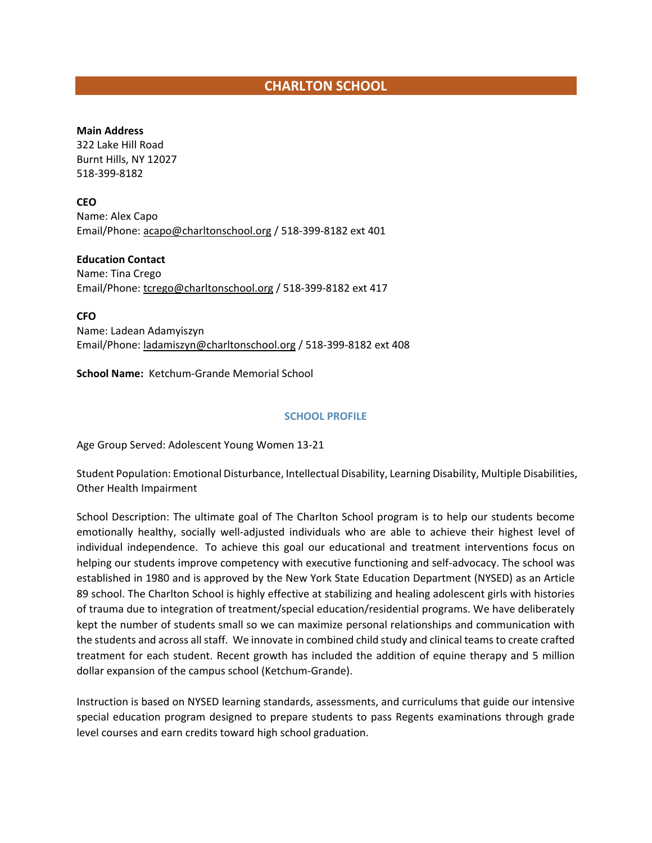# **CHARLTON SCHOOL**

#### **Main Address**

322 Lake Hill Road Burnt Hills, NY 12027 518-399-8182

**CEO**

Name: Alex Capo Email/Phone: acapo@charltonschool.org / 518-399-8182 ext 401

**Education Contact**

Name: Tina Crego Email/Phone[: tcrego@charltonschool.org](mailto:tcrego@charltonschool.org) / 518-399-8182 ext 417

**CFO**

Name: Ladean Adamyiszyn Email/Phone[: ladamiszyn@charltonschool.org](mailto:ladamiszyn@charltonschool.org) / 518-399-8182 ext 408

**School Name:** Ketchum-Grande Memorial School

#### **SCHOOL PROFILE**

Age Group Served: Adolescent Young Women 13-21

Student Population: Emotional Disturbance, Intellectual Disability, Learning Disability, Multiple Disabilities, Other Health Impairment

School Description: The ultimate goal of The Charlton School program is to help our students become emotionally healthy, socially well-adjusted individuals who are able to achieve their highest level of individual independence. To achieve this goal our educational and treatment interventions focus on helping our students improve competency with executive functioning and self-advocacy. The school was established in 1980 and is approved by the New York State Education Department (NYSED) as an Article 89 school. The Charlton School is highly effective at stabilizing and healing adolescent girls with histories of trauma due to integration of treatment/special education/residential programs. We have deliberately kept the number of students small so we can maximize personal relationships and communication with the students and across all staff. We innovate in combined child study and clinical teams to create crafted treatment for each student. Recent growth has included the addition of equine therapy and 5 million dollar expansion of the campus school (Ketchum-Grande).

Instruction is based on NYSED learning standards, assessments, and curriculums that guide our intensive special education program designed to prepare students to pass Regents examinations through grade level courses and earn credits toward high school graduation.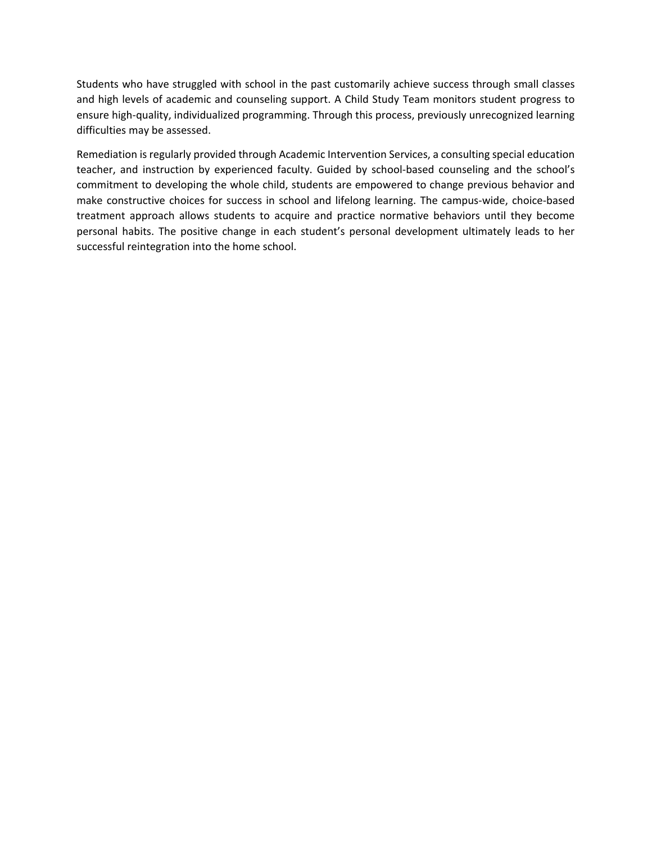Students who have struggled with school in the past customarily achieve success through small classes and high levels of academic and counseling support. A Child Study Team monitors student progress to ensure high-quality, individualized programming. Through this process, previously unrecognized learning difficulties may be assessed.

Remediation is regularly provided through Academic Intervention Services, a consulting special education teacher, and instruction by experienced faculty. Guided by school-based counseling and the school's commitment to developing the whole child, students are empowered to change previous behavior and make constructive choices for success in school and lifelong learning. The campus-wide, choice-based treatment approach allows students to acquire and practice normative behaviors until they become personal habits. The positive change in each student's personal development ultimately leads to her successful reintegration into the home school.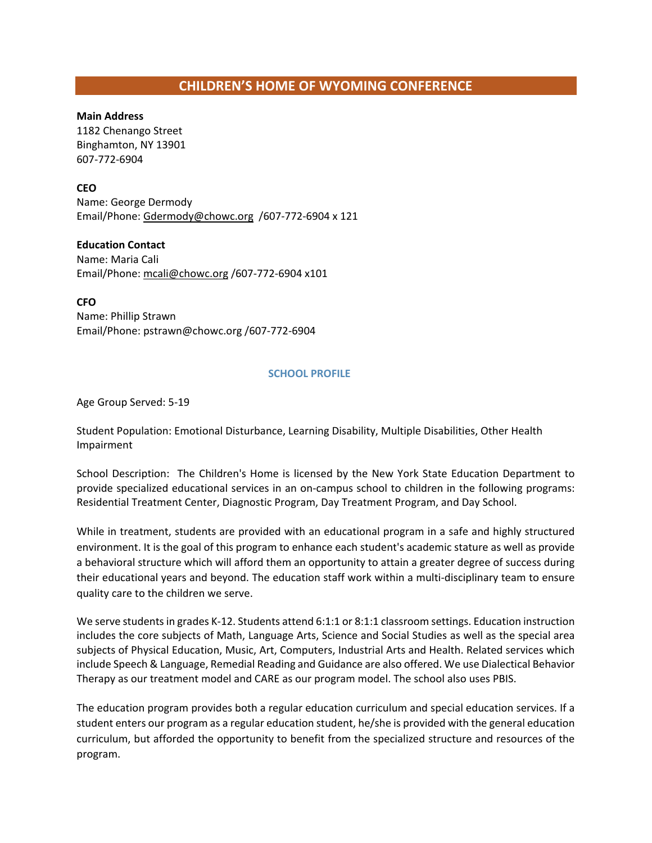# **CHILDREN'S HOME OF WYOMING CONFERENCE**

#### **Main Address**

1182 Chenango Street Binghamton, NY 13901 607-772-6904

#### **CEO**

Name: George Dermody Email/Phone[: Gdermody@chowc.org](mailto:Gdermody@chowc.org) /607-772-6904 x 121

#### **Education Contact**

Name: Maria Cali Email/Phone[: mcali@chowc.org](mailto:mcali@chowc.org) /607-772-6904 x101

**CFO**

Name: Phillip Strawn Email/Phone: pstrawn@chowc.org /607-772-6904

#### **SCHOOL PROFILE**

Age Group Served: 5-19

Student Population: Emotional Disturbance, Learning Disability, Multiple Disabilities, Other Health Impairment

School Description: The Children's Home is licensed by the New York State Education Department to provide specialized educational services in an on-campus school to children in the following programs: Residential Treatment Center, Diagnostic Program, Day Treatment Program, and Day School.

While in treatment, students are provided with an educational program in a safe and highly structured environment. It is the goal of this program to enhance each student's academic stature as well as provide a behavioral structure which will afford them an opportunity to attain a greater degree of success during their educational years and beyond. The education staff work within a multi-disciplinary team to ensure quality care to the children we serve.

We serve students in grades K-12. Students attend 6:1:1 or 8:1:1 classroom settings. Education instruction includes the core subjects of Math, Language Arts, Science and Social Studies as well as the special area subjects of Physical Education, Music, Art, Computers, Industrial Arts and Health. Related services which include Speech & Language, Remedial Reading and Guidance are also offered. We use Dialectical Behavior Therapy as our treatment model and CARE as our program model. The school also uses PBIS.

The education program provides both a regular education curriculum and special education services. If a student enters our program as a regular education student, he/she is provided with the general education curriculum, but afforded the opportunity to benefit from the specialized structure and resources of the program.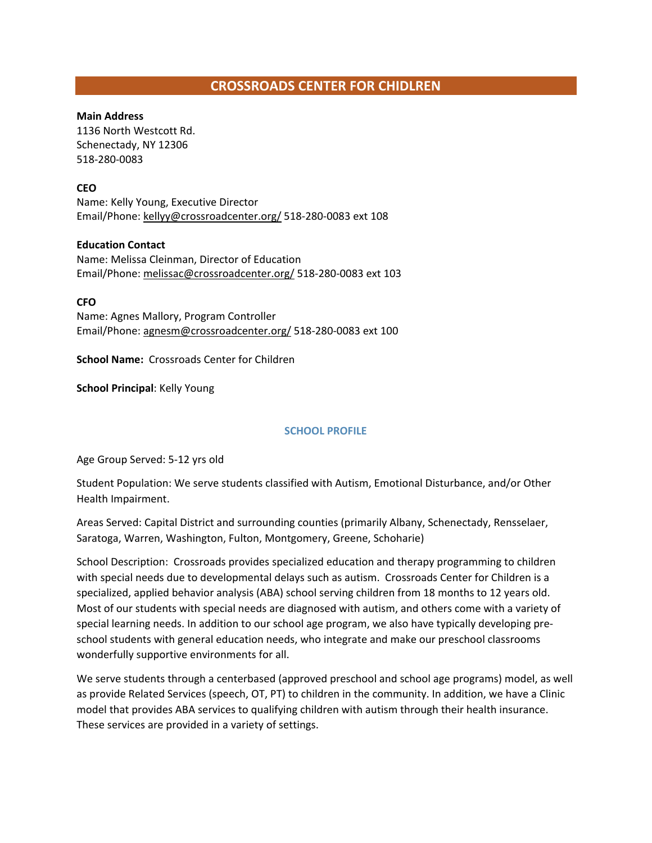# **CROSSROADS CENTER FOR CHIDLREN**

#### **Main Address**

1136 North Westcott Rd. Schenectady, NY 12306 518-280-0083

#### **CEO**

Name: Kelly Young, Executive Director Email/Phone: [kellyy@crossroadcenter.org/](mailto:kellyy@crossroadcenter.org/) 518-280-0083 ext 108

#### **Education Contact**

Name: Melissa Cleinman, Director of Education Email/Phone: [melissac@crossroadcenter.org/](mailto:melissac@crossroadcenter.org/) 518-280-0083 ext 103

#### **CFO**

Name: Agnes Mallory, Program Controller Email/Phone[: agnesm@crossroadcenter.org/](mailto:agnesm@crossroadcenter.org/) 518-280-0083 ext 100

**School Name:** Crossroads Center for Children

**School Principal**: Kelly Young

#### **SCHOOL PROFILE**

Age Group Served: 5-12 yrs old

Student Population: We serve students classified with Autism, Emotional Disturbance, and/or Other Health Impairment.

Areas Served: Capital District and surrounding counties (primarily Albany, Schenectady, Rensselaer, Saratoga, Warren, Washington, Fulton, Montgomery, Greene, Schoharie)

School Description: Crossroads provides specialized education and therapy programming to children with special needs due to developmental delays such as autism. Crossroads Center for Children is a specialized, applied behavior analysis (ABA) school serving children from 18 months to 12 years old. Most of our students with special needs are diagnosed with autism, and others come with a variety of special learning needs. In addition to our school age program, we also have typically developing preschool students with general education needs, who integrate and make our preschool classrooms wonderfully supportive environments for all.

We serve students through a centerbased (approved preschool and school age programs) model, as well as provide Related Services (speech, OT, PT) to children in the community. In addition, we have a Clinic model that provides ABA services to qualifying children with autism through their health insurance. These services are provided in a variety of settings.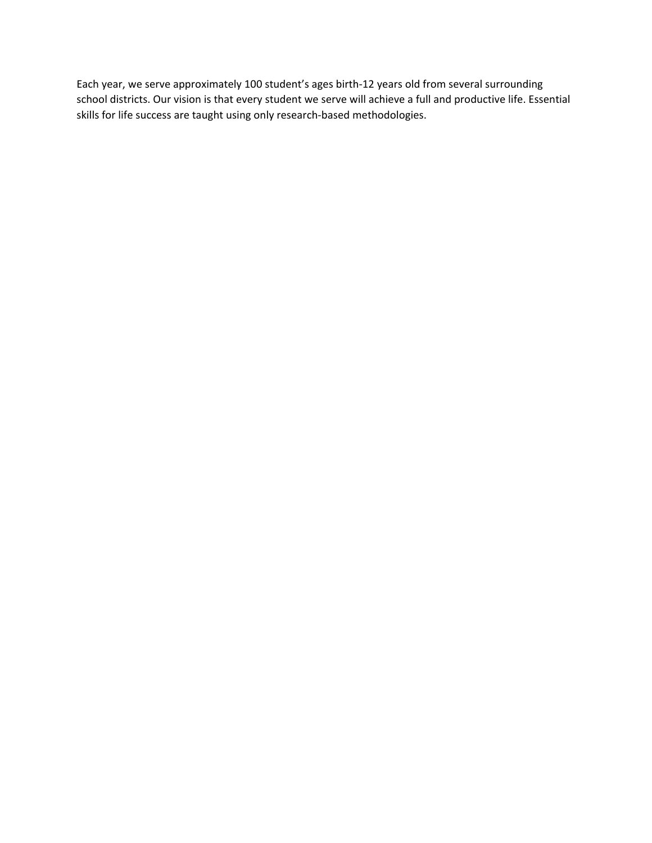Each year, we serve approximately 100 student's ages birth-12 years old from several surrounding school districts. Our vision is that every student we serve will achieve a full and productive life. Essential skills for life success are taught using only research-based methodologies.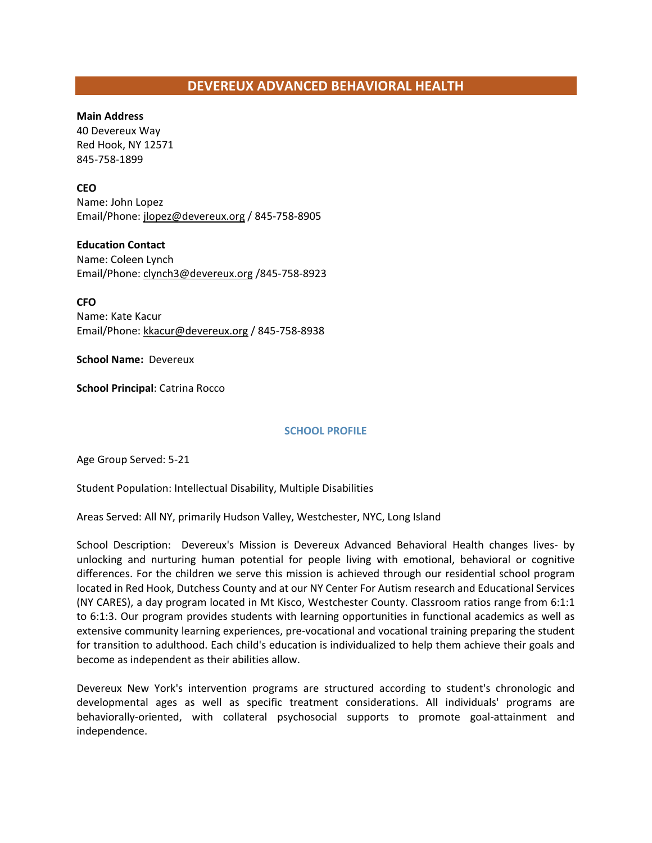# **DEVEREUX ADVANCED BEHAVIORAL HEALTH**

#### **Main Address**

40 Devereux Way Red Hook, NY 12571 845-758-1899

#### **CEO**

Name: John Lopez Email/Phone: jlopez@devereux.org / 845-758-8905

#### **Education Contact**

Name: Coleen Lynch Email/Phone: clynch3@devereux.org /845-758-8923

#### **CFO**

Name: Kate Kacur Email/Phone[: kkacur@devereux.org](mailto:kkacur@devereux.org) / 845-758-8938

#### **School Name:** Devereux

**School Principal**: Catrina Rocco

#### **SCHOOL PROFILE**

Age Group Served: 5-21

Student Population: Intellectual Disability, Multiple Disabilities

Areas Served: All NY, primarily Hudson Valley, Westchester, NYC, Long Island

School Description: Devereux's Mission is Devereux Advanced Behavioral Health changes lives- by unlocking and nurturing human potential for people living with emotional, behavioral or cognitive differences. For the children we serve this mission is achieved through our residential school program located in Red Hook, Dutchess County and at our NY Center For Autism research and Educational Services (NY CARES), a day program located in Mt Kisco, Westchester County. Classroom ratios range from 6:1:1 to 6:1:3. Our program provides students with learning opportunities in functional academics as well as extensive community learning experiences, pre-vocational and vocational training preparing the student for transition to adulthood. Each child's education is individualized to help them achieve their goals and become as independent as their abilities allow.

Devereux New York's intervention programs are structured according to student's chronologic and developmental ages as well as specific treatment considerations. All individuals' programs are behaviorally-oriented, with collateral psychosocial supports to promote goal-attainment and independence.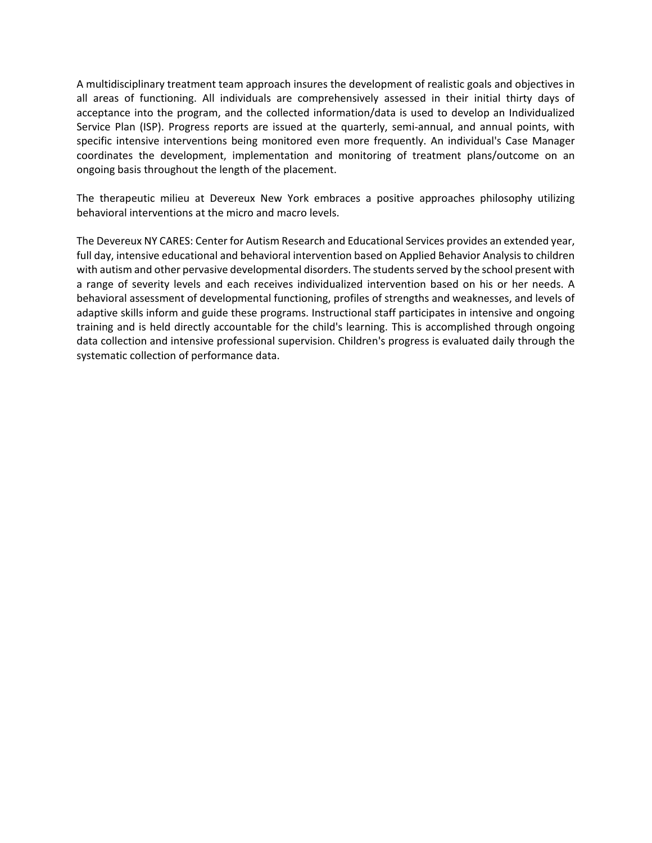A multidisciplinary treatment team approach insures the development of realistic goals and objectives in all areas of functioning. All individuals are comprehensively assessed in their initial thirty days of acceptance into the program, and the collected information/data is used to develop an Individualized Service Plan (ISP). Progress reports are issued at the quarterly, semi-annual, and annual points, with specific intensive interventions being monitored even more frequently. An individual's Case Manager coordinates the development, implementation and monitoring of treatment plans/outcome on an ongoing basis throughout the length of the placement.

The therapeutic milieu at Devereux New York embraces a positive approaches philosophy utilizing behavioral interventions at the micro and macro levels.

The Devereux NY CARES: Center for Autism Research and Educational Services provides an extended year, full day, intensive educational and behavioral intervention based on Applied Behavior Analysis to children with autism and other pervasive developmental disorders. The students served by the school present with a range of severity levels and each receives individualized intervention based on his or her needs. A behavioral assessment of developmental functioning, profiles of strengths and weaknesses, and levels of adaptive skills inform and guide these programs. Instructional staff participates in intensive and ongoing training and is held directly accountable for the child's learning. This is accomplished through ongoing data collection and intensive professional supervision. Children's progress is evaluated daily through the systematic collection of performance data.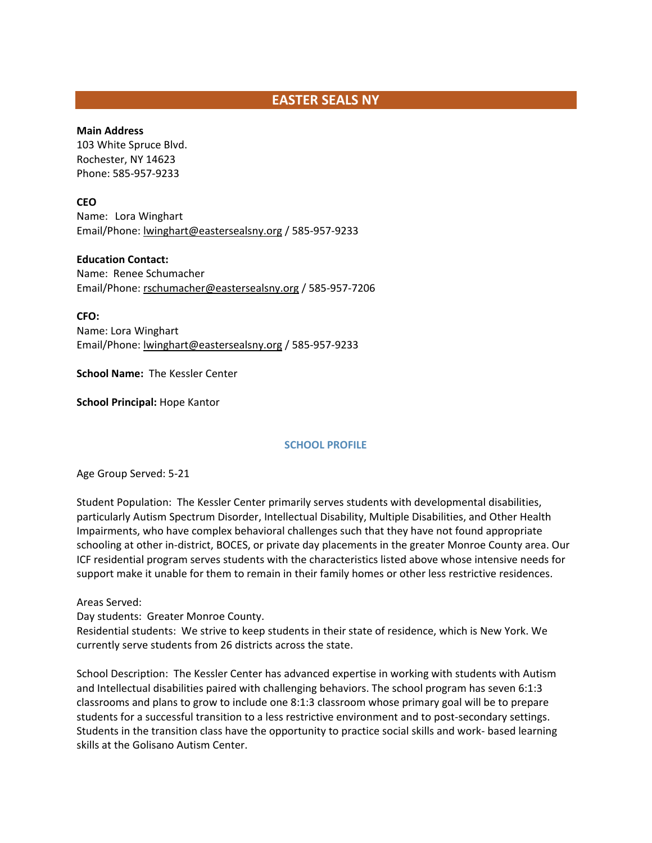# **EASTER SEALS NY**

#### **Main Address**

103 White Spruce Blvd. Rochester, NY 14623 Phone: 585-957-9233

#### **CEO**

Name: Lora Winghart Email/Phone: [lwinghart@eastersealsny.org](mailto:lwinghart@eastersealsny.org) / 585-957-9233

#### **Education Contact:**

Name: Renee Schumacher Email/Phone: [rschumacher@eastersealsny.org](mailto:rschumacher@eastersealsny.org) / 585-957-7206

**CFO:**

Name: Lora Winghart Email/Phone: [lwinghart@eastersealsny.org](mailto:lwinghart@eastersealsny.org) / 585-957-9233

**School Name:** The Kessler Center

**School Principal:** Hope Kantor

#### **SCHOOL PROFILE**

Age Group Served: 5-21

Student Population: The Kessler Center primarily serves students with developmental disabilities, particularly Autism Spectrum Disorder, Intellectual Disability, Multiple Disabilities, and Other Health Impairments, who have complex behavioral challenges such that they have not found appropriate schooling at other in-district, BOCES, or private day placements in the greater Monroe County area. Our ICF residential program serves students with the characteristics listed above whose intensive needs for support make it unable for them to remain in their family homes or other less restrictive residences.

Areas Served:

Day students: Greater Monroe County.

Residential students: We strive to keep students in their state of residence, which is New York. We currently serve students from 26 districts across the state.

School Description: The Kessler Center has advanced expertise in working with students with Autism and Intellectual disabilities paired with challenging behaviors. The school program has seven 6:1:3 classrooms and plans to grow to include one 8:1:3 classroom whose primary goal will be to prepare students for a successful transition to a less restrictive environment and to post-secondary settings. Students in the transition class have the opportunity to practice social skills and work- based learning skills at the Golisano Autism Center.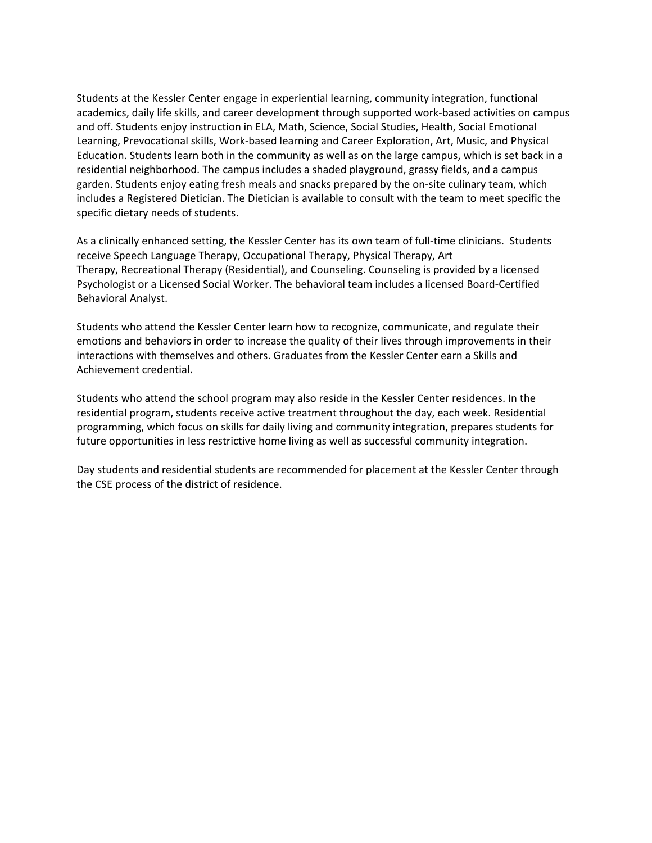Students at the Kessler Center engage in experiential learning, community integration, functional academics, daily life skills, and career development through supported work-based activities on campus and off. Students enjoy instruction in ELA, Math, Science, Social Studies, Health, Social Emotional Learning, Prevocational skills, Work-based learning and Career Exploration, Art, Music, and Physical Education. Students learn both in the community as well as on the large campus, which is set back in a residential neighborhood. The campus includes a shaded playground, grassy fields, and a campus garden. Students enjoy eating fresh meals and snacks prepared by the on-site culinary team, which includes a Registered Dietician. The Dietician is available to consult with the team to meet specific the specific dietary needs of students.

As a clinically enhanced setting, the Kessler Center has its own team of full-time clinicians. Students receive Speech Language Therapy, Occupational Therapy, Physical Therapy, Art Therapy, Recreational Therapy (Residential), and Counseling. Counseling is provided by a licensed Psychologist or a Licensed Social Worker. The behavioral team includes a licensed Board-Certified Behavioral Analyst.

Students who attend the Kessler Center learn how to recognize, communicate, and regulate their emotions and behaviors in order to increase the quality of their lives through improvements in their interactions with themselves and others. Graduates from the Kessler Center earn a Skills and Achievement credential.

Students who attend the school program may also reside in the Kessler Center residences. In the residential program, students receive active treatment throughout the day, each week. Residential programming, which focus on skills for daily living and community integration, prepares students for future opportunities in less restrictive home living as well as successful community integration.

Day students and residential students are recommended for placement at the Kessler Center through the CSE process of the district of residence.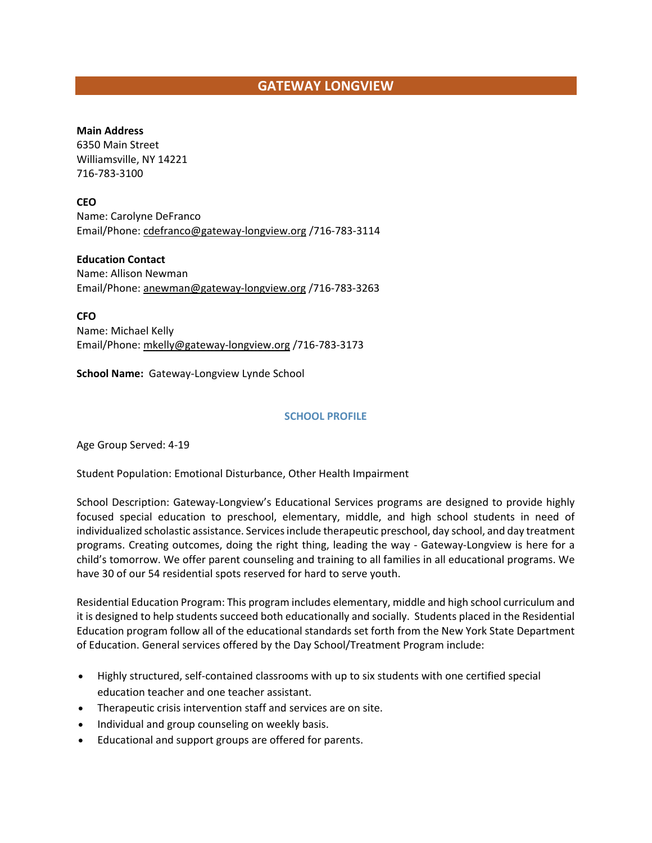# **GATEWAY LONGVIEW**

#### **Main Address**

6350 Main Street Williamsville, NY 14221 716-783-3100

**CEO**

Name: Carolyne DeFranco Email/Phone[: cdefranco@gateway-longview.org](mailto:cdefranco@gateway-longview.org) /716-783-3114

**Education Contact** Name: Allison Newman Email/Phone[: anewman@gateway-longview.org](mailto:anewman@gateway-longview.org) /716-783-3263

**CFO** Name: Michael Kelly Email/Phone[: mkelly@gateway-longview.org](mailto:mkelly@gateway-longview.org) /716-783-3173

**School Name:** Gateway-Longview Lynde School

#### **SCHOOL PROFILE**

Age Group Served: 4-19

Student Population: Emotional Disturbance, Other Health Impairment

School Description: Gateway-Longview's Educational Services programs are designed to provide highly focused special education to preschool, elementary, middle, and high school students in need of individualized scholastic assistance. Services include therapeutic preschool, day school, and day treatment programs. Creating outcomes, doing the right thing, leading the way - Gateway-Longview is here for a child's tomorrow. We offer parent counseling and training to all families in all educational programs. We have 30 of our 54 residential spots reserved for hard to serve youth.

Residential Education Program: This program includes elementary, middle and high school curriculum and it is designed to help students succeed both educationally and socially. Students placed in the Residential Education program follow all of the educational standards set forth from the New York State Department of Education. General services offered by the Day School/Treatment Program include:

- Highly structured, self-contained classrooms with up to six students with one certified special education teacher and one teacher assistant.
- Therapeutic crisis intervention staff and services are on site.
- Individual and group counseling on weekly basis.
- Educational and support groups are offered for parents.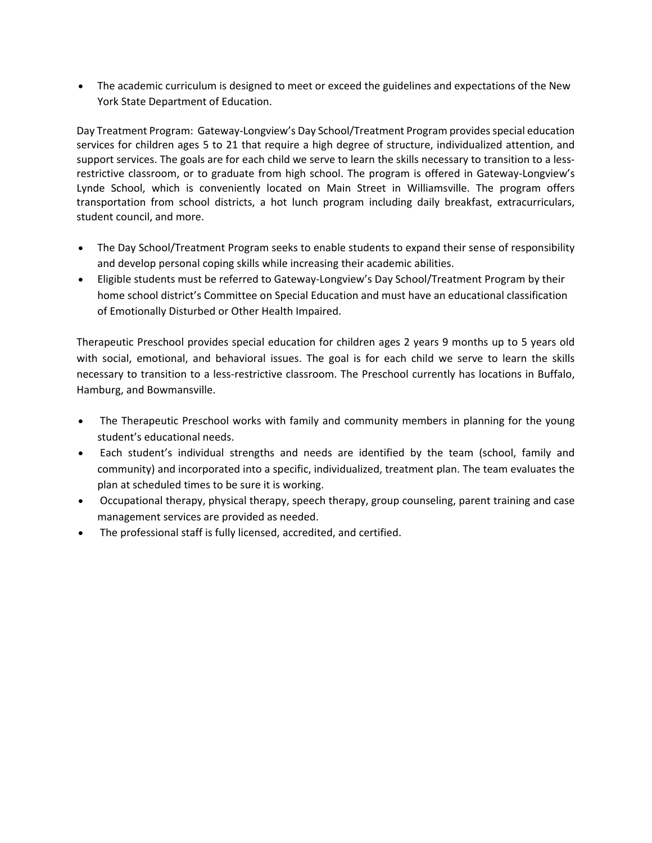• The academic curriculum is designed to meet or exceed the guidelines and expectations of the New York State Department of Education.

Day Treatment Program: Gateway-Longview's Day School/Treatment Program provides special education services for children ages 5 to 21 that require a high degree of structure, individualized attention, and support services. The goals are for each child we serve to learn the skills necessary to transition to a lessrestrictive classroom, or to graduate from high school. The program is offered in Gateway-Longview's Lynde School, which is conveniently located on Main Street in Williamsville. The program offers transportation from school districts, a hot lunch program including daily breakfast, extracurriculars, student council, and more.

- The Day School/Treatment Program seeks to enable students to expand their sense of responsibility and develop personal coping skills while increasing their academic abilities.
- Eligible students must be referred to Gateway-Longview's Day School/Treatment Program by their home school district's Committee on Special Education and must have an educational classification of Emotionally Disturbed or Other Health Impaired.

Therapeutic Preschool provides special education for children ages 2 years 9 months up to 5 years old with social, emotional, and behavioral issues. The goal is for each child we serve to learn the skills necessary to transition to a less-restrictive classroom. The Preschool currently has locations in Buffalo, Hamburg, and Bowmansville.

- The Therapeutic Preschool works with family and community members in planning for the young student's educational needs.
- Each student's individual strengths and needs are identified by the team (school, family and community) and incorporated into a specific, individualized, treatment plan. The team evaluates the plan at scheduled times to be sure it is working.
- Occupational therapy, physical therapy, speech therapy, group counseling, parent training and case management services are provided as needed.
- The professional staff is fully licensed, accredited, and certified.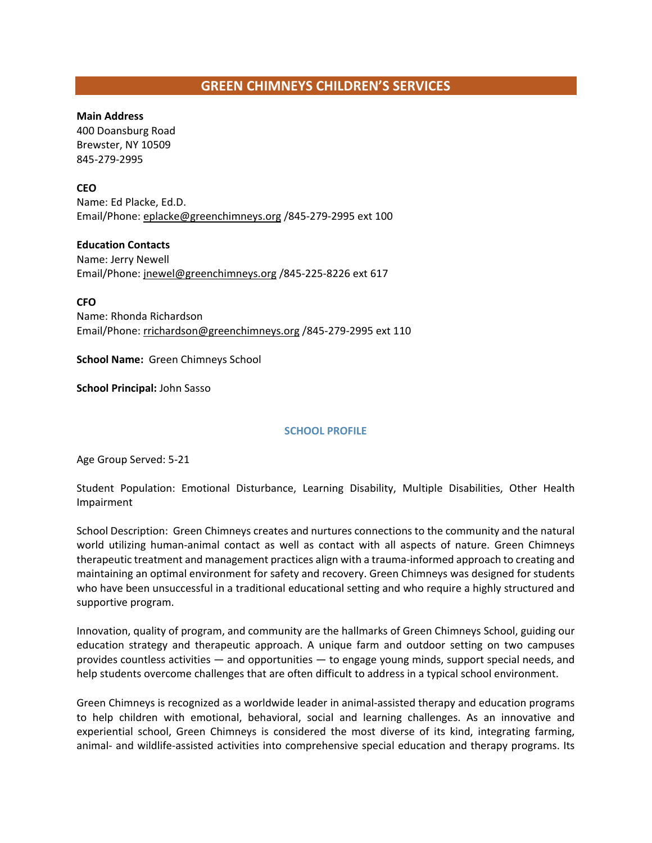# **GREEN CHIMNEYS CHILDREN'S SERVICES**

#### **Main Address**

400 Doansburg Road Brewster, NY 10509 845-279-2995

#### **CEO**

Name: Ed Placke, Ed.D. Email/Phone[: eplacke@greenchimneys.org](mailto:eplacke@greenchimneys.org) /845-279-2995 ext 100

#### **Education Contacts**

Name: Jerry Newell Email/Phone[: jnewel@greenchimneys.org](mailto:jnewel@greenchimneys.org) /845-225-8226 ext 617

**CFO**

Name: Rhonda Richardson Email/Phone[: rrichardson@greenchimneys.org](mailto:rrichardson@greenchimneys.org) /845-279-2995 ext 110

**School Name:** Green Chimneys School

**School Principal:** John Sasso

#### **SCHOOL PROFILE**

Age Group Served: 5-21

Student Population: Emotional Disturbance, Learning Disability, Multiple Disabilities, Other Health Impairment

School Description: Green Chimneys creates and nurtures connections to the community and the natural world utilizing human-animal contact as well as contact with all aspects of nature. Green Chimneys therapeutic treatment and management practices align with a trauma-informed approach to creating and maintaining an optimal environment for safety and recovery. Green Chimneys was designed for students who have been unsuccessful in a traditional educational setting and who require a highly structured and supportive program.

Innovation, quality of program, and community are the hallmarks of Green Chimneys School, guiding our education strategy and therapeutic approach. A unique farm and outdoor setting on two campuses provides countless activities — and opportunities — to engage young minds, support special needs, and help students overcome challenges that are often difficult to address in a typical school environment.

Green Chimneys is recognized as a worldwide leader in animal-assisted therapy and education programs to help children with emotional, behavioral, social and learning challenges. As an innovative and experiential school, Green Chimneys is considered the most diverse of its kind, integrating farming, animal- and wildlife-assisted activities into comprehensive special education and therapy programs. Its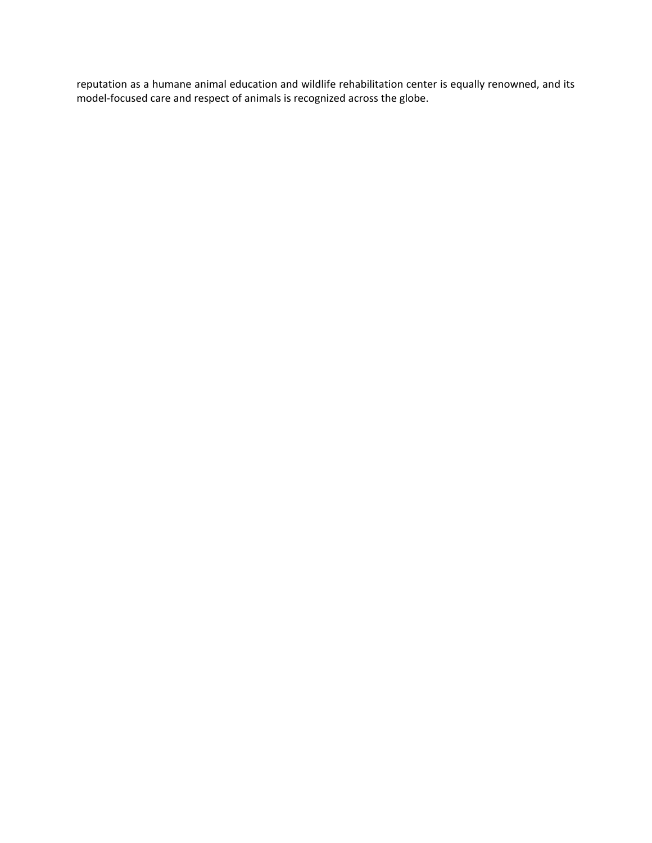reputation as a humane animal education and wildlife rehabilitation center is equally renowned, and its model-focused care and respect of animals is recognized across the globe.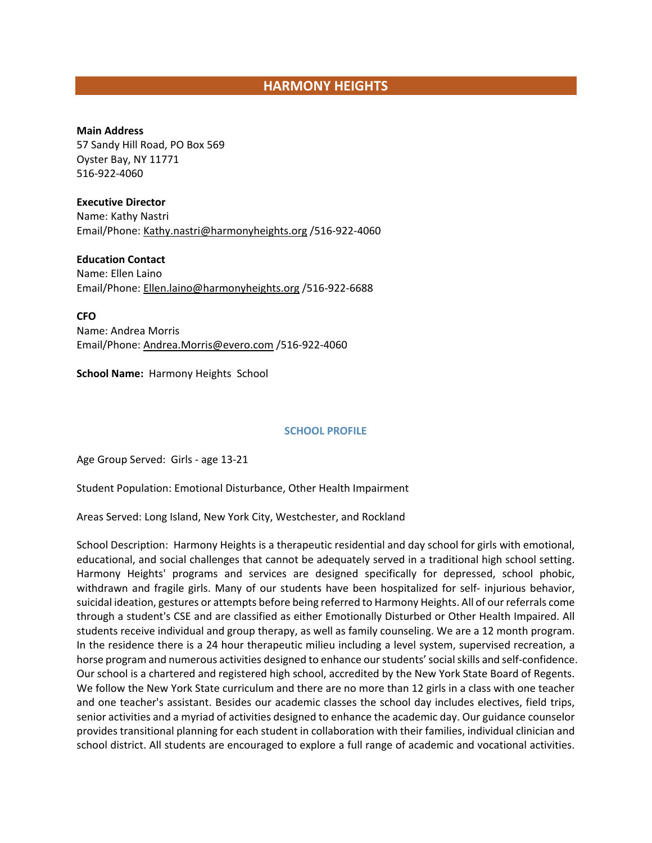# **HARMONY HEIGHTS**

#### **Main Address**

57 Sandy Hill Road, PO Box 569 Oyster Bay, NY 11771 516-922-4060

#### **Executive Director**

Name: Kathy Nastri Email/Phone: Kathy.nastri@harmonyheights.org /516-922-4060

**Education Contact** Name: Ellen Laino Email/Phone[: Ellen.laino@harmonyheights.org](mailto:Ellen.laino@harmonyheights.org) /516-922-6688

**CFO** Name: Andrea Morris Email/Phone[: Andrea.Morris@evero.com](mailto:Andrea.Morris@evero.com) /516-922-4060

**School Name:** Harmony Heights School

#### **SCHOOL PROFILE**

Age Group Served: Girls - age 13-21

Student Population: Emotional Disturbance, Other Health Impairment

Areas Served: Long Island, New York City, Westchester, and Rockland

School Description: Harmony Heights is a therapeutic residential and day school for girls with emotional, educational, and social challenges that cannot be adequately served in a traditional high school setting. Harmony Heights' programs and services are designed specifically for depressed, school phobic, withdrawn and fragile girls. Many of our students have been hospitalized for self- injurious behavior, suicidal ideation, gestures or attempts before being referred to Harmony Heights. All of our referrals come through a student's CSE and are classified as either Emotionally Disturbed or Other Health Impaired. All students receive individual and group therapy, as well as family counseling. We are a 12 month program. In the residence there is a 24 hour therapeutic milieu including a level system, supervised recreation, a horse program and numerous activities designed to enhance our students' social skills and self-confidence. Our school is a chartered and registered high school, accredited by the New York State Board of Regents. We follow the New York State curriculum and there are no more than 12 girls in a class with one teacher and one teacher's assistant. Besides our academic classes the school day includes electives, field trips, senior activities and a myriad of activities designed to enhance the academic day. Our guidance counselor provides transitional planning for each student in collaboration with their families, individual clinician and school district. All students are encouraged to explore a full range of academic and vocational activities.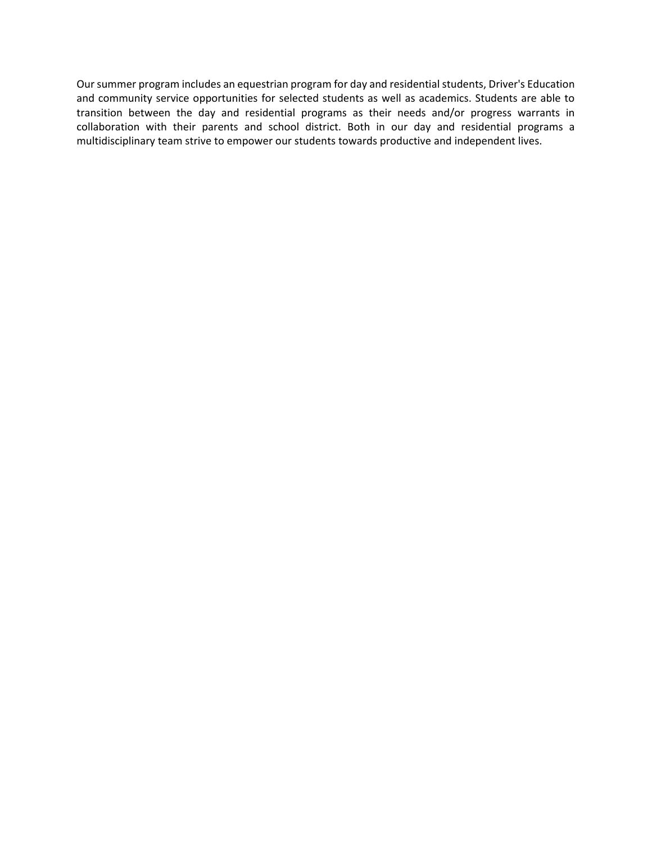Our summer program includes an equestrian program for day and residential students, Driver's Education and community service opportunities for selected students as well as academics. Students are able to transition between the day and residential programs as their needs and/or progress warrants in collaboration with their parents and school district. Both in our day and residential programs a multidisciplinary team strive to empower our students towards productive and independent lives.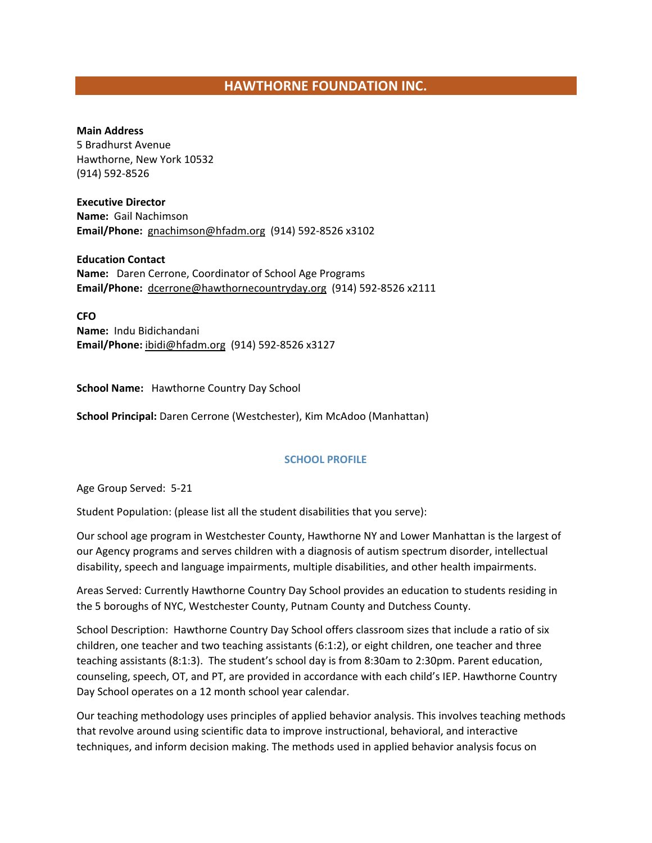# **HAWTHORNE FOUNDATION INC.**

#### **Main Address**

5 Bradhurst Avenue Hawthorne, New York 10532 (914) 592-8526

**Executive Director Name:** Gail Nachimson **Email/Phone:** [gnachimson@hfadm.org](mailto:gnachimson@hfadm.org) (914) 592-8526 x3102

**Education Contact Name:** Daren Cerrone, Coordinator of School Age Programs **Email/Phone:** [dcerrone@hawthornecountryday.org](mailto:dcerrone@hawthornecountryday.org) (914) 592-8526 x2111

**CFO Name:** Indu Bidichandani **Email/Phone:** [ibidi@hfadm.org](mailto:ibidi@hfadm.org) (914) 592-8526 x3127

**School Name:** Hawthorne Country Day School

**School Principal:** Daren Cerrone (Westchester), Kim McAdoo (Manhattan)

#### **SCHOOL PROFILE**

Age Group Served: 5-21

Student Population: (please list all the student disabilities that you serve):

Our school age program in Westchester County, Hawthorne NY and Lower Manhattan is the largest of our Agency programs and serves children with a diagnosis of autism spectrum disorder, intellectual disability, speech and language impairments, multiple disabilities, and other health impairments.

Areas Served: Currently Hawthorne Country Day School provides an education to students residing in the 5 boroughs of NYC, Westchester County, Putnam County and Dutchess County.

School Description: Hawthorne Country Day School offers classroom sizes that include a ratio of six children, one teacher and two teaching assistants (6:1:2), or eight children, one teacher and three teaching assistants (8:1:3). The student's school day is from 8:30am to 2:30pm. Parent education, counseling, speech, OT, and PT, are provided in accordance with each child's IEP. Hawthorne Country Day School operates on a 12 month school year calendar.

Our teaching methodology uses principles of applied behavior analysis. This involves teaching methods that revolve around using scientific data to improve instructional, behavioral, and interactive techniques, and inform decision making. The methods used in applied behavior analysis focus on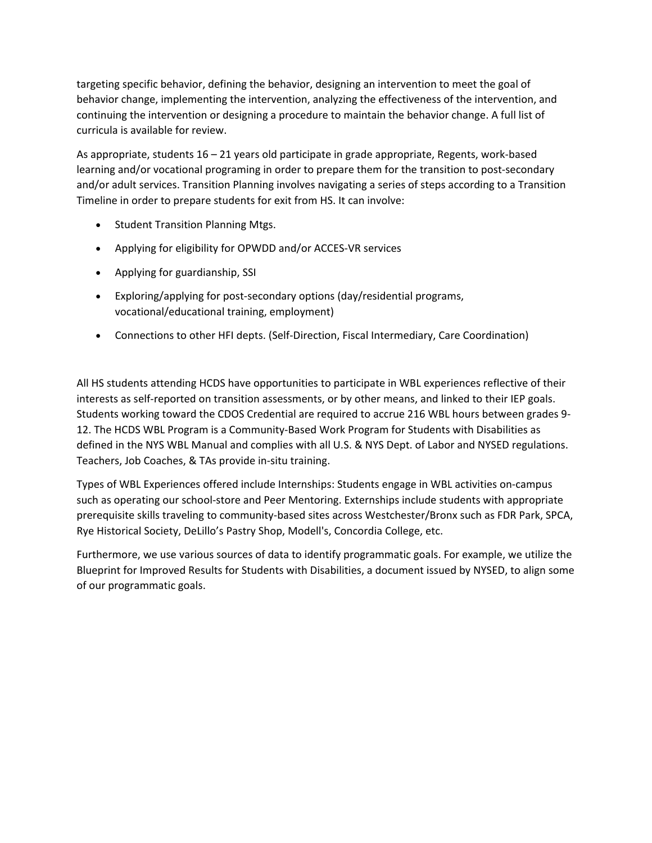targeting specific behavior, defining the behavior, designing an intervention to meet the goal of behavior change, implementing the intervention, analyzing the effectiveness of the intervention, and continuing the intervention or designing a procedure to maintain the behavior change. A full list of curricula is available for review.

As appropriate, students 16 – 21 years old participate in grade appropriate, Regents, work-based learning and/or vocational programing in order to prepare them for the transition to post-secondary and/or adult services. Transition Planning involves navigating a series of steps according to a Transition Timeline in order to prepare students for exit from HS. It can involve:

- Student Transition Planning Mtgs.
- Applying for eligibility for OPWDD and/or ACCES-VR services
- Applying for guardianship, SSI
- Exploring/applying for post-secondary options (day/residential programs, vocational/educational training, employment)
- Connections to other HFI depts. (Self-Direction, Fiscal Intermediary, Care Coordination)

All HS students attending HCDS have opportunities to participate in WBL experiences reflective of their interests as self-reported on transition assessments, or by other means, and linked to their IEP goals. Students working toward the CDOS Credential are required to accrue 216 WBL hours between grades 9- 12. The HCDS WBL Program is a Community-Based Work Program for Students with Disabilities as defined in the NYS WBL Manual and complies with all U.S. & NYS Dept. of Labor and NYSED regulations. Teachers, Job Coaches, & TAs provide in-situ training.

Types of WBL Experiences offered include Internships: Students engage in WBL activities on-campus such as operating our school-store and Peer Mentoring. Externships include students with appropriate prerequisite skills traveling to community-based sites across Westchester/Bronx such as FDR Park, SPCA, Rye Historical Society, DeLillo's Pastry Shop, Modell's, Concordia College, etc.

Furthermore, we use various sources of data to identify programmatic goals. For example, we utilize the Blueprint for Improved Results for Students with Disabilities, a document issued by NYSED, to align some of our programmatic goals.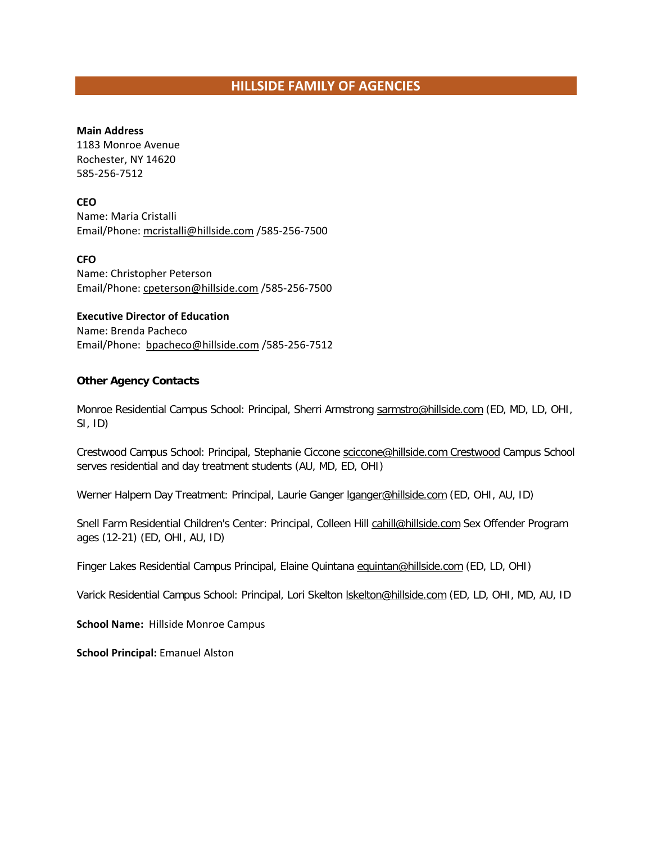#### **Main Address**

1183 Monroe Avenue Rochester, NY 14620 585-256-7512

#### **CEO**

Name: Maria Cristalli Email/Phone[: mcristalli@hillside.com](mailto:mcristalli@hillside.com) /585-256-7500

#### **CFO**

Name: Christopher Peterson Email/Phone[: cpeterson@hillside.com](file://DCFS01/USERS/dmcleod/853%20Coalition/Member%20Lists/cpeterson@hillside.com%20) /585-256-7500

#### **Executive Director of Education**

Name: Brenda Pacheco Email/Phone: [bpacheco@hillside.com](mailto:bpachec@hillside.com%20o) /585-256-7512

#### **Other Agency Contacts**

Monroe Residential Campus School: Principal, Sherri Armstrong [sarmstro@hillside.com](mailto:sarmstro@hillside.com) (ED, MD, LD, OHI, SI, ID)

Crestwood Campus School: Principal, Stephanie Ciccone [sciccone@hillside.com Crestwood](mailto:sciccone@hillside.com%20Crestwood) Campus School serves residential and day treatment students (AU, MD, ED, OHI)

Werner Halpern Day Treatment: Principal, Laurie Ganger *Iganger@hillside.com* (ED, OHI, AU, ID)

Snell Farm Residential Children's Center: Principal, Colleen Hill [cahill@hillside.com](mailto:cahill@hillside.com) Sex Offender Program ages (12-21) (ED, OHI, AU, ID)

Finger Lakes Residential Campus Principal, Elaine Quintana [equintan@hillside.com](mailto:equintan@hillside.com) (ED, LD, OHI)

Varick Residential Campus School: Principal, Lori Skelton [lskelton@hillside.com](mailto:lskelton@hillside.com) (ED, LD, OHI, MD, AU, ID

**School Name:** Hillside Monroe Campus

**School Principal:** Emanuel Alston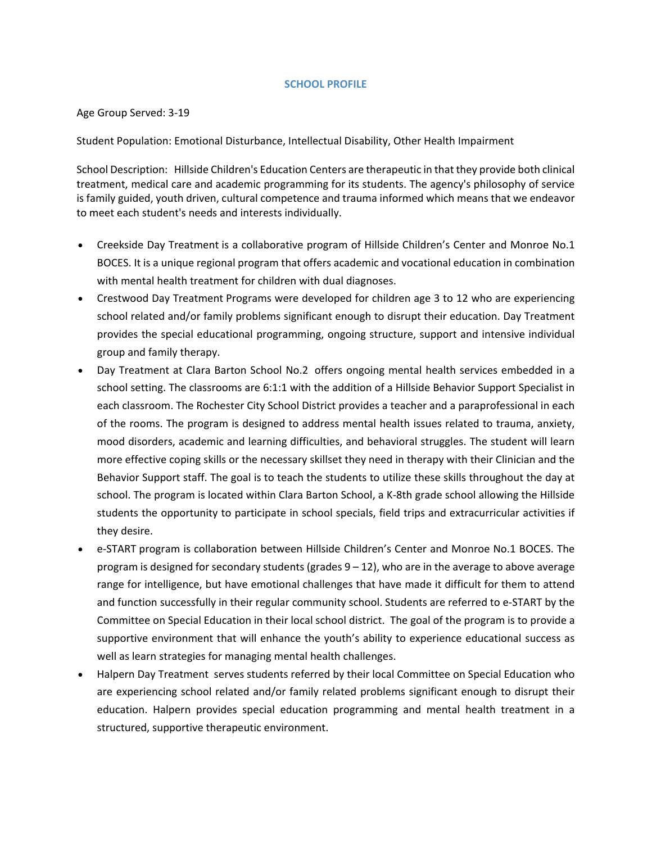### **SCHOOL PROFILE**

### Age Group Served: 3-19

Student Population: Emotional Disturbance, Intellectual Disability, Other Health Impairment

School Description: Hillside Children's Education Centers are therapeutic in that they provide both clinical treatment, medical care and academic programming for its students. The agency's philosophy of service is family guided, youth driven, cultural competence and trauma informed which means that we endeavor to meet each student's needs and interests individually.

- Creekside Day [Treatment](https://www.hillside.com/wp-content/uploads/2015/01/Creekside-Day-Treatment-SS.pdf) is a collaborative program of Hillside Children's Center and Monroe No.1 BOCES. It is a unique regional program that offers academic and vocational education in combination with mental health treatment for children with dual diagnoses.
- [Crestwood](https://www.hillside.com/wp-content/uploads/2015/01/Crestwood-Day-Treatment-SS.pdf) Day Treatment Programs were developed for children age 3 to 12 who are experiencing school related and/or family problems significant enough to disrupt their education. Day Treatment provides the special educational programming, ongoing structure, support and intensive individual group and family therapy.
- Day [Treatment](https://www.hillside.com/wp-content/uploads/2015/01/Day-Treatment-at-Clara-Barton-School-2-SS.pdf) at Clara Barton School No.2 offers ongoing mental health services embedded in a school setting. The classrooms are 6:1:1 with the addition of a Hillside Behavior Support Specialist in each classroom. The Rochester City School District provides a teacher and a paraprofessional in each of the rooms. The program is designed to address mental health issues related to trauma, anxiety, mood disorders, academic and learning difficulties, and behavioral struggles. The student will learn more effective coping skills or the necessary skillset they need in therapy with their Clinician and the Behavior Support staff. The goal is to teach the students to utilize these skills throughout the day at school. The program is located within Clara Barton School, a K-8th grade school allowing the Hillside students the opportunity to participate in school specials, field trips and extracurricular activities if they desire.
- [e-START](https://www.hillside.com/wp-content/uploads/2015/01/e-Start-SS.pdf) program is collaboration between Hillside Children's Center and Monroe No.1 BOCES. The program is designed for secondary students (grades 9 – 12), who are in the average to above average range for intelligence, but have emotional challenges that have made it difficult for them to attend and function successfully in their regular community school. Students are referred to e-START by the Committee on Special Education in their local school district. The goal of the program is to provide a supportive environment that will enhance the youth's ability to experience educational success as well as learn strategies for managing mental health challenges.
- Halpern Day [Treatment](https://www.hillside.com/wp-content/uploads/2015/01/Halpern-Day-Treatment-SS.pdf) serves students referred by their local Committee on Special Education who are experiencing school related and/or family related problems significant enough to disrupt their education. Halpern provides special education programming and mental health treatment in a structured, supportive therapeutic environment.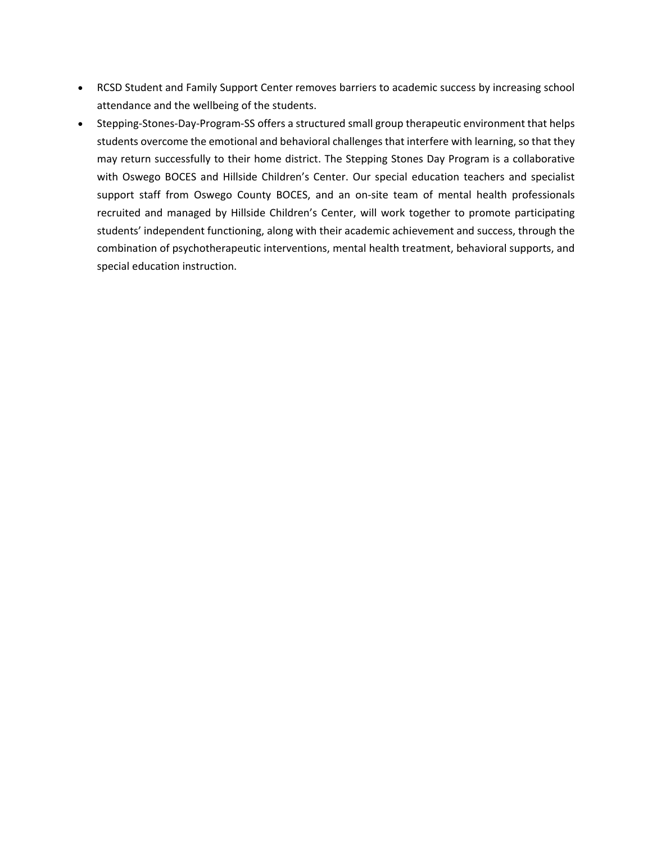- RCSD Student and Family [Support](https://www.hillside.com/wp-content/uploads/2015/01/RCSD-Student-and-Family-Support-Center-SS.pdf) Center removes barriers to academic success by increasing school attendance and the wellbeing of the students.
- [Stepping-Stones-Day-Program-SS](https://www.hillside.com/wp-content/uploads/2015/03/Stepping-Stones-Day-Program-SS.pdf) offers a structured small group therapeutic environment that helps students overcome the emotional and behavioral challenges that interfere with learning, so that they may return successfully to their home district. The Stepping Stones Day Program is a collaborative with Oswego BOCES and Hillside Children's Center. Our special education teachers and specialist support staff from Oswego County BOCES, and an on-site team of mental health professionals recruited and managed by Hillside Children's Center, will work together to promote participating students' independent functioning, along with their academic achievement and success, through the combination of psychotherapeutic interventions, mental health treatment, behavioral supports, and special education instruction.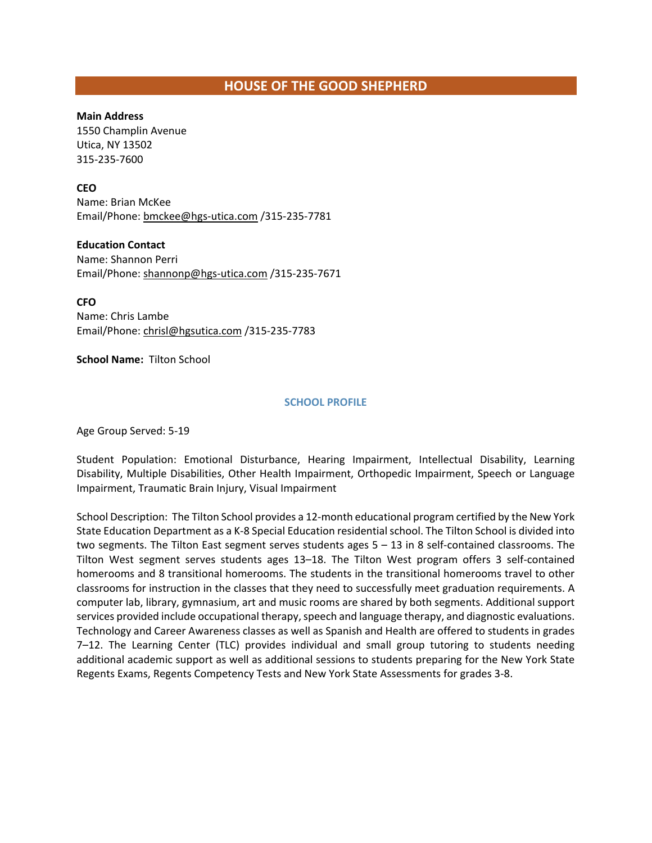# **HOUSE OF THE GOOD SHEPHERD**

### **Main Address**

1550 Champlin Avenue Utica, NY 13502 315-235-7600

### **CEO**

Name: Brian McKee Email/Phone[: bmckee@hgs-utica.com](mailto:bmckee@hgs-utica.com) /315-235-7781

### **Education Contact**

Name: Shannon Perri Email/Phone[: shannonp@hgs-utica.com](mailto:shannonp@hgs-utica.com) /315-235-7671

**CFO**

Name: Chris Lambe Email/Phone: [chrisl@hgsutica.com](mailto:chrisl@hgsutica.com) /315-235-7783

### **School Name:** Tilton School

### **SCHOOL PROFILE**

Age Group Served: 5-19

Student Population: Emotional Disturbance, Hearing Impairment, Intellectual Disability, Learning Disability, Multiple Disabilities, Other Health Impairment, Orthopedic Impairment, Speech or Language Impairment, Traumatic Brain Injury, Visual Impairment

School Description: The Tilton School provides a 12-month educational program certified by the New York State Education Department as a K-8 Special Education residential school. The Tilton School is divided into two segments. The Tilton East segment serves students ages 5 – 13 in 8 self-contained classrooms. The Tilton West segment serves students ages 13–18. The Tilton West program offers 3 self-contained homerooms and 8 transitional homerooms. The students in the transitional homerooms travel to other classrooms for instruction in the classes that they need to successfully meet graduation requirements. A computer lab, library, gymnasium, art and music rooms are shared by both segments. Additional support services provided include occupational therapy, speech and language therapy, and diagnostic evaluations. Technology and Career Awareness classes as well as Spanish and Health are offered to students in grades 7–12. The Learning Center (TLC) provides individual and small group tutoring to students needing additional academic support as well as additional sessions to students preparing for the New York State Regents Exams, Regents Competency Tests and New York State Assessments for grades 3-8.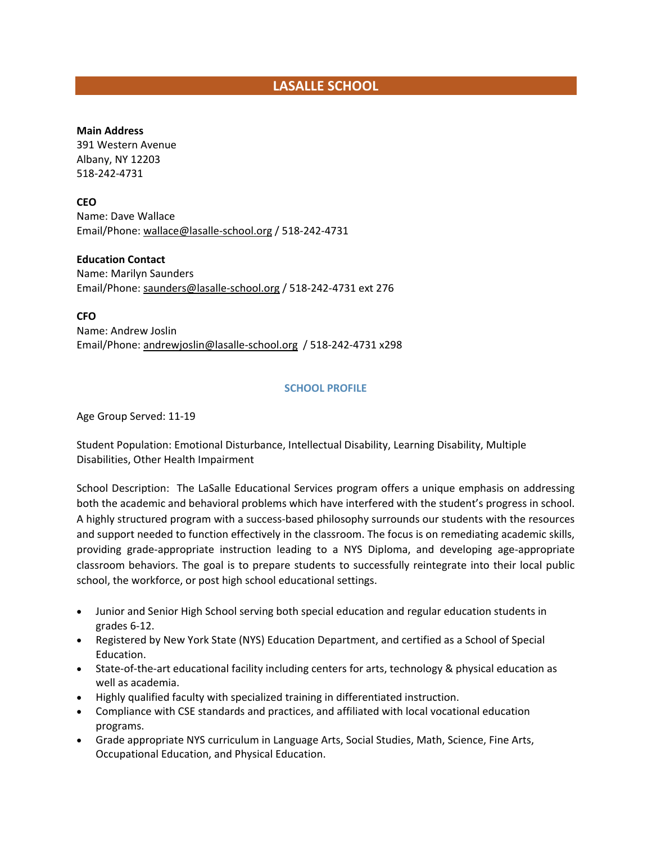# **LASALLE SCHOOL**

### **Main Address**

391 Western Avenue Albany, NY 12203 518-242-4731

**CEO**

Name: Dave Wallace Email/Phone[: wallace@lasalle-school.org](mailto:wallace@lasalle-school.org) / 518-242-4731

**Education Contact**

Name: Marilyn Saunders Email/Phone[: saunders@lasalle-school.org](file://DCFS01/USERS/dmcleod/853%20Coalition/Member%20Lists/saunders@lasalle-school.org%20) / 518-242-4731 ext 276

**CFO**

Name: Andrew Joslin Email/Phone[: andrewjoslin@lasalle-school.org](mailto:andrewjoslin@lasalle-school.org) / 518-242-4731 x298

### **SCHOOL PROFILE**

Age Group Served: 11-19

Student Population: Emotional Disturbance, Intellectual Disability, Learning Disability, Multiple Disabilities, Other Health Impairment

School Description: The LaSalle Educational Services program offers a unique emphasis on addressing both the academic and behavioral problems which have interfered with the student's progress in school. A highly structured program with a success-based philosophy surrounds our students with the resources and support needed to function effectively in the classroom. The focus is on remediating academic skills, providing grade-appropriate instruction leading to a NYS Diploma, and developing age-appropriate classroom behaviors. The goal is to prepare students to successfully reintegrate into their local public school, the workforce, or post high school educational settings.

- Junior and Senior High School serving both special education and regular education students in grades 6-12.
- Registered by New York State (NYS) Education Department, and certified as a School of Special Education.
- State-of-the-art educational facility including centers for arts, technology & physical education as well as academia.
- Highly qualified faculty with specialized training in differentiated instruction.
- Compliance with CSE standards and practices, and affiliated with local vocational education programs.
- Grade appropriate NYS curriculum in Language Arts, Social Studies, Math, Science, Fine Arts, Occupational Education, and Physical Education.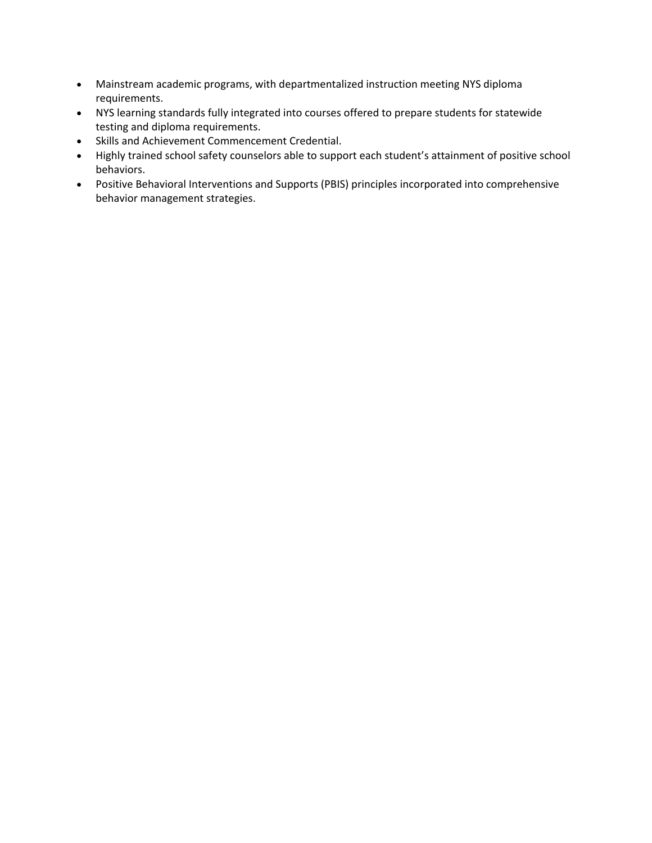- Mainstream academic programs, with departmentalized instruction meeting NYS diploma requirements.
- NYS learning standards fully integrated into courses offered to prepare students for statewide testing and diploma requirements.
- Skills and Achievement Commencement Credential.
- Highly trained school safety counselors able to support each student's attainment of positive school behaviors.
- Positive Behavioral Interventions and Supports (PBIS) principles incorporated into comprehensive behavior management strategies.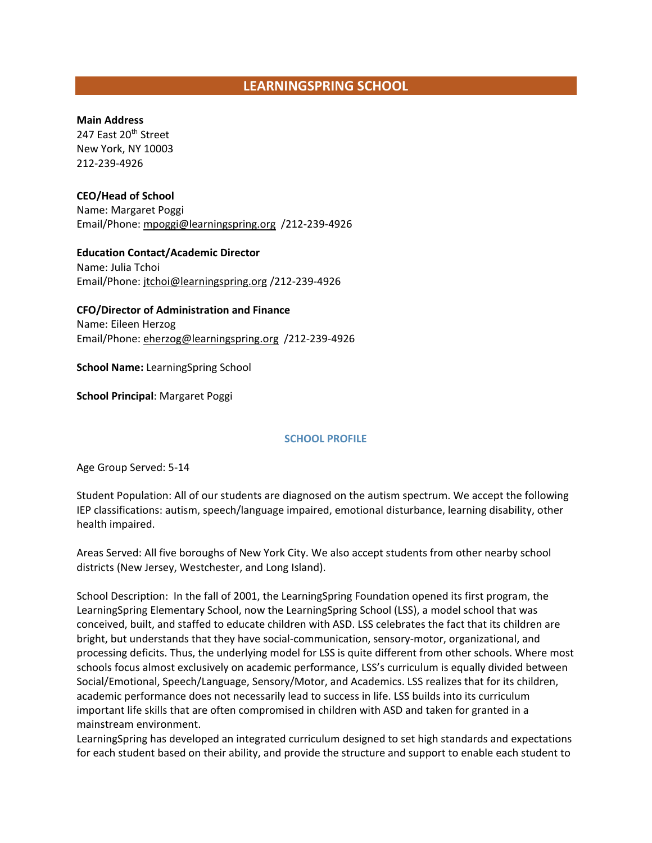# **LEARNINGSPRING SCHOOL**

**Main Address**

247 East 20<sup>th</sup> Street New York, NY 10003 212-239-4926

**CEO/Head of School**  Name: Margaret Poggi Email/Phone[: mpoggi@learningspring.org](mailto:mpoggi@learningspring.org) /212-239-4926

**Education Contact/Academic Director**  Name: Julia Tchoi Email/Phone[: jtchoi@learningspring.org](mailto:jtchoi@learningspring.org) /212-239-4926

**CFO/Director of Administration and Finance**  Name: Eileen Herzog Email/Phone[: eherzog@learningspring.org](mailto:eherzog@learningspring.org) /212-239-4926

**School Name:** LearningSpring School

**School Principal**: Margaret Poggi

### **SCHOOL PROFILE**

Age Group Served: 5-14

Student Population: All of our students are diagnosed on the autism spectrum. We accept the following IEP classifications: autism, speech/language impaired, emotional disturbance, learning disability, other health impaired.

Areas Served: All five boroughs of New York City. We also accept students from other nearby school districts (New Jersey, Westchester, and Long Island).

School Description: In the fall of 2001, the LearningSpring Foundation opened its first program, the LearningSpring Elementary School, now the LearningSpring School (LSS), a model school that was conceived, built, and staffed to educate children with ASD. LSS celebrates the fact that its children are bright, but understands that they have social-communication, sensory-motor, organizational, and processing deficits. Thus, the underlying model for LSS is quite different from other schools. Where most schools focus almost exclusively on academic performance, LSS's curriculum is equally divided between Social/Emotional, Speech/Language, Sensory/Motor, and Academics. LSS realizes that for its children, academic performance does not necessarily lead to success in life. LSS builds into its curriculum important life skills that are often compromised in children with ASD and taken for granted in a mainstream environment.

LearningSpring has developed an integrated curriculum designed to set high standards and expectations for each student based on their ability, and provide the structure and support to enable each student to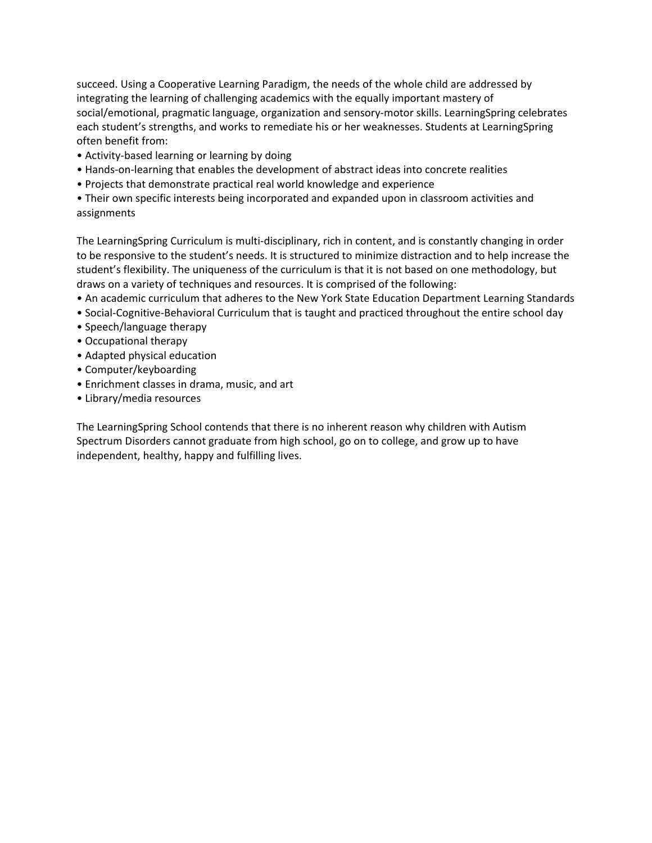succeed. Using a Cooperative Learning Paradigm, the needs of the whole child are addressed by integrating the learning of challenging academics with the equally important mastery of social/emotional, pragmatic language, organization and sensory-motor skills. LearningSpring celebrates each student's strengths, and works to remediate his or her weaknesses. Students at LearningSpring often benefit from:

- Activity-based learning or learning by doing
- Hands-on-learning that enables the development of abstract ideas into concrete realities
- Projects that demonstrate practical real world knowledge and experience

• Their own specific interests being incorporated and expanded upon in classroom activities and assignments

The LearningSpring Curriculum is multi-disciplinary, rich in content, and is constantly changing in order to be responsive to the student's needs. It is structured to minimize distraction and to help increase the student's flexibility. The uniqueness of the curriculum is that it is not based on one methodology, but draws on a variety of techniques and resources. It is comprised of the following:

- An academic curriculum that adheres to the New York State Education Department Learning Standards
- Social-Cognitive-Behavioral Curriculum that is taught and practiced throughout the entire school day
- Speech/language therapy
- Occupational therapy
- Adapted physical education
- Computer/keyboarding
- Enrichment classes in drama, music, and art
- Library/media resources

The LearningSpring School contends that there is no inherent reason why children with Autism Spectrum Disorders cannot graduate from high school, go on to college, and grow up to have independent, healthy, happy and fulfilling lives.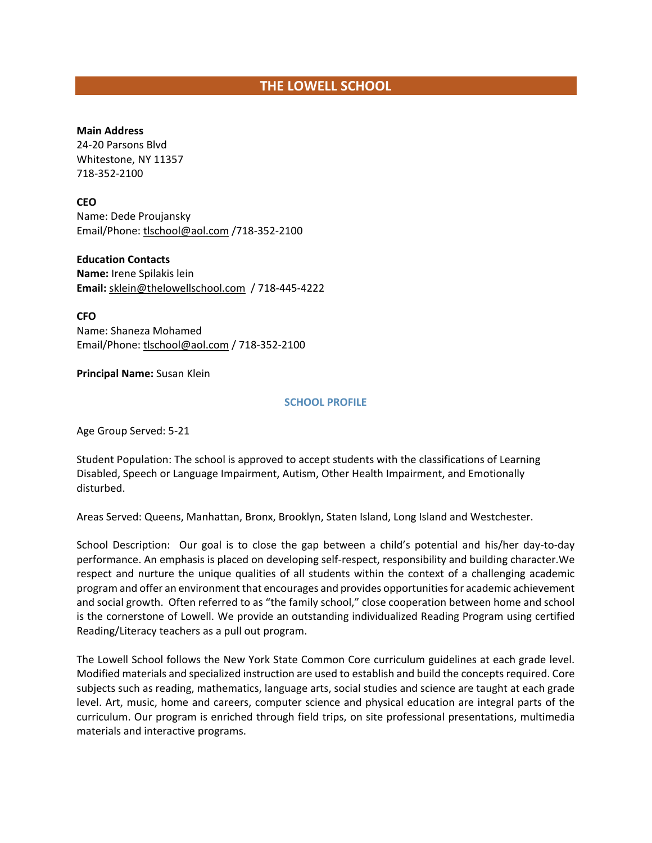# **THE LOWELL SCHOOL**

#### **Main Address**

24-20 Parsons Blvd Whitestone, NY 11357 718-352-2100

### **CEO**

Name: Dede Proujansky Email/Phone[: tlschool@aol.com](mailto:tlschool@aol.com) /718-352-2100

#### **Education Contacts**

**Name:** Irene Spilakis lein **Email:** [sklein@thelowellschool.com](mailto:sklein@thelowellschool.com) / 718-445-4222

**CFO**

Name: Shaneza Mohamed Email/Phone[: tlschool@aol.com](mailto:tlschool@aol.com) / 718-352-2100

#### **Principal Name:** Susan Klein

#### **SCHOOL PROFILE**

Age Group Served: 5-21

Student Population: The school is approved to accept students with the classifications of Learning Disabled, Speech or Language Impairment, Autism, Other Health Impairment, and Emotionally disturbed.

Areas Served: Queens, Manhattan, Bronx, Brooklyn, Staten Island, Long Island and Westchester.

School Description: Our goal is to close the gap between a child's potential and his/her day-to-day performance. An emphasis is placed on developing self-respect, responsibility and building character.We respect and nurture the unique qualities of all students within the context of a challenging academic program and offer an environment that encourages and provides opportunities for academic achievement and social growth. Often referred to as "the family school," close cooperation between home and school is the cornerstone of Lowell. We provide an outstanding individualized Reading Program using certified Reading/Literacy teachers as a pull out program.

The Lowell School follows the New York State Common Core curriculum guidelines at each grade level. Modified materials and specialized instruction are used to establish and build the concepts required. Core subjects such as reading, mathematics, language arts, social studies and science are taught at each grade level. Art, music, home and careers, computer science and physical education are integral parts of the curriculum. Our program is enriched through field trips, on site professional presentations, multimedia materials and interactive programs.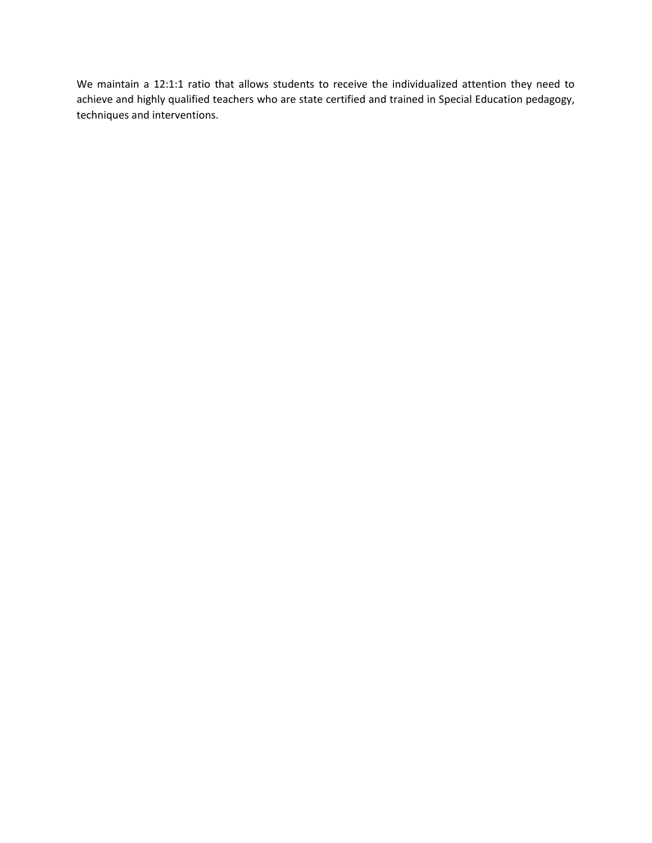We maintain a 12:1:1 ratio that allows students to receive the individualized attention they need to achieve and highly qualified teachers who are state certified and trained in Special Education pedagogy, techniques and interventions.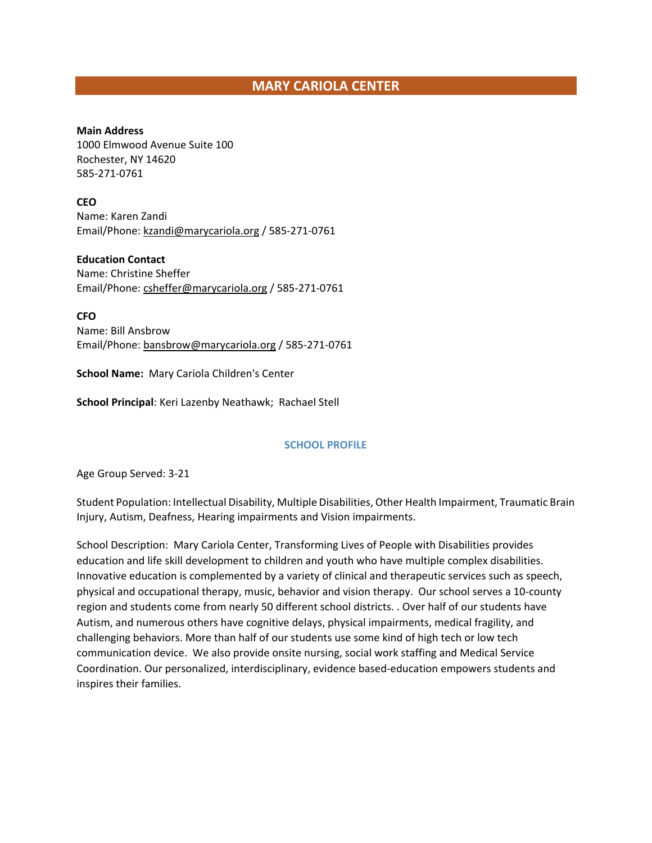# **MARY CARIOLA CENTER**

**Main Address** 1000 Elmwood Avenue Suite 100 Rochester, NY 14620 585-271-0761

**CEO**

Name: Karen Zandi Email/Phone[: kzandi@marycariola.org](mailto:kzandi@marycariola.org) / 585-271-0761

**Education Contact**

Name: Christine Sheffer Email/Phone[: csheffer@marycariola.org](mailto:csheffer@marycariola.org) / 585-271-0761

**CFO** Name: Bill Ansbrow Email/Phone[: bansbrow@marycariola.org](mailto:bansbrow@marycariola.org) / 585-271-0761

**School Name:** Mary Cariola Children's Center

**School Principal**: Keri Lazenby Neathawk; Rachael Stell

#### **SCHOOL PROFILE**

Age Group Served: 3-21

Student Population: Intellectual Disability, Multiple Disabilities, Other Health Impairment, Traumatic Brain Injury, Autism, Deafness, Hearing impairments and Vision impairments.

School Description: Mary Cariola Center, Transforming Lives of People with Disabilities provides education and life skill development to children and youth who have multiple complex disabilities. Innovative education is complemented by a variety of clinical and therapeutic services such as speech, physical and occupational therapy, music, behavior and vision therapy. Our school serves a 10-county region and students come from nearly 50 different school districts. . Over half of our students have Autism, and numerous others have cognitive delays, physical impairments, medical fragility, and challenging behaviors. More than half of our students use some kind of high tech or low tech communication device. We also provide onsite nursing, social work staffing and Medical Service Coordination. Our personalized, interdisciplinary, evidence based-education empowers students and inspires their families.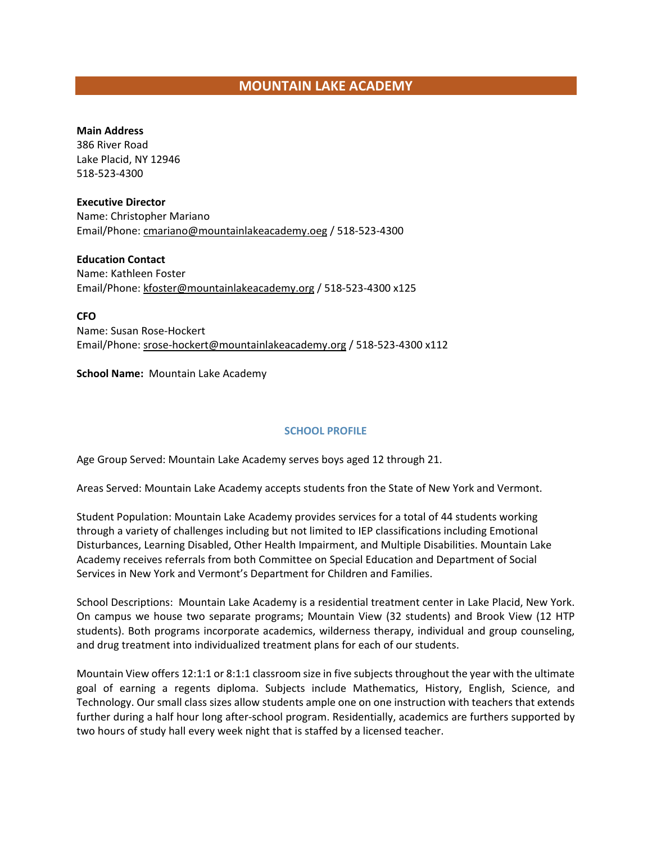# **MOUNTAIN LAKE ACADEMY**

#### **Main Address**

386 River Road Lake Placid, NY 12946 518-523-4300

#### **Executive Director**

Name: Christopher Mariano Email/Phone[: cmariano@mountainlakeacademy.oeg](mailto:cmariano@mountainlakeacademy.oeg) / 518-523-4300

### **Education Contact**

Name: Kathleen Foster Email/Phone[: kfoster@mountainlakeacademy.org](mailto:kfoster@mountainlakeacademy.org) / 518-523-4300 x125

**CFO**

Name: Susan Rose-Hockert Email/Phone[: srose-hockert@mountainlakeacademy.org](mailto:srose-hockert@mountainlakeacademy.org) / 518-523-4300 x112

**School Name:** Mountain Lake Academy

### **SCHOOL PROFILE**

Age Group Served: Mountain Lake Academy serves boys aged 12 through 21.

Areas Served: Mountain Lake Academy accepts students fron the State of New York and Vermont.

Student Population: Mountain Lake Academy provides services for a total of 44 students working through a variety of challenges including but not limited to IEP classifications including Emotional Disturbances, Learning Disabled, Other Health Impairment, and Multiple Disabilities. Mountain Lake Academy receives referrals from both Committee on Special Education and Department of Social Services in New York and Vermont's Department for Children and Families.

School Descriptions: Mountain Lake Academy is a residential treatment center in Lake Placid, New York. On campus we house two separate programs; Mountain View (32 students) and Brook View (12 HTP students). Both programs incorporate academics, wilderness therapy, individual and group counseling, and drug treatment into individualized treatment plans for each of our students.

Mountain View offers 12:1:1 or 8:1:1 classroom size in five subjects throughout the year with the ultimate goal of earning a regents diploma. Subjects include Mathematics, History, English, Science, and Technology. Our small class sizes allow students ample one on one instruction with teachers that extends further during a half hour long after-school program. Residentially, academics are furthers supported by two hours of study hall every week night that is staffed by a licensed teacher.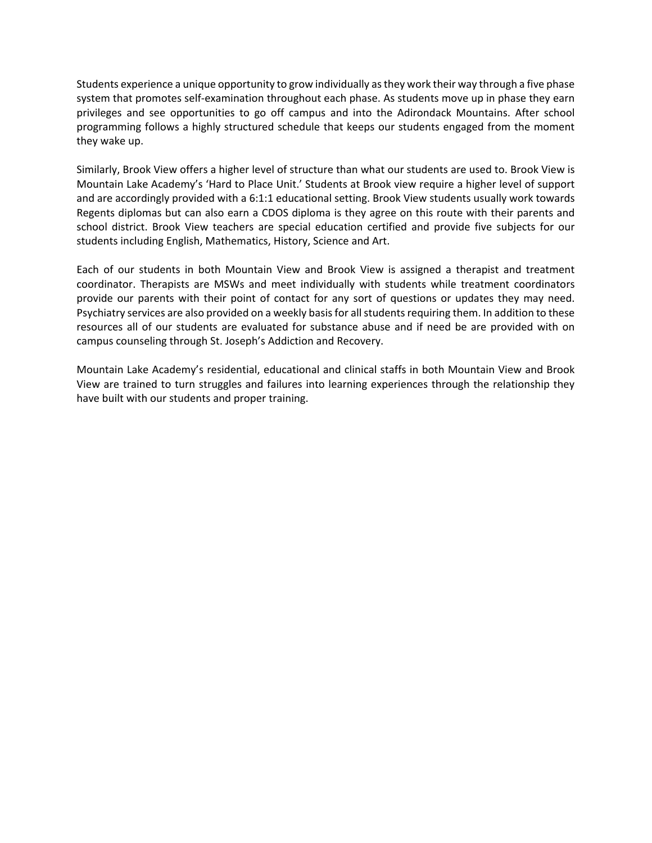Students experience a unique opportunity to grow individually as they work their way through a five phase system that promotes self-examination throughout each phase. As students move up in phase they earn privileges and see opportunities to go off campus and into the Adirondack Mountains. After school programming follows a highly structured schedule that keeps our students engaged from the moment they wake up.

Similarly, Brook View offers a higher level of structure than what our students are used to. Brook View is Mountain Lake Academy's 'Hard to Place Unit.' Students at Brook view require a higher level of support and are accordingly provided with a 6:1:1 educational setting. Brook View students usually work towards Regents diplomas but can also earn a CDOS diploma is they agree on this route with their parents and school district. Brook View teachers are special education certified and provide five subjects for our students including English, Mathematics, History, Science and Art.

Each of our students in both Mountain View and Brook View is assigned a therapist and treatment coordinator. Therapists are MSWs and meet individually with students while treatment coordinators provide our parents with their point of contact for any sort of questions or updates they may need. Psychiatry services are also provided on a weekly basis for all students requiring them. In addition to these resources all of our students are evaluated for substance abuse and if need be are provided with on campus counseling through St. Joseph's Addiction and Recovery.

Mountain Lake Academy's residential, educational and clinical staffs in both Mountain View and Brook View are trained to turn struggles and failures into learning experiences through the relationship they have built with our students and proper training.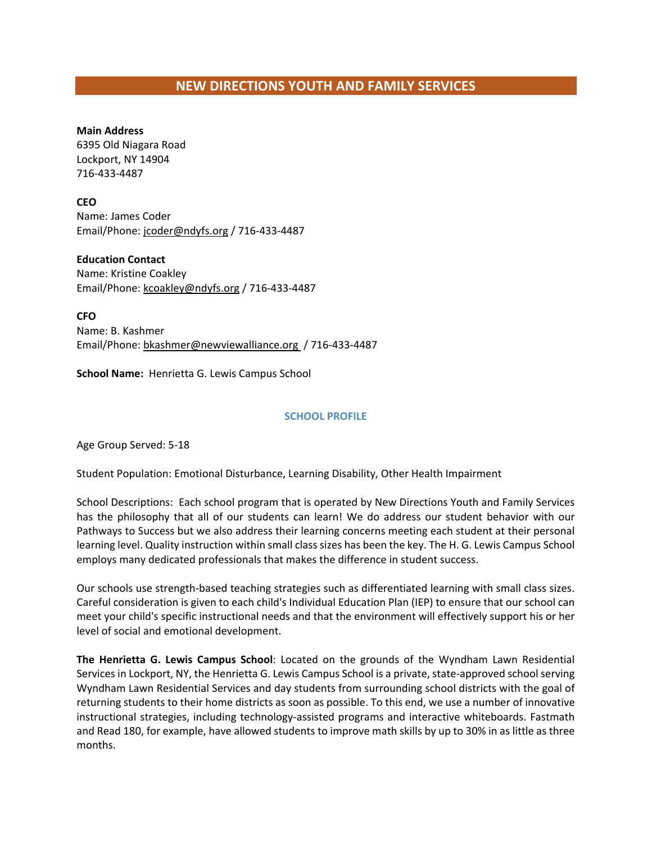# **NEW DIRECTIONS YOUTH AND FAMILY SERVICES**

### **Main Address**

6395 Old Niagara Road Lockport, NY 14904 716-433-4487

### **CEO**

Name: James Coder Email/Phone[: jcoder@ndyfs.org](mailto:jcoder@ndyfs.org) / 716-433-4487

### **Education Contact**

Name: Kristine Coakley Email/Phone[: kcoakley@ndyfs.org](mailto:kcoakley@ndyfs.org) / 716-433-4487

**CFO** Name: B. Kashmer Email/Phone[: bkashmer@newviewalliance.org](mailto:bkashmer@newviewalliance.org) / 716-433-4487

**School Name:** Henrietta G. Lewis Campus School

### **SCHOOL PROFILE**

Age Group Served: 5-18

Student Population: Emotional Disturbance, Learning Disability, Other Health Impairment

School Descriptions: Each school program that is operated by New Directions Youth and Family Services has the philosophy that all of our students can learn! We do address our student behavior with our Pathways to Success but we also address their learning concerns meeting each student at their personal learning level. Quality instruction within small class sizes has been the key. The H. G. Lewis Campus School employs many dedicated professionals that makes the difference in student success.

Our schools use strength-based teaching strategies such as differentiated learning with small class sizes. Careful consideration is given to each child's Individual Education Plan (IEP) to ensure that our school can meet your child's specific instructional needs and that the environment will effectively support his or her level of social and emotional development.

**The Henrietta G. Lewis Campus School**: Located on the grounds of the Wyndham Lawn Residential Services in Lockport, NY, the Henrietta G. Lewis Campus School is a private, state-approved school serving Wyndham Lawn Residential Services and day students from surrounding school districts with the goal of returning students to their home districts as soon as possible. To this end, we use a number of innovative instructional strategies, including technology-assisted programs and interactive whiteboards. Fastmath and Read 180, for example, have allowed students to improve math skills by up to 30% in as little as three months.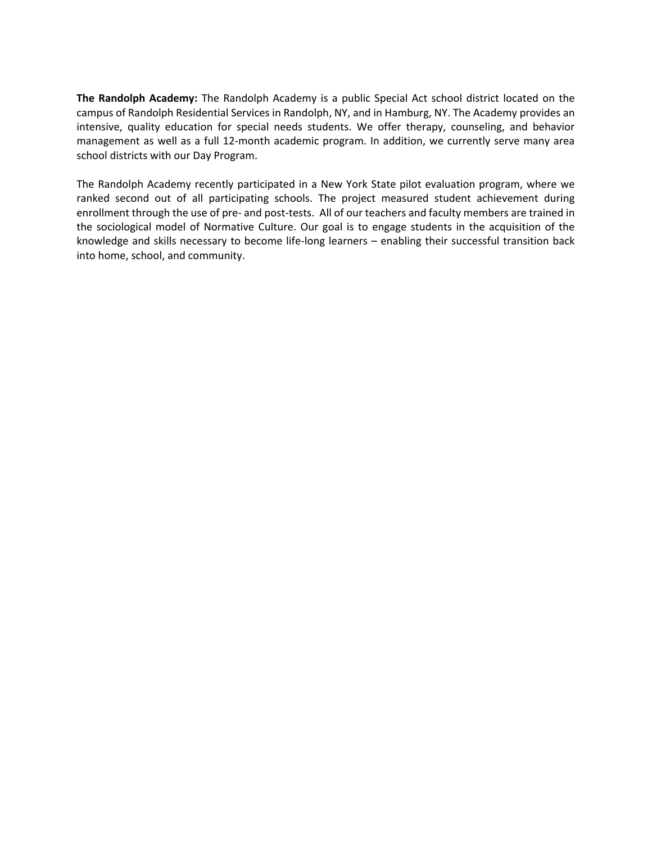**The Randolph Academy:** The Randolph Academy is a public Special Act school district located on the campus of Randolph Residential Services in Randolph, NY, and in Hamburg, NY. The Academy provides an intensive, quality education for special needs students. We offer therapy, counseling, and behavior management as well as a full 12-month academic program. In addition, we currently serve many area school districts with our Day Program.

The Randolph Academy recently participated in a New York State pilot evaluation program, where we ranked second out of all participating schools. The project measured student achievement during enrollment through the use of pre- and post-tests. All of our teachers and faculty members are trained in the sociological model of Normative Culture. Our goal is to engage students in the acquisition of the knowledge and skills necessary to become life-long learners – enabling their successful transition back into home, school, and community.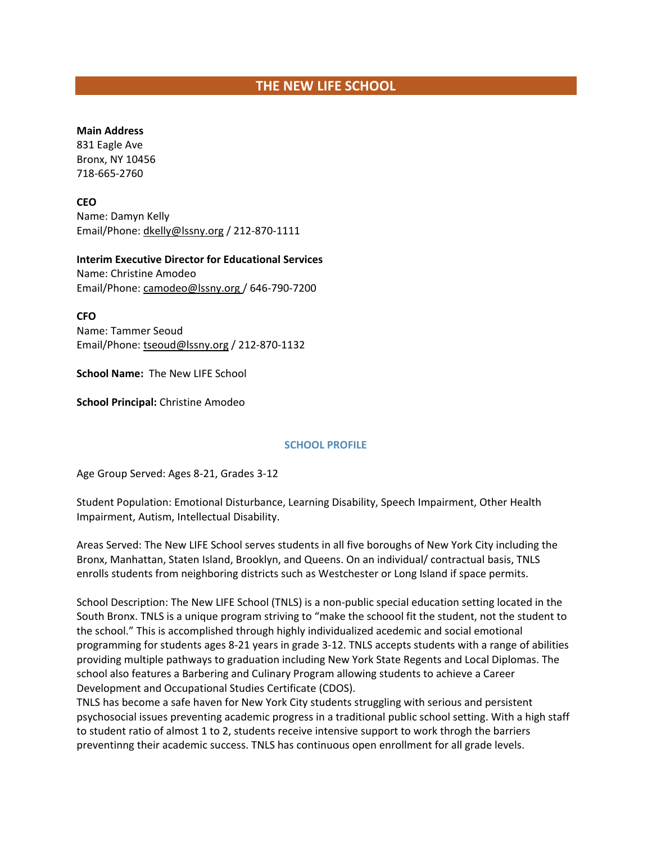# **THE NEW LIFE SCHOOL**

#### **Main Address**

831 Eagle Ave Bronx, NY 10456 718-665-2760

**CEO**

Name: Damyn Kelly Email/Phone[: dkelly@lssny.org](mailto:dkelly@lssny.org) / 212-870-1111

**Interim Executive Director for Educational Services**  Name: Christine Amodeo

Email/Phone[: camodeo@lssny.org](mailto:camodeo@lssny.org) / 646-790-7200

**CFO**

Name: Tammer Seoud Email/Phone[: tseoud@lssny.org](mailto:tseoud@lssny.org) / 212-870-1132

**School Name:** The New LIFE School

**School Principal:** Christine Amodeo

### **SCHOOL PROFILE**

Age Group Served: Ages 8-21, Grades 3-12

Student Population: Emotional Disturbance, Learning Disability, Speech Impairment, Other Health Impairment, Autism, Intellectual Disability.

Areas Served: The New LIFE School serves students in all five boroughs of New York City including the Bronx, Manhattan, Staten Island, Brooklyn, and Queens. On an individual/ contractual basis, TNLS enrolls students from neighboring districts such as Westchester or Long Island if space permits.

School Description: The New LIFE School (TNLS) is a non-public special education setting located in the South Bronx. TNLS is a unique program striving to "make the schoool fit the student, not the student to the school." This is accomplished through highly individualized acedemic and social emotional programming for students ages 8-21 years in grade 3-12. TNLS accepts students with a range of abilities providing multiple pathways to graduation including New York State Regents and Local Diplomas. The school also features a Barbering and Culinary Program allowing students to achieve a Career Development and Occupational Studies Certificate (CDOS).

TNLS has become a safe haven for New York City students struggling with serious and persistent psychosocial issues preventing academic progress in a traditional public school setting. With a high staff to student ratio of almost 1 to 2, students receive intensive support to work throgh the barriers preventinng their academic success. TNLS has continuous open enrollment for all grade levels.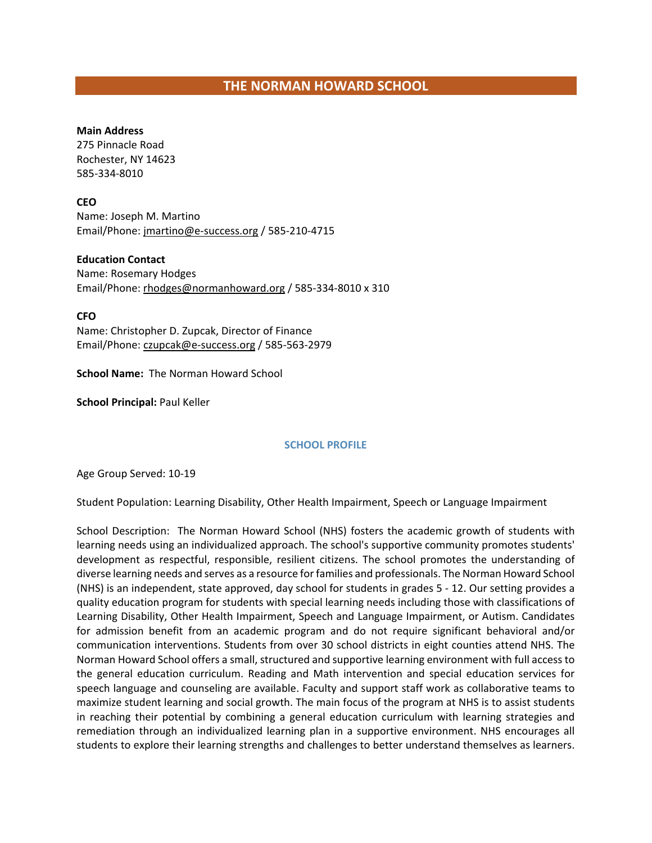#### **Main Address**

275 Pinnacle Road Rochester, NY 14623 585-334-8010

### **CEO**

Name: Joseph M. Martino Email/Phone[: jmartino@e-success.org](mailto:jmartino@e-success.org) / 585-210-4715

### **Education Contact**

Name: Rosemary Hodges Email/Phone[: rhodges@normanhoward.org](mailto:rhodges@normanhoward.org) / 585-334-8010 x 310

### **CFO**

Name: Christopher D. Zupcak, Director of Finance Email/Phone[: czupcak@e-success.org](mailto:czupcak@e-success.org) / 585-563-2979

**School Name:** The Norman Howard School

**School Principal:** Paul Keller

### **SCHOOL PROFILE**

Age Group Served: 10-19

Student Population: Learning Disability, Other Health Impairment, Speech or Language Impairment

School Description: The Norman Howard School (NHS) fosters the academic growth of students with learning needs using an individualized approach. The school's supportive community promotes students' development as respectful, responsible, resilient citizens. The school promotes the understanding of diverse learning needs and serves as a resource for families and professionals. The Norman Howard School (NHS) is an independent, state approved, day school for students in grades 5 - 12. Our setting provides a quality education program for students with special learning needs including those with classifications of Learning Disability, Other Health Impairment, Speech and Language Impairment, or Autism. Candidates for admission benefit from an academic program and do not require significant behavioral and/or communication interventions. Students from over 30 school districts in eight counties attend NHS. The Norman Howard School offers a small, structured and supportive learning environment with full access to the general education curriculum. Reading and Math intervention and special education services for speech language and counseling are available. Faculty and support staff work as collaborative teams to maximize student learning and social growth. The main focus of the program at NHS is to assist students in reaching their potential by combining a general education curriculum with learning strategies and remediation through an individualized learning plan in a supportive environment. NHS encourages all students to explore their learning strengths and challenges to better understand themselves as learners.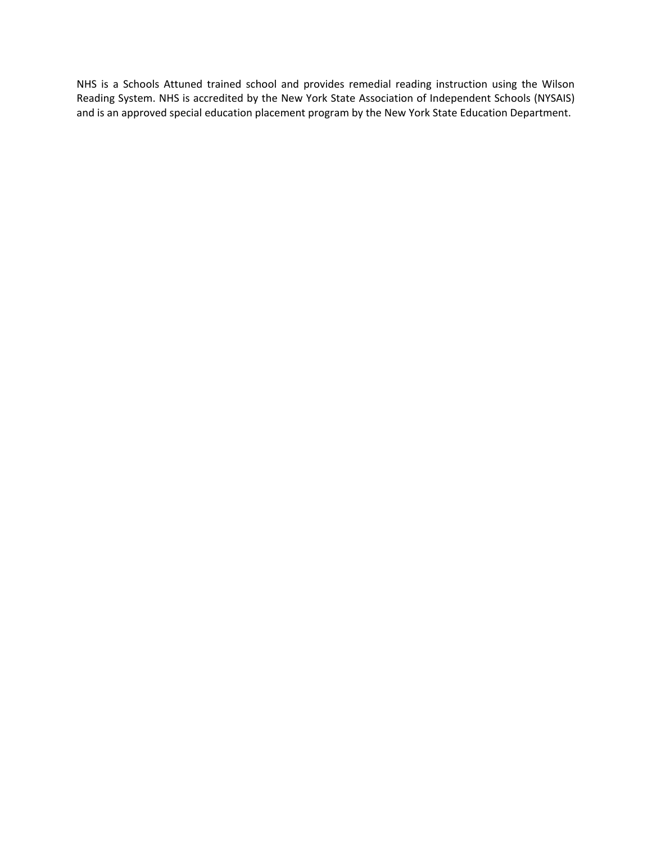NHS is a Schools Attuned trained school and provides remedial reading instruction using the Wilson Reading System. NHS is accredited by the New York State Association of Independent Schools (NYSAIS) and is an approved special education placement program by the New York State Education Department.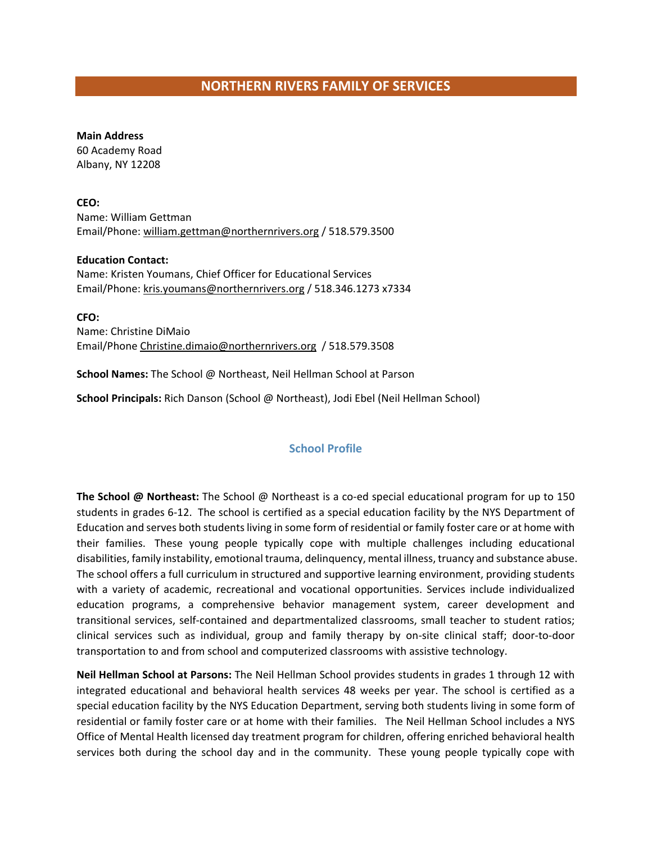# **NORTHERN RIVERS FAMILY OF SERVICES**

**Main Address** 60 Academy Road Albany, NY 12208

**CEO:**  Name: William Gettman Email/Phone: william.gettman@northernrivers.org / 518.579.3500

**Education Contact:**  Name: Kristen Youmans, Chief Officer for Educational Services Email/Phone[: kris.youmans@northernrivers.org](mailto:kris.youmans@northernrivers.org) / 518.346.1273 x7334

**CFO:**  Name: Christine DiMaio Email/Phone [Christine.dimaio@northernrivers.org](mailto:Christine.dimaio@northernrivers.org) / 518.579.3508

**School Names:** The School @ Northeast, Neil Hellman School at Parson

**School Principals:** Rich Danson (School @ Northeast), Jodi Ebel (Neil Hellman School)

### **School Profile**

**The School @ Northeast:** The School @ Northeast is a co-ed special educational program for up to 150 students in grades 6-12. The school is certified as a special education facility by the NYS Department of Education and serves both students living in some form of residential or family foster care or at home with their families. These young people typically cope with multiple challenges including educational disabilities, family instability, emotional trauma, delinquency, mental illness, truancy and substance abuse. The school offers a full curriculum in structured and supportive learning environment, providing students with a variety of academic, recreational and vocational opportunities. Services include individualized education programs, a comprehensive behavior management system, career development and transitional services, self-contained and departmentalized classrooms, small teacher to student ratios; clinical services such as individual, group and family therapy by on-site clinical staff; door-to-door transportation to and from school and computerized classrooms with assistive technology.

**Neil Hellman School at Parsons:** The Neil Hellman School provides students in grades 1 through 12 with integrated educational and behavioral health services 48 weeks per year. The school is certified as a special education facility by the NYS Education Department, serving both students living in some form of residential or family foster care or at home with their families. The Neil Hellman School includes a NYS Office of Mental Health licensed day treatment program for children, offering enriched behavioral health services both during the school day and in the community. These young people typically cope with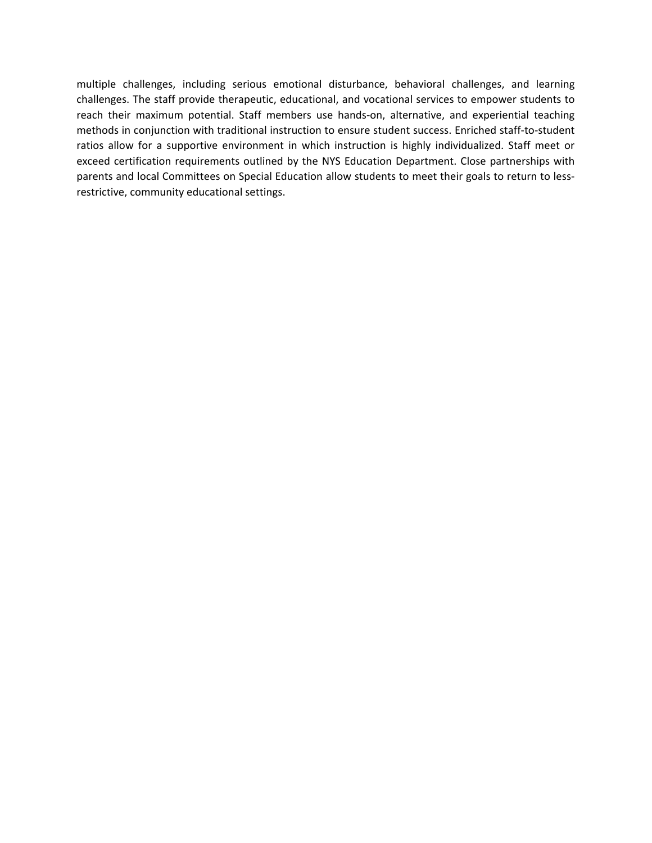multiple challenges, including serious emotional disturbance, behavioral challenges, and learning challenges. The staff provide therapeutic, educational, and vocational services to empower students to reach their maximum potential. Staff members use hands-on, alternative, and experiential teaching methods in conjunction with traditional instruction to ensure student success. Enriched staff-to-student ratios allow for a supportive environment in which instruction is highly individualized. Staff meet or exceed certification requirements outlined by the NYS Education Department. Close partnerships with parents and local Committees on Special Education allow students to meet their goals to return to lessrestrictive, community educational settings.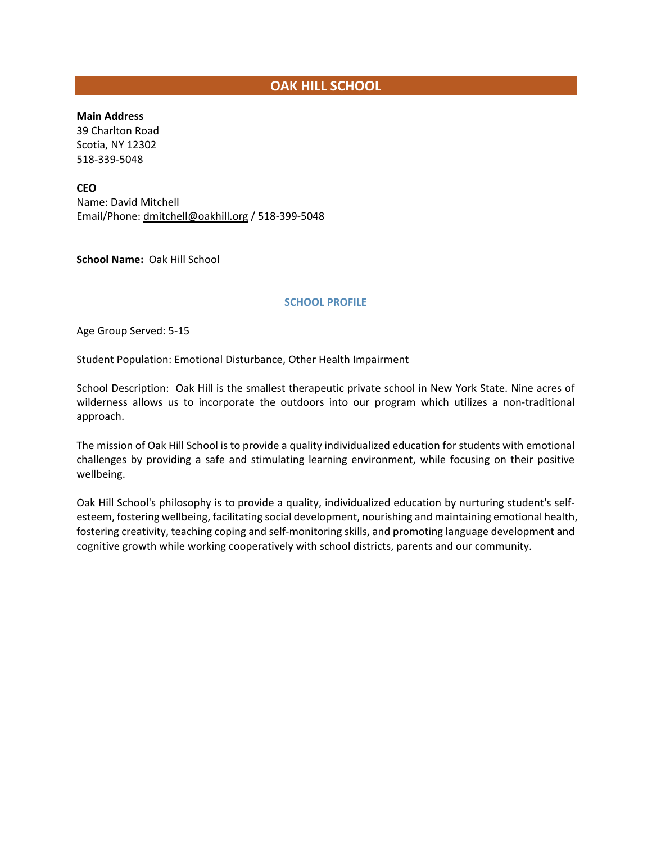# **OAK HILL SCHOOL**

**Main Address**

39 Charlton Road Scotia, NY 12302 518-339-5048

**CEO**

Name: David Mitchell Email/Phone[: dmitchell@oakhill.org](mailto:dmitchell@oakhill.org) / 518-399-5048

**School Name:** Oak Hill School

#### **SCHOOL PROFILE**

Age Group Served: 5-15

Student Population: Emotional Disturbance, Other Health Impairment

School Description: Oak Hill is the smallest therapeutic private school in New York State. Nine acres of wilderness allows us to incorporate the outdoors into our program which utilizes a non-traditional approach.

The mission of Oak Hill School is to provide a quality individualized education for students with emotional challenges by providing a safe and stimulating learning environment, while focusing on their positive wellbeing.

Oak Hill School's philosophy is to provide a quality, individualized education by nurturing student's selfesteem, fostering wellbeing, facilitating social development, nourishing and maintaining emotional health, fostering creativity, teaching coping and self-monitoring skills, and promoting language development and cognitive growth while working cooperatively with school districts, parents and our community.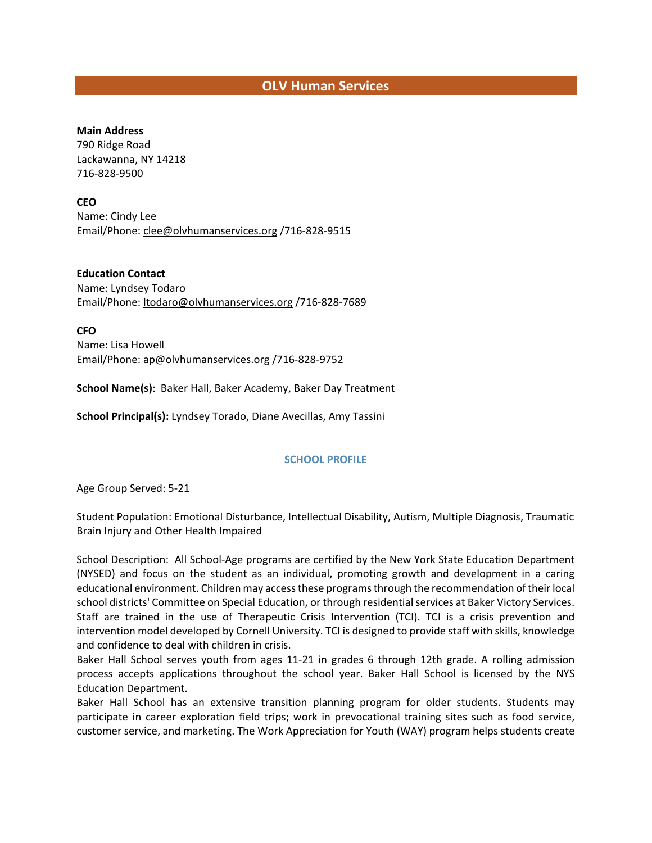## **OLV Human Services**

#### **Main Address**

790 Ridge Road Lackawanna, NY 14218 716-828-9500

### **CEO**

Name: Cindy Lee Email/Phone[: clee@olvhumanservices.org](file://DCFS01/USERS/dmcleod/853%20Coalition/Member%20Lists/clee@olvhumanservices.org%20) /716-828-9515

**Education Contact** Name: Lyndsey Todaro Email/Phone[: ltodaro@olvhumanservices.org](file://DCFS01/USERS/dmcleod/853%20Coalition/Member%20Lists/ltodaro@olvhumanservices.org%20) /716-828-7689

**CFO** Name: Lisa Howell Email/Phone[: ap@olvhumanservices.org](file://DCFS01/USERS/dmcleod/853%20Coalition/Member%20Lists/ap@olvhumanservices.org%20) /716-828-9752

**School Name(s)**: Baker Hall, Baker Academy, Baker Day Treatment

**School Principal(s):** Lyndsey Torado, Diane Avecillas, Amy Tassini

#### **SCHOOL PROFILE**

Age Group Served: 5-21

Student Population: Emotional Disturbance, Intellectual Disability, Autism, Multiple Diagnosis, Traumatic Brain Injury and Other Health Impaired

School Description: All School-Age programs are certified by the New York State Education Department (NYSED) and focus on the student as an individual, promoting growth and development in a caring educational environment. Children may access these programs through the recommendation of their local school districts' Committee on Special Education, or through residential services at Baker Victory Services. Staff are trained in the use of Therapeutic Crisis Intervention (TCI). TCI is a crisis prevention and intervention model developed by Cornell University. TCI is designed to provide staff with skills, knowledge and confidence to deal with children in crisis.

Baker Hall School serves youth from ages 11-21 in grades 6 through 12th grade. A rolling admission process accepts applications throughout the school year. Baker Hall School is licensed by the NYS Education Department.

Baker Hall School has an extensive transition planning program for older students. Students may participate in career exploration field trips; work in prevocational training sites such as food service, customer service, and marketing. The Work Appreciation for Youth (WAY) program helps students create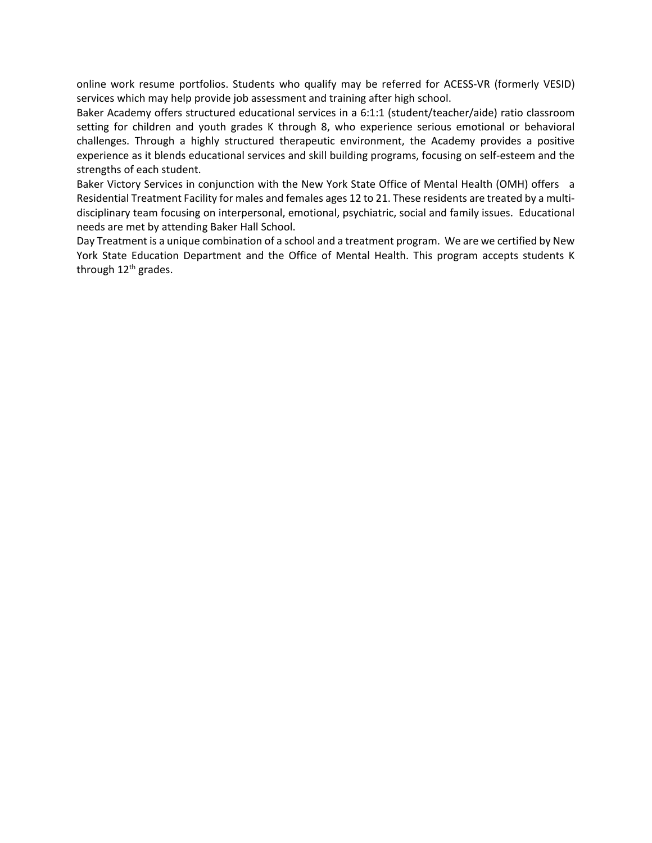online work resume portfolios. Students who qualify may be referred for ACESS-VR (formerly VESID) services which may help provide job assessment and training after high school.

Baker Academy offers structured educational services in a 6:1:1 (student/teacher/aide) ratio classroom setting for children and youth grades K through 8, who experience serious emotional or behavioral challenges. Through a highly structured therapeutic environment, the Academy provides a positive experience as it blends educational services and skill building programs, focusing on self-esteem and the strengths of each student.

Baker Victory Services in conjunction with the New York State Office of Mental Health (OMH) offers a Residential Treatment Facility for males and females ages 12 to 21. These residents are treated by a multidisciplinary team focusing on interpersonal, emotional, psychiatric, social and family issues. Educational needs are met by attending Baker Hall School.

Day Treatment is a unique combination of a school and a treatment program. We are we certified by New York State Education Department and the Office of Mental Health. This program accepts students K through 12<sup>th</sup> grades.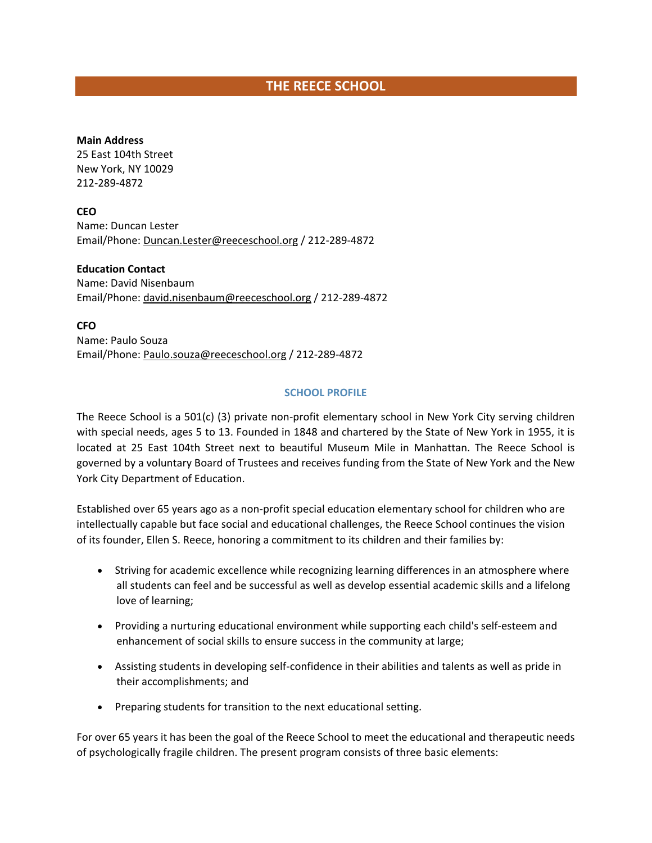# **THE REECE SCHOOL**

### **Main Address**

25 East 104th Street New York, NY 10029 212-289-4872

**CEO** Name: Duncan Lester Email/Phone[: Duncan.Lester@reeceschool.org](mailto:Duncan.Lester@reeceschool.org) / 212-289-4872

**Education Contact** Name: David Nisenbaum Email/Phone[: david.nisenbaum@reeceschool.org](mailto:david.nisenbaum@reeceschool.org) / 212-289-4872

**CFO** Name: Paulo Souza Email/Phone[: Paulo.souza@reeceschool.org](mailto:Paulo.souza@reeceschool.org) / 212-289-4872

### **SCHOOL PROFILE**

The Reece School is a 501(c) (3) private non-profit elementary school in New York City serving children with special needs, ages 5 to 13. Founded in 1848 and chartered by the State of New York in 1955, it is located at 25 East 104th Street next to beautiful Museum Mile in Manhattan. The Reece School is governed by a voluntary Board of Trustees and receives funding from the State of New York and the New York City Department of Education.

Established over 65 years ago as a non-profit special education elementary school for children who are intellectually capable but face social and educational challenges, the Reece School continues the vision of its founder, Ellen S. Reece, honoring a commitment to its children and their families by:

- Striving for academic excellence while recognizing learning differences in an atmosphere where all students can feel and be successful as well as develop essential academic skills and a lifelong love of learning;
- Providing a nurturing educational environment while supporting each child's self-esteem and enhancement of social skills to ensure success in the community at large;
- Assisting students in developing self-confidence in their abilities and talents as well as pride in their accomplishments; and
- Preparing students for transition to the next educational setting.

For over 65 years it has been the goal of the Reece School to meet the educational and therapeutic needs of psychologically fragile children. The present program consists of three basic elements: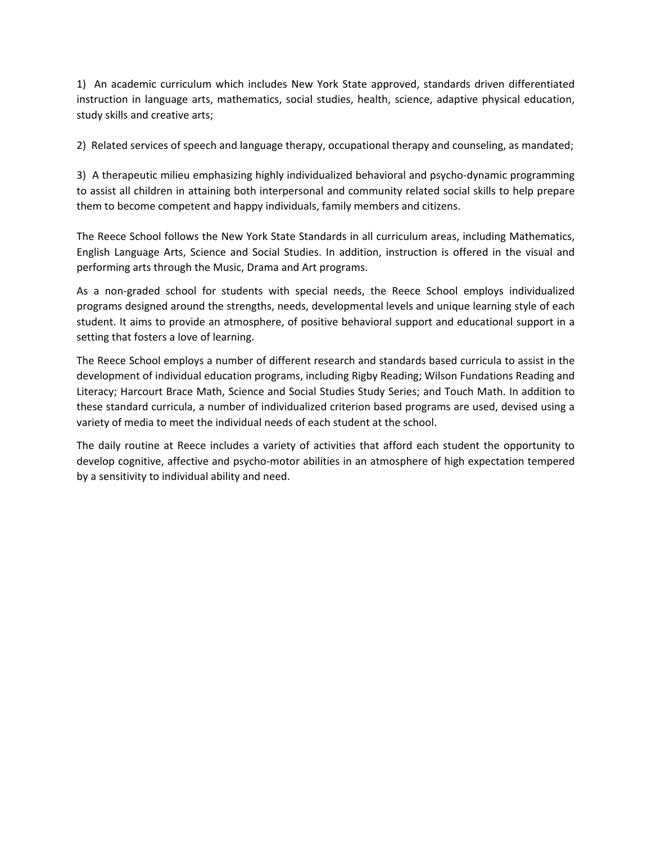1) An academic curriculum which includes New York State approved, standards driven differentiated instruction in language arts, mathematics, social studies, health, science, adaptive physical education, study skills and creative arts;

2) Related services of speech and language therapy, occupational therapy and counseling, as mandated;

3) A therapeutic milieu emphasizing highly individualized behavioral and psycho-dynamic programming to assist all children in attaining both interpersonal and community related social skills to help prepare them to become competent and happy individuals, family members and citizens.

The Reece School follows the New York State Standards in all curriculum areas, including Mathematics, English Language Arts, Science and Social Studies. In addition, instruction is offered in the visual and performing arts through the Music, Drama and Art programs.

As a non-graded school for students with special needs, the Reece School employs individualized programs designed around the strengths, needs, developmental levels and unique learning style of each student. It aims to provide an atmosphere, of positive behavioral support and educational support in a setting that fosters a love of learning.

The Reece School employs a number of different research and standards based curricula to assist in the development of individual education programs, including Rigby Reading; Wilson Fundations Reading and Literacy; Harcourt Brace Math, Science and Social Studies Study Series; and Touch Math. In addition to these standard curricula, a number of individualized criterion based programs are used, devised using a variety of media to meet the individual needs of each student at the school.

The daily routine at Reece includes a variety of activities that afford each student the opportunity to develop cognitive, affective and psycho-motor abilities in an atmosphere of high expectation tempered by a sensitivity to individual ability and need.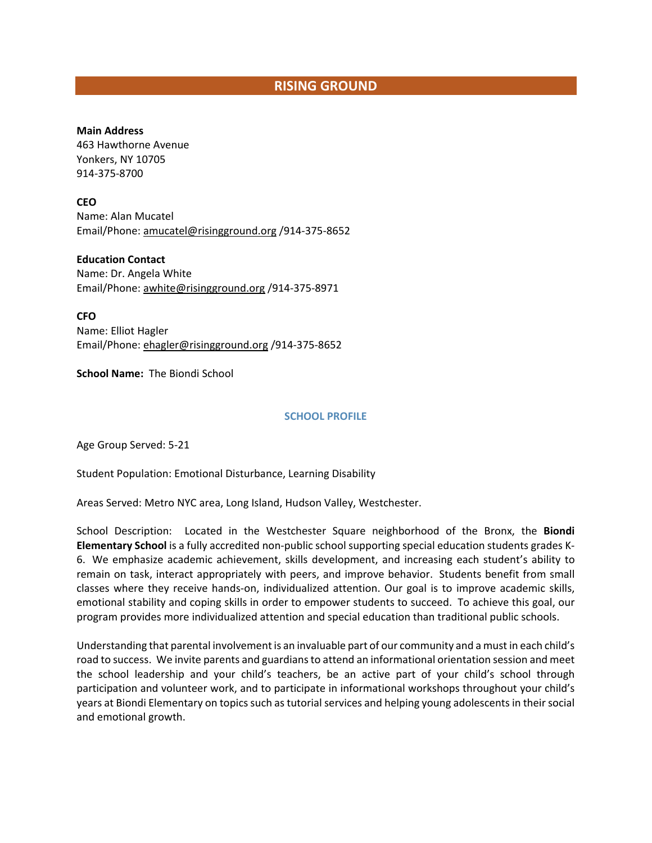# **RISING GROUND**

#### **Main Address**

463 Hawthorne Avenue Yonkers, NY 10705 914-375-8700

### **CEO**

Name: Alan Mucatel Email/Phone[: amucatel@risingground.org](mailto:amucatel@risingground.org) /914-375-8652

# **Education Contact**

Name: Dr. Angela White Email/Phone[: awhite@risingground.org](mailto:awhite@risingground.org) /914-375-8971

**CFO**

Name: Elliot Hagler Email/Phone[: ehagler@risingground.org](mailto:ehagler@risingground.org) /914-375-8652

**School Name:** The Biondi School

### **SCHOOL PROFILE**

Age Group Served: 5-21

Student Population: Emotional Disturbance, Learning Disability

Areas Served: Metro NYC area, Long Island, Hudson Valley, Westchester.

School Description: Located in the Westchester Square neighborhood of the Bronx, the **Biondi Elementary School** is a fully accredited non-public school supporting special education students grades K-6. We emphasize academic achievement, skills development, and increasing each student's ability to remain on task, interact appropriately with peers, and improve behavior. Students benefit from small classes where they receive hands-on, individualized attention. Our goal is to improve academic skills, emotional stability and coping skills in order to empower students to succeed. To achieve this goal, our program provides more individualized attention and special education than traditional public schools.

Understanding that parental involvement is an invaluable part of our community and a must in each child's road to success. We invite parents and guardians to attend an informational orientation session and meet the school leadership and your child's teachers, be an active part of your child's school through participation and volunteer work, and to participate in informational workshops throughout your child's years at Biondi Elementary on topics such as tutorial services and helping young adolescents in their social and emotional growth.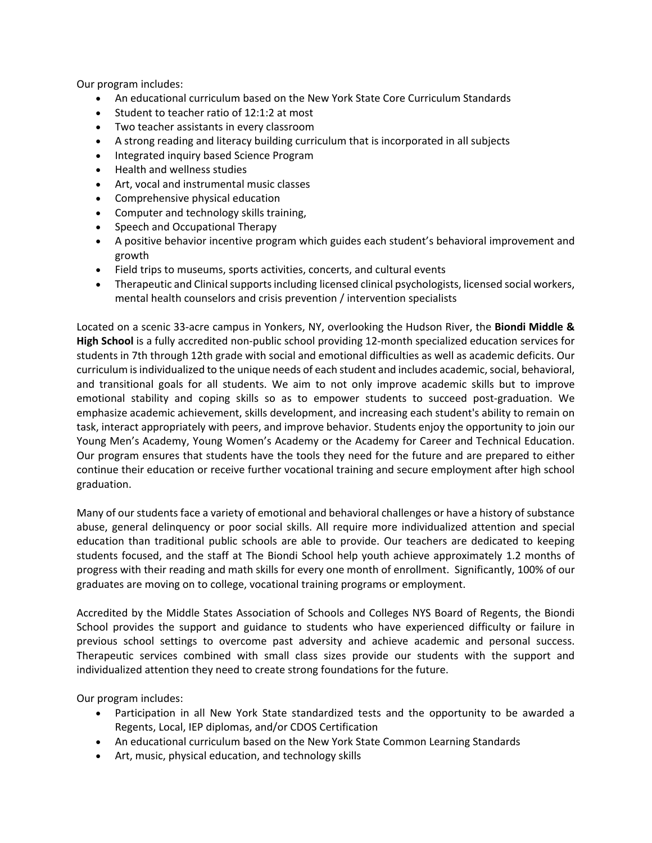Our program includes:

- An educational curriculum based on the New York State Core Curriculum Standards
- Student to teacher ratio of 12:1:2 at most
- Two teacher assistants in every classroom
- A strong reading and literacy building curriculum that is incorporated in all subjects
- Integrated inquiry based Science Program
- Health and wellness studies
- Art, vocal and instrumental music classes
- Comprehensive physical education
- Computer and technology skills training,
- Speech and Occupational Therapy
- A positive behavior incentive program which guides each student's behavioral improvement and growth
- Field trips to museums, sports activities, concerts, and cultural events
- Therapeutic and Clinical supports including licensed clinical psychologists, licensed social workers, mental health counselors and crisis prevention / intervention specialists

Located on a scenic 33-acre campus in Yonkers, NY, overlooking the Hudson River, the **Biondi Middle & High School** is a fully accredited non-public school providing 12-month specialized education services for students in 7th through 12th grade with social and emotional difficulties as well as academic deficits. Our curriculum is individualized to the unique needs of each student and includes academic, social, behavioral, and transitional goals for all students. We aim to not only improve academic skills but to improve emotional stability and coping skills so as to empower students to succeed post-graduation. We emphasize academic achievement, skills development, and increasing each student's ability to remain on task, interact appropriately with peers, and improve behavior. Students enjoy the opportunity to join our Young Men's Academy, Young Women's Academy or the Academy for Career and Technical Education. Our program ensures that students have the tools they need for the future and are prepared to either continue their education or receive further vocational training and secure employment after high school graduation.

Many of our students face a variety of emotional and behavioral challenges or have a history of substance abuse, general delinquency or poor social skills. All require more individualized attention and special education than traditional public schools are able to provide. Our teachers are dedicated to keeping students focused, and the staff at The Biondi School help youth achieve approximately 1.2 months of progress with their reading and math skills for every one month of enrollment. Significantly, 100% of our graduates are moving on to college, vocational training programs or employment.

Accredited by the Middle States Association of Schools and Colleges NYS Board of Regents, the Biondi School provides the support and guidance to students who have experienced difficulty or failure in previous school settings to overcome past adversity and achieve academic and personal success. Therapeutic services combined with small class sizes provide our students with the support and individualized attention they need to create strong foundations for the future.

Our program includes:

- Participation in all New York State standardized tests and the opportunity to be awarded a Regents, Local, IEP diplomas, and/or CDOS Certification
- An educational curriculum based on the New York State Common Learning Standards
- Art, music, physical education, and technology skills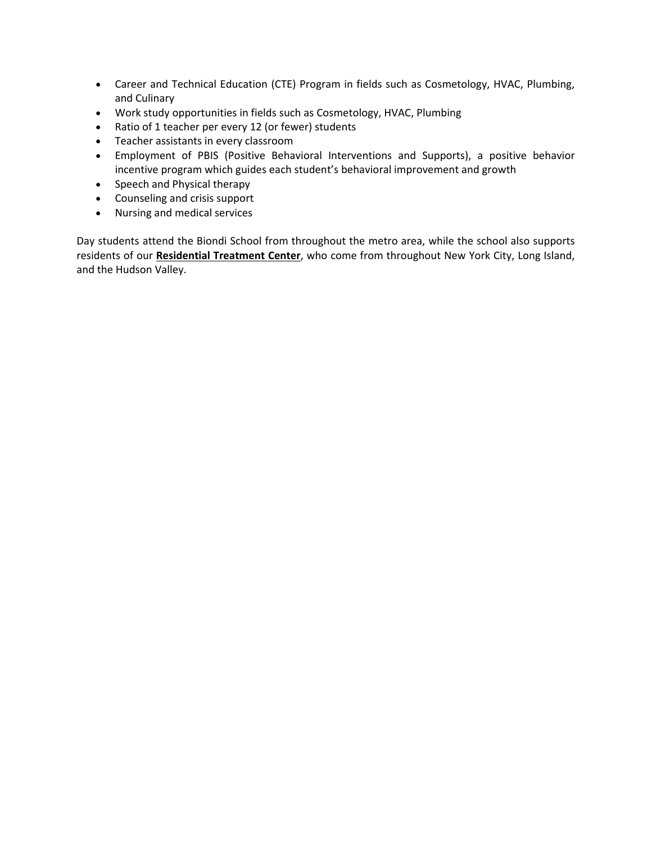- Career and Technical Education (CTE) Program in fields such as Cosmetology, HVAC, Plumbing, and Culinary
- Work study opportunities in fields such as Cosmetology, HVAC, Plumbing
- Ratio of 1 teacher per every 12 (or fewer) students
- Teacher assistants in every classroom
- Employment of PBIS (Positive Behavioral Interventions and Supports), a positive behavior incentive program which guides each student's behavioral improvement and growth
- Speech and Physical therapy
- Counseling and crisis support
- Nursing and medical services

Day students attend the Biondi School from throughout the metro area, while the school also supports residents of our **[Residential Treatment Center](http://leakeandwatts.org/residential-treatment-center)**, who come from throughout New York City, Long Island, and the Hudson Valley.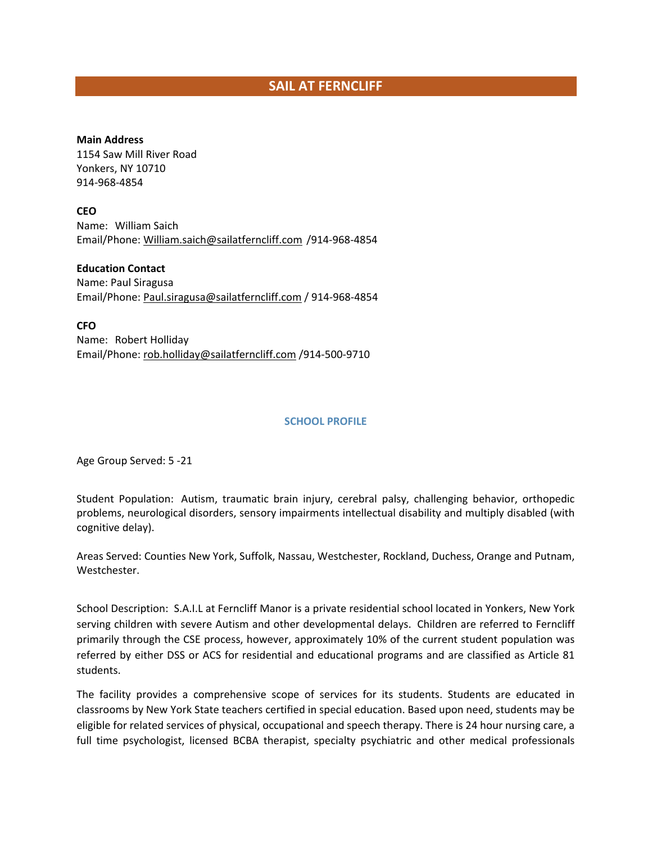# **SAIL AT FERNCLIFF**

### **Main Address**

1154 Saw Mill River Road Yonkers, NY 10710 914-968-4854

**CEO** Name: William Saich Email/Phone: [William.saich@sailatferncliff.com](mailto:William.saich@sailatferncliff.com) /914-968-4854

**Education Contact** Name: Paul Siragusa Email/Phone: [Paul.siragusa@sailatferncliff.com](mailto:Paul.siragusa@sailatferncliff.com) / 914-968-4854

**CFO** Name: Robert Holliday Email/Phone: [rob.holliday@sailatferncliff.com](mailto:rob.holliday@sailatferncliff.com) /914-500-9710

#### **SCHOOL PROFILE**

Age Group Served: 5 -21

Student Population: Autism, traumatic brain injury, cerebral palsy, challenging behavior, orthopedic problems, neurological disorders, sensory impairments intellectual disability and multiply disabled (with cognitive delay).

Areas Served: Counties New York, Suffolk, Nassau, Westchester, Rockland, Duchess, Orange and Putnam, Westchester.

School Description: S.A.I.L at Ferncliff Manor is a private residential school located in Yonkers, New York serving children with severe Autism and other developmental delays. Children are referred to Ferncliff primarily through the CSE process, however, approximately 10% of the current student population was referred by either DSS or ACS for residential and educational programs and are classified as Article 81 students.

The facility provides a comprehensive scope of services for its students. Students are educated in classrooms by New York State teachers certified in special education. Based upon need, students may be eligible for related services of physical, occupational and speech therapy. There is 24 hour nursing care, a full time psychologist, licensed BCBA therapist, specialty psychiatric and other medical professionals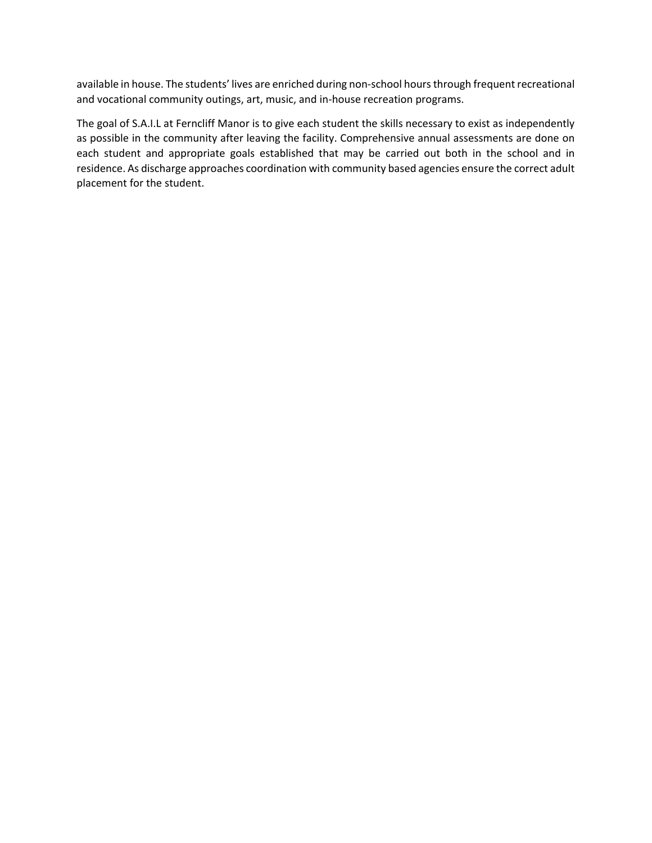available in house. The students' lives are enriched during non-school hours through frequent recreational and vocational community outings, art, music, and in-house recreation programs.

The goal of S.A.I.L at Ferncliff Manor is to give each student the skills necessary to exist as independently as possible in the community after leaving the facility. Comprehensive annual assessments are done on each student and appropriate goals established that may be carried out both in the school and in residence. As discharge approaches coordination with community based agencies ensure the correct adult placement for the student.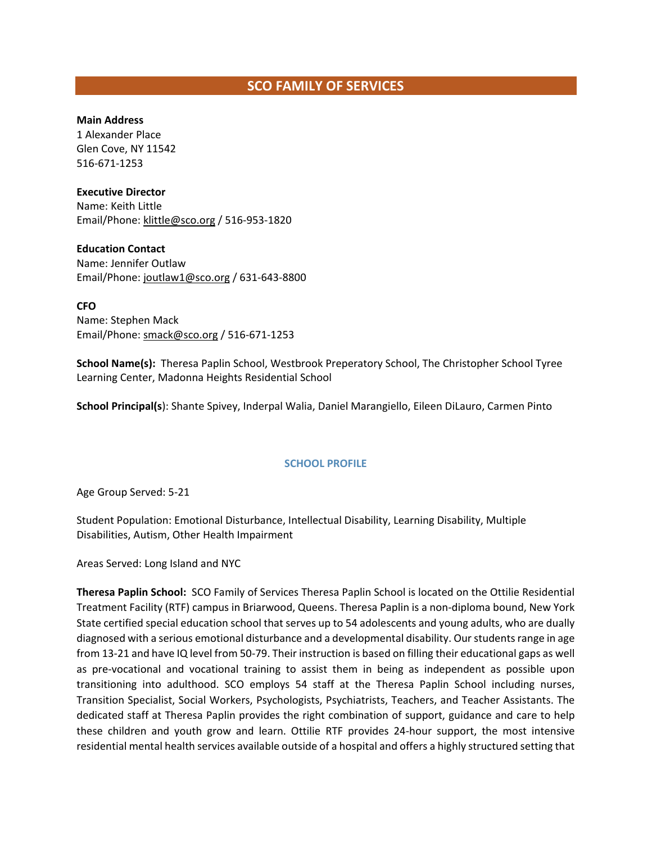# **SCO FAMILY OF SERVICES**

### **Main Address**

1 Alexander Place Glen Cove, NY 11542 516-671-1253

### **Executive Director**

Name: Keith Little Email/Phone[: klittle@sco.org](mailto:klittle@sco.org) / 516-953-1820

### **Education Contact**

Name: Jennifer Outlaw Email/Phone: joutlaw1@sco.org / 631-643-8800

### **CFO**

Name: Stephen Mack Email/Phone[: smack@sco.org](mailto:smack@sco.org) / 516-671-1253

**School Name(s):** Theresa Paplin School, Westbrook Preperatory School, The Christopher School Tyree Learning Center, Madonna Heights Residential School

**School Principal(s**): Shante Spivey, Inderpal Walia, Daniel Marangiello, Eileen DiLauro, Carmen Pinto

### **SCHOOL PROFILE**

Age Group Served: 5-21

Student Population: Emotional Disturbance, Intellectual Disability, Learning Disability, Multiple Disabilities, Autism, Other Health Impairment

Areas Served: Long Island and NYC

**Theresa Paplin School:** SCO Family of Services Theresa Paplin School is located on the Ottilie Residential Treatment Facility (RTF) campus in Briarwood, Queens. Theresa Paplin is a non-diploma bound, New York State certified special education school that serves up to 54 adolescents and young adults, who are dually diagnosed with a serious emotional disturbance and a developmental disability. Our students range in age from 13-21 and have IQ level from 50-79. Their instruction is based on filling their educational gaps as well as pre-vocational and vocational training to assist them in being as independent as possible upon transitioning into adulthood. SCO employs 54 staff at the Theresa Paplin School including nurses, Transition Specialist, Social Workers, Psychologists, Psychiatrists, Teachers, and Teacher Assistants. The dedicated staff at Theresa Paplin provides the right combination of support, guidance and care to help these children and youth grow and learn. Ottilie RTF provides 24-hour support, the most intensive residential mental health services available outside of a hospital and offers a highly structured setting that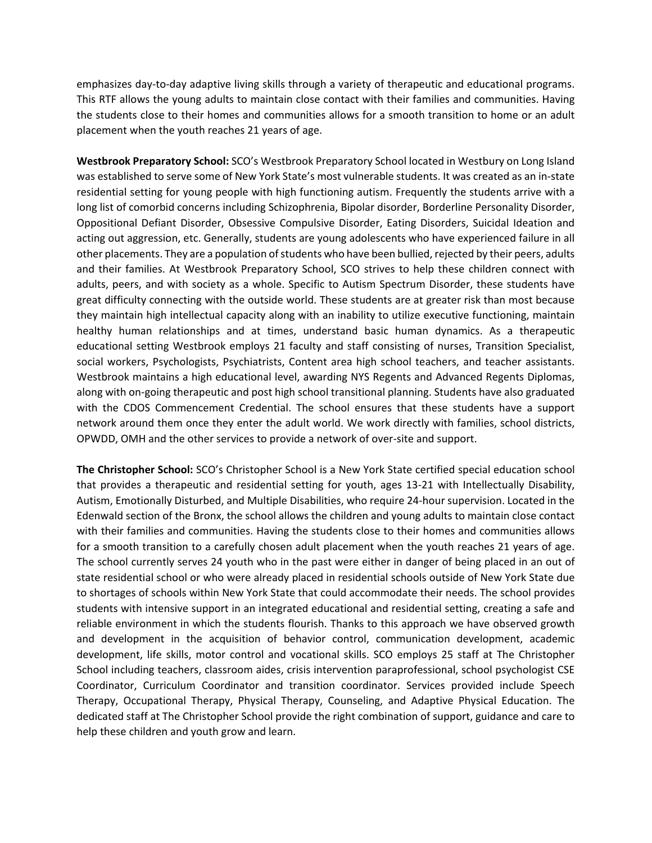emphasizes day-to-day adaptive living skills through a variety of therapeutic and educational programs. This RTF allows the young adults to maintain close contact with their families and communities. Having the students close to their homes and communities allows for a smooth transition to home or an adult placement when the youth reaches 21 years of age.

**Westbrook Preparatory School:** SCO's Westbrook Preparatory School located in Westbury on Long Island was established to serve some of New York State's most vulnerable students. It was created as an in-state residential setting for young people with high functioning autism. Frequently the students arrive with a long list of comorbid concerns including Schizophrenia, Bipolar disorder, Borderline Personality Disorder, Oppositional Defiant Disorder, Obsessive Compulsive Disorder, Eating Disorders, Suicidal Ideation and acting out aggression, etc. Generally, students are young adolescents who have experienced failure in all other placements. They are a population of students who have been bullied, rejected by their peers, adults and their families. At Westbrook Preparatory School, SCO strives to help these children connect with adults, peers, and with society as a whole. Specific to Autism Spectrum Disorder, these students have great difficulty connecting with the outside world. These students are at greater risk than most because they maintain high intellectual capacity along with an inability to utilize executive functioning, maintain healthy human relationships and at times, understand basic human dynamics. As a therapeutic educational setting Westbrook employs 21 faculty and staff consisting of nurses, Transition Specialist, social workers, Psychologists, Psychiatrists, Content area high school teachers, and teacher assistants. Westbrook maintains a high educational level, awarding NYS Regents and Advanced Regents Diplomas, along with on-going therapeutic and post high school transitional planning. Students have also graduated with the CDOS Commencement Credential. The school ensures that these students have a support network around them once they enter the adult world. We work directly with families, school districts, OPWDD, OMH and the other services to provide a network of over-site and support.

**The Christopher School:** SCO's Christopher School is a New York State certified special education school that provides a therapeutic and residential setting for youth, ages 13-21 with Intellectually Disability, Autism, Emotionally Disturbed, and Multiple Disabilities, who require 24-hour supervision. Located in the Edenwald section of the Bronx, the school allows the children and young adults to maintain close contact with their families and communities. Having the students close to their homes and communities allows for a smooth transition to a carefully chosen adult placement when the youth reaches 21 years of age. The school currently serves 24 youth who in the past were either in danger of being placed in an out of state residential school or who were already placed in residential schools outside of New York State due to shortages of schools within New York State that could accommodate their needs. The school provides students with intensive support in an integrated educational and residential setting, creating a safe and reliable environment in which the students flourish. Thanks to this approach we have observed growth and development in the acquisition of behavior control, communication development, academic development, life skills, motor control and vocational skills. SCO employs 25 staff at The Christopher School including teachers, classroom aides, crisis intervention paraprofessional, school psychologist CSE Coordinator, Curriculum Coordinator and transition coordinator. Services provided include Speech Therapy, Occupational Therapy, Physical Therapy, Counseling, and Adaptive Physical Education. The dedicated staff at The Christopher School provide the right combination of support, guidance and care to help these children and youth grow and learn.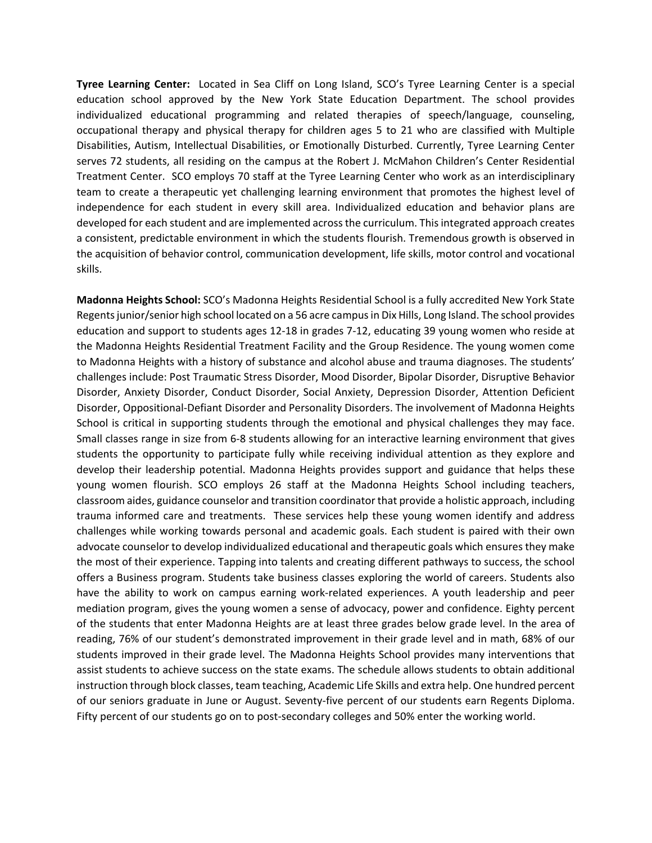**Tyree Learning Center:** Located in Sea Cliff on Long Island, SCO's Tyree Learning Center is a special education school approved by the New York State Education Department. The school provides individualized educational programming and related therapies of speech/language, counseling, occupational therapy and physical therapy for children ages 5 to 21 who are classified with Multiple Disabilities, Autism, Intellectual Disabilities, or Emotionally Disturbed. Currently, Tyree Learning Center serves 72 students, all residing on the campus at the Robert J. McMahon Children's Center Residential Treatment Center. SCO employs 70 staff at the Tyree Learning Center who work as an interdisciplinary team to create a therapeutic yet challenging learning environment that promotes the highest level of independence for each student in every skill area. Individualized education and behavior plans are developed for each student and are implemented across the curriculum. This integrated approach creates a consistent, predictable environment in which the students flourish. Tremendous growth is observed in the acquisition of behavior control, communication development, life skills, motor control and vocational skills.

**Madonna Heights School:** SCO's Madonna Heights Residential School is a fully accredited New York State Regents junior/senior high school located on a 56 acre campus in Dix Hills, Long Island. The school provides education and support to students ages 12-18 in grades 7-12, educating 39 young women who reside at the Madonna Heights Residential Treatment Facility and the Group Residence. The young women come to Madonna Heights with a history of substance and alcohol abuse and trauma diagnoses. The students' challenges include: Post Traumatic Stress Disorder, Mood Disorder, Bipolar Disorder, Disruptive Behavior Disorder, Anxiety Disorder, Conduct Disorder, Social Anxiety, Depression Disorder, Attention Deficient Disorder, Oppositional-Defiant Disorder and Personality Disorders. The involvement of Madonna Heights School is critical in supporting students through the emotional and physical challenges they may face. Small classes range in size from 6-8 students allowing for an interactive learning environment that gives students the opportunity to participate fully while receiving individual attention as they explore and develop their leadership potential. Madonna Heights provides support and guidance that helps these young women flourish. SCO employs 26 staff at the Madonna Heights School including teachers, classroom aides, guidance counselor and transition coordinator that provide a holistic approach, including trauma informed care and treatments. These services help these young women identify and address challenges while working towards personal and academic goals. Each student is paired with their own advocate counselor to develop individualized educational and therapeutic goals which ensures they make the most of their experience. Tapping into talents and creating different pathways to success, the school offers a Business program. Students take business classes exploring the world of careers. Students also have the ability to work on campus earning work-related experiences. A youth leadership and peer mediation program, gives the young women a sense of advocacy, power and confidence. Eighty percent of the students that enter Madonna Heights are at least three grades below grade level. In the area of reading, 76% of our student's demonstrated improvement in their grade level and in math, 68% of our students improved in their grade level. The Madonna Heights School provides many interventions that assist students to achieve success on the state exams. The schedule allows students to obtain additional instruction through block classes, team teaching, Academic Life Skills and extra help. One hundred percent of our seniors graduate in June or August. Seventy-five percent of our students earn Regents Diploma. Fifty percent of our students go on to post-secondary colleges and 50% enter the working world.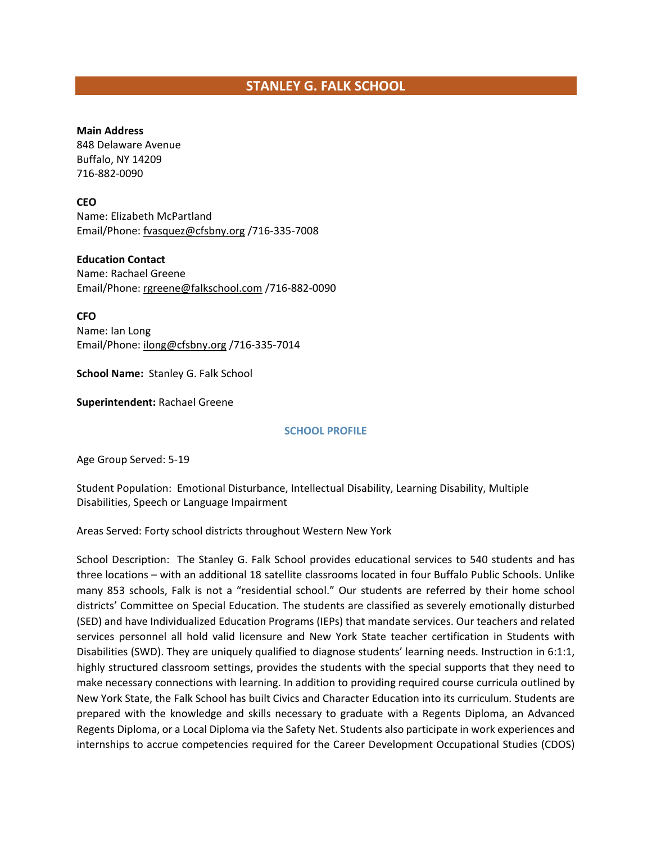# **STANLEY G. FALK SCHOOL**

#### **Main Address**

848 Delaware Avenue Buffalo, NY 14209 716-882-0090

### **CEO**

Name: Elizabeth McPartland Email/Phone[: fvasquez@cfsbny.org](mailto:fvasquez@cfsbny.org) /716-335-7008

### **Education Contact**

Name: Rachael Greene Email/Phone[: rgreene@falkschool.com](mailto:rgreene@falkschool.com) /716-882-0090

**CFO**

Name: Ian Long Email/Phone[: ilong@cfsbny.org](mailto:ilong@cfsbny.org) /716-335-7014

**School Name:** Stanley G. Falk School

**Superintendent:** Rachael Greene

#### **SCHOOL PROFILE**

Age Group Served: 5-19

Student Population: Emotional Disturbance, Intellectual Disability, Learning Disability, Multiple Disabilities, Speech or Language Impairment

Areas Served: Forty school districts throughout Western New York

School Description: The Stanley G. Falk School provides educational services to 540 students and has three locations – with an additional 18 satellite classrooms located in four Buffalo Public Schools. Unlike many 853 schools, Falk is not a "residential school." Our students are referred by their home school districts' Committee on Special Education. The students are classified as severely emotionally disturbed (SED) and have Individualized Education Programs (IEPs) that mandate services. Our teachers and related services personnel all hold valid licensure and New York State teacher certification in Students with Disabilities (SWD). They are uniquely qualified to diagnose students' learning needs. Instruction in 6:1:1, highly structured classroom settings, provides the students with the special supports that they need to make necessary connections with learning. In addition to providing required course curricula outlined by New York State, the Falk School has built Civics and Character Education into its curriculum. Students are prepared with the knowledge and skills necessary to graduate with a Regents Diploma, an Advanced Regents Diploma, or a Local Diploma via the Safety Net. Students also participate in work experiences and internships to accrue competencies required for the Career Development Occupational Studies (CDOS)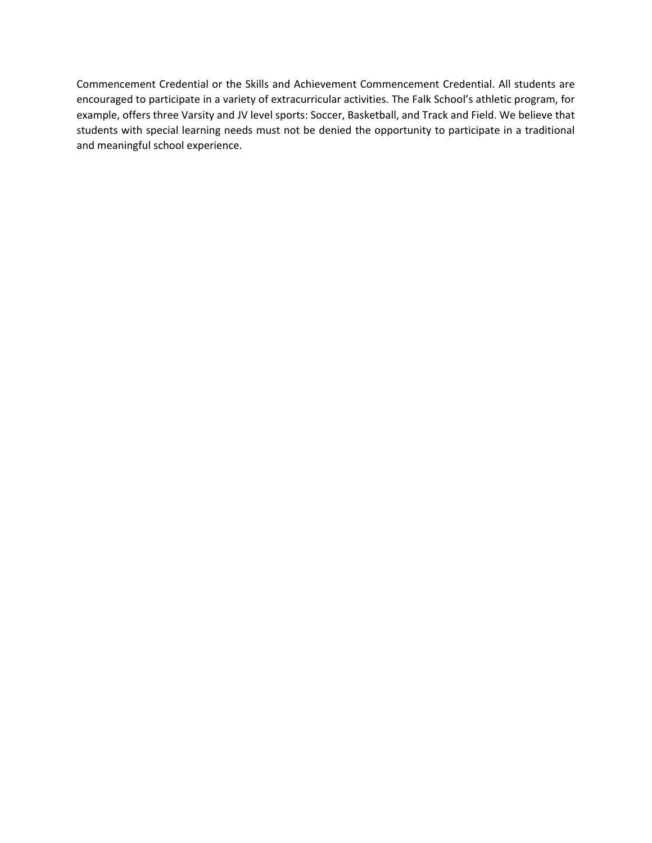Commencement Credential or the Skills and Achievement Commencement Credential. All students are encouraged to participate in a variety of extracurricular activities. The Falk School's athletic program, for example, offers three Varsity and JV level sports: Soccer, Basketball, and Track and Field. We believe that students with special learning needs must not be denied the opportunity to participate in a traditional and meaningful school experience.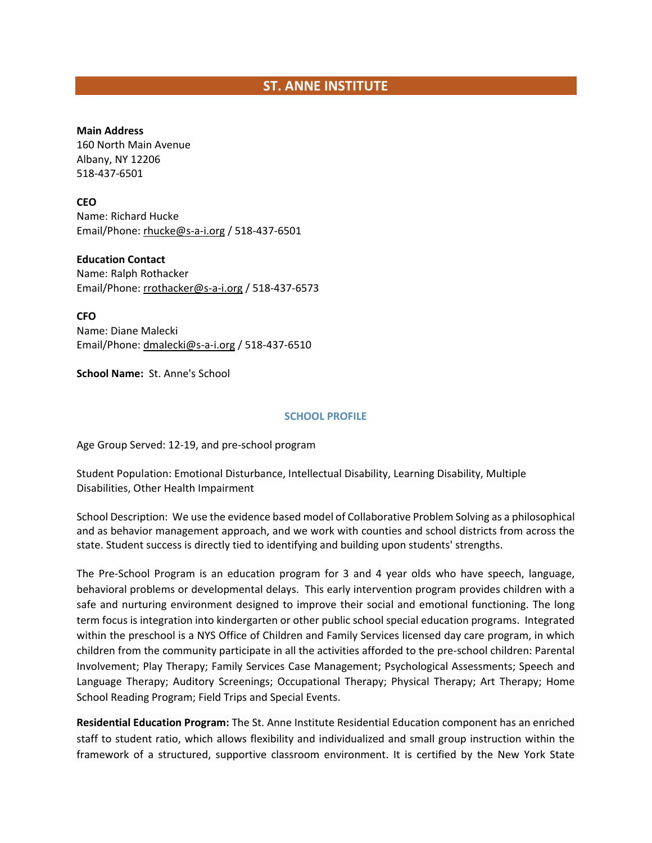# **ST. ANNE INSTITUTE**

### **Main Address**

160 North Main Avenue Albany, NY 12206 518-437-6501

### **CEO**

Name: Richard Hucke Email/Phone[: rhucke@s-a-i.org](mailto:rhucke@s-a-i.org) / 518-437-6501

### **Education Contact**

Name: Ralph Rothacker Email/Phone[: rrothacker@s-a-i.org](mailto:rrothacker@s-a-i.org) / 518-437-6573

**CFO** Name: Diane Malecki Email/Phone[: dmalecki@s-a-i.org](mailto:dmalecki@s-a-i.org) / 518-437-6510

**School Name:** St. Anne's School

### **SCHOOL PROFILE**

Age Group Served: 12-19, and pre-school program

Student Population: Emotional Disturbance, Intellectual Disability, Learning Disability, Multiple Disabilities, Other Health Impairment

School Description: We use the evidence based model of Collaborative Problem Solving as a philosophical and as behavior management approach, and we work with counties and school districts from across the state. Student success is directly tied to identifying and building upon students' strengths.

The Pre-School Program is an education program for 3 and 4 year olds who have speech, language, behavioral problems or developmental delays. This early intervention program provides children with a safe and nurturing environment designed to improve their social and emotional functioning. The long term focus is integration into kindergarten or other public school special education programs. Integrated within the preschool is a NYS Office of Children and Family Services licensed day care program, in which children from the community participate in all the activities afforded to the pre-school children: Parental Involvement; Play Therapy; Family Services Case Management; Psychological Assessments; Speech and Language Therapy; Auditory Screenings; Occupational Therapy; Physical Therapy; Art Therapy; Home School Reading Program; Field Trips and Special Events.

**Residential Education Program:** The St. Anne Institute Residential Education component has an enriched staff to student ratio, which allows flexibility and individualized and small group instruction within the framework of a structured, supportive classroom environment. It is certified by the New York State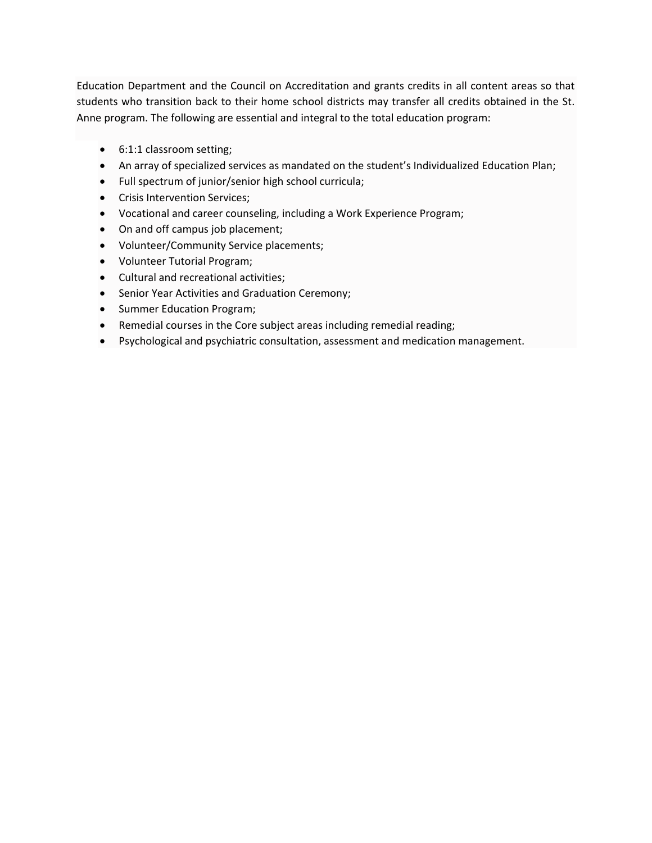Education Department and the Council on Accreditation and grants credits in all content areas so that students who transition back to their home school districts may transfer all credits obtained in the St. Anne program. The following are essential and integral to the total education program:

- 6:1:1 classroom setting;
- An array of specialized services as mandated on the student's Individualized Education Plan;
- Full spectrum of junior/senior high school curricula;
- Crisis Intervention Services;
- Vocational and career counseling, including a Work Experience Program;
- On and off campus job placement;
- Volunteer/Community Service placements;
- Volunteer Tutorial Program;
- Cultural and recreational activities;
- Senior Year Activities and Graduation Ceremony;
- Summer Education Program;
- Remedial courses in the Core subject areas including remedial reading;
- Psychological and psychiatric consultation, assessment and medication management.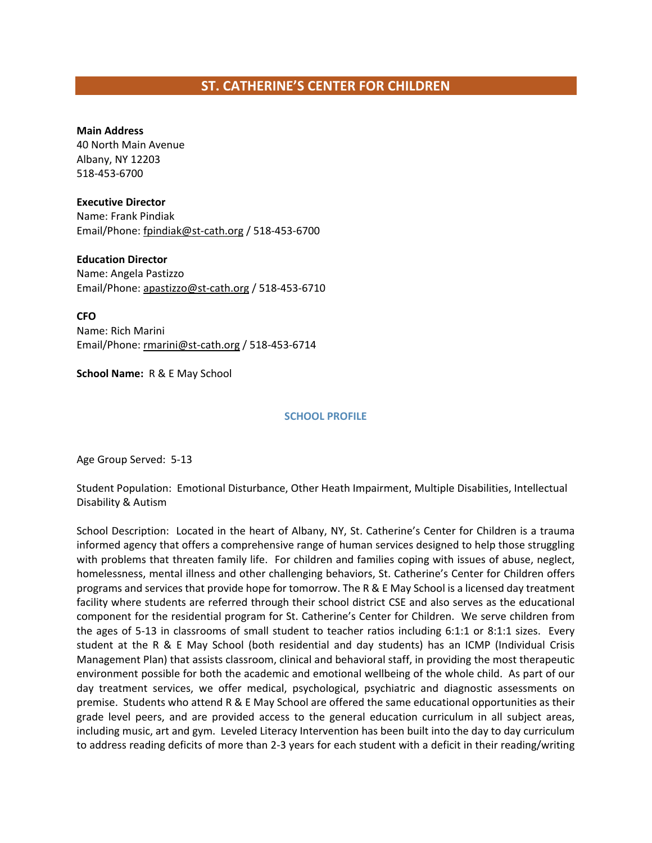# **ST. CATHERINE'S CENTER FOR CHILDREN**

#### **Main Address**

40 North Main Avenue Albany, NY 12203 518-453-6700

#### **Executive Director**

Name: Frank Pindiak Email/Phone: fpindiak@st-cath.org / 518-453-6700

### **Education Director**

Name: Angela Pastizzo Email/Phone[: apastizzo@st-cath.org](file://DCFS01/USERS/dmcleod/853%20Coalition/Member%20Lists/apastizzo@st-cath.org) / 518-453-6710

**CFO** Name: Rich Marini Email/Phone[: rmarini@st-cath.org](mailto:rmarini@st-cath.org) / 518-453-6714

**School Name:** R & E May School

#### **SCHOOL PROFILE**

Age Group Served: 5-13

Student Population: Emotional Disturbance, Other Heath Impairment, Multiple Disabilities, Intellectual Disability & Autism

School Description: Located in the heart of Albany, NY, St. Catherine's Center for Children is a trauma informed agency that offers a comprehensive range of human services designed to help those struggling with problems that threaten family life. For children and families coping with issues of abuse, neglect, homelessness, mental illness and other challenging behaviors, St. Catherine's Center for Children offers programs and services that provide hope for tomorrow. The R & E May School is a licensed day treatment facility where students are referred through their school district CSE and also serves as the educational component for the residential program for St. Catherine's Center for Children. We serve children from the ages of 5-13 in classrooms of small student to teacher ratios including 6:1:1 or 8:1:1 sizes. Every student at the R & E May School (both residential and day students) has an ICMP (Individual Crisis Management Plan) that assists classroom, clinical and behavioral staff, in providing the most therapeutic environment possible for both the academic and emotional wellbeing of the whole child. As part of our day treatment services, we offer medical, psychological, psychiatric and diagnostic assessments on premise. Students who attend R & E May School are offered the same educational opportunities as their grade level peers, and are provided access to the general education curriculum in all subject areas, including music, art and gym. Leveled Literacy Intervention has been built into the day to day curriculum to address reading deficits of more than 2-3 years for each student with a deficit in their reading/writing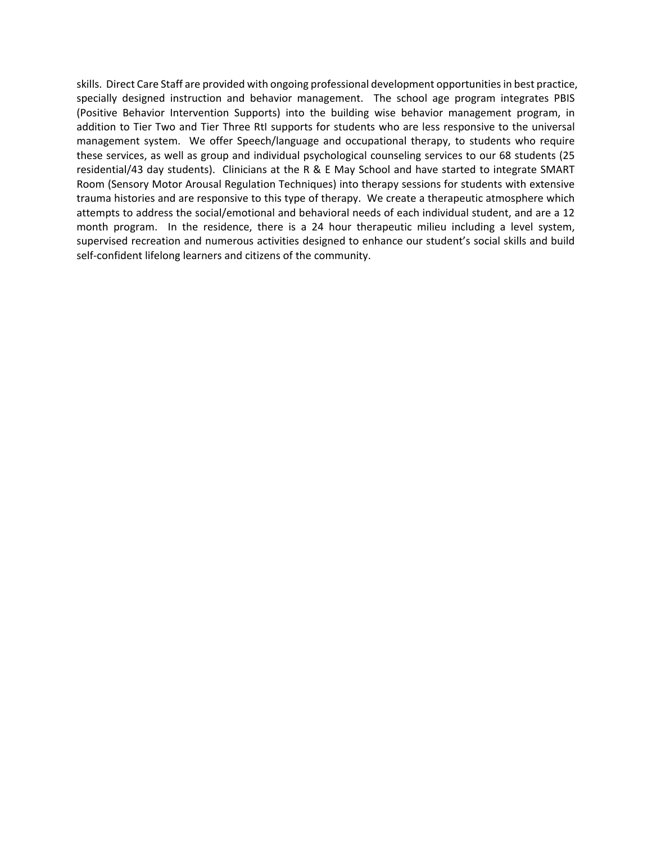skills. Direct Care Staff are provided with ongoing professional development opportunities in best practice, specially designed instruction and behavior management. The school age program integrates PBIS (Positive Behavior Intervention Supports) into the building wise behavior management program, in addition to Tier Two and Tier Three RtI supports for students who are less responsive to the universal management system. We offer Speech/language and occupational therapy, to students who require these services, as well as group and individual psychological counseling services to our 68 students (25 residential/43 day students). Clinicians at the R & E May School and have started to integrate SMART Room (Sensory Motor Arousal Regulation Techniques) into therapy sessions for students with extensive trauma histories and are responsive to this type of therapy. We create a therapeutic atmosphere which attempts to address the social/emotional and behavioral needs of each individual student, and are a 12 month program. In the residence, there is a 24 hour therapeutic milieu including a level system, supervised recreation and numerous activities designed to enhance our student's social skills and build self-confident lifelong learners and citizens of the community.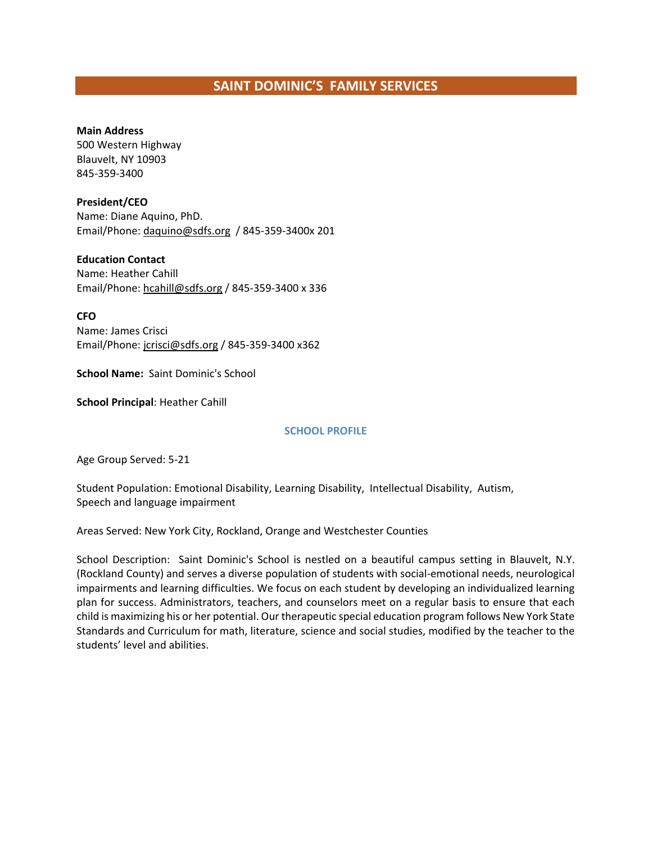# **SAINT DOMINIC'S FAMILY SERVICES**

#### **Main Address**

500 Western Highway Blauvelt, NY 10903 845-359-3400

### **President/CEO**

Name: Diane Aquino, PhD. Email/Phone[: daquino@sdfs.org](mailto:daquino@sdfs.org) / 845-359-3400x 201

### **Education Contact**

Name: Heather Cahill Email/Phone[: hcahill@sdfs.org](mailto:hcahill@sdfs.org) / 845-359-3400 x 336

**CFO**

Name: James Crisci Email/Phone[: jcrisci@sdfs.org](mailto:jcrisci@sdfs.org) / 845-359-3400 x362

**School Name:** Saint Dominic's School

**School Principal**: Heather Cahill

### **SCHOOL PROFILE**

Age Group Served: 5-21

Student Population: Emotional Disability, Learning Disability, Intellectual Disability, Autism, Speech and language impairment

Areas Served: New York City, Rockland, Orange and Westchester Counties

School Description: Saint Dominic's School is nestled on a beautiful campus setting in Blauvelt, N.Y. (Rockland County) and serves a diverse population of students with social-emotional needs, neurological impairments and learning difficulties. We focus on each student by developing an individualized learning plan for success. Administrators, teachers, and counselors meet on a regular basis to ensure that each child is maximizing his or her potential. Our therapeutic special education program follows New York State Standards and Curriculum for math, literature, science and social studies, modified by the teacher to the students' level and abilities.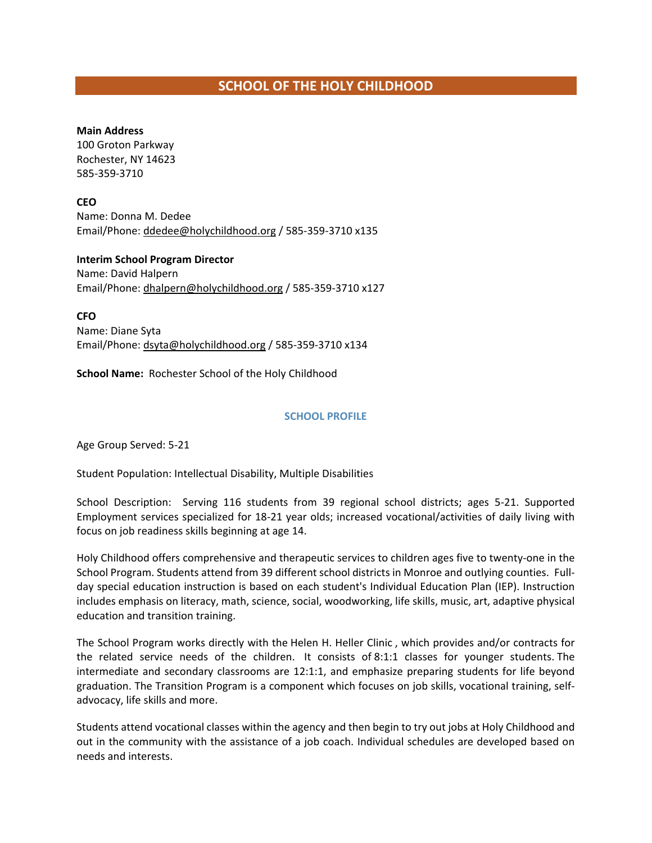# **SCHOOL OF THE HOLY CHILDHOOD**

### **Main Address**

100 Groton Parkway Rochester, NY 14623 585-359-3710

**CEO** Name: Donna M. Dedee Email/Phone[: ddedee@holychildhood.org](mailto:ddedee@holychildhood.org) / 585-359-3710 x135

**Interim School Program Director**  Name: David Halpern Email/Phone[: dhalpern@holychildhood.org](mailto:dhalpern@holychildhood.org) / 585-359-3710 x127

**CFO** Name: Diane Syta Email/Phone[: dsyta@holychildhood.org](mailto:dsyta@holychildhood.org) / 585-359-3710 x134

**School Name:** Rochester School of the Holy Childhood

## **SCHOOL PROFILE**

Age Group Served: 5-21

Student Population: Intellectual Disability, Multiple Disabilities

School Description: Serving 116 students from 39 regional school districts; ages 5-21. Supported Employment services specialized for 18-21 year olds; increased vocational/activities of daily living with focus on job readiness skills beginning at age 14.

Holy Childhood offers comprehensive and therapeutic services to children ages five to twenty-one in the School Program. Students attend from 39 different school districts in Monroe and outlying counties. Fullday special education instruction is based on each student's Individual Education Plan (IEP). Instruction includes emphasis on literacy, math, science, social, woodworking, life skills, music, art, adaptive physical education and transition training.

The School Program works directly with the [Helen H. Heller Clinic](http://www.holychildhood.org/programs-health-center) , which provides and/or contracts for the related service needs of the children. It consists of 8:1:1 classes for younger students. The intermediate and secondary classrooms are 12:1:1, and emphasize preparing students for life beyond graduation. The Transition Program is a component which focuses on job skills, vocational training, selfadvocacy, life skills and more.

Students attend vocational classes within the agency and then begin to try out jobs at Holy Childhood and out in the community with the assistance of a job coach. Individual schedules are developed based on needs and interests.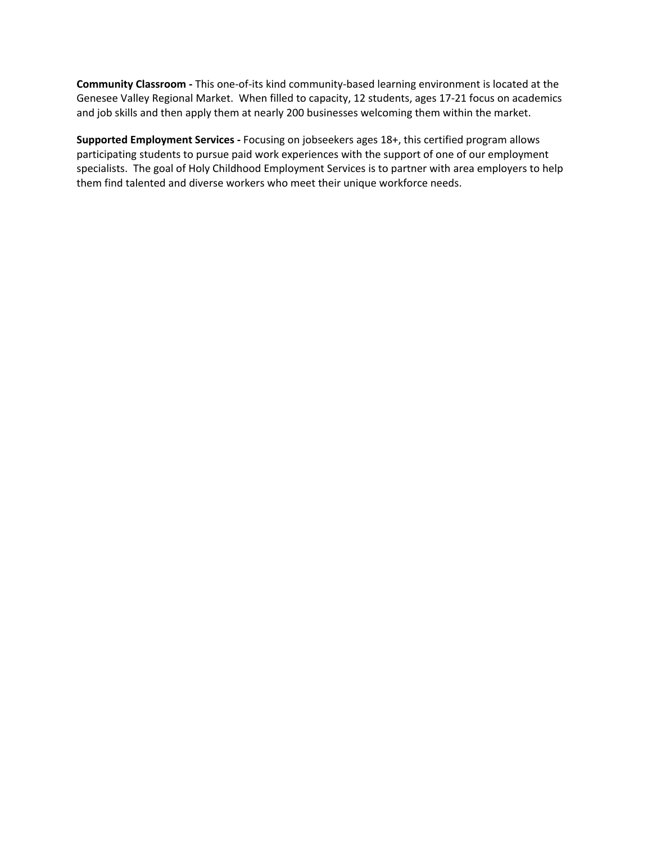**Community Classroom -** This one-of-its kind community-based learning environment is located at the Genesee Valley Regional Market. When filled to capacity, 12 students, ages 17-21 focus on academics and job skills and then apply them at nearly 200 businesses welcoming them within the market.

**Supported Employment Services -** Focusing on jobseekers ages 18+, this certified program allows participating students to pursue paid work experiences with the support of one of our employment specialists. The goal of Holy Childhood Employment Services is to partner with area employers to help them find talented and diverse workers who meet their unique workforce needs.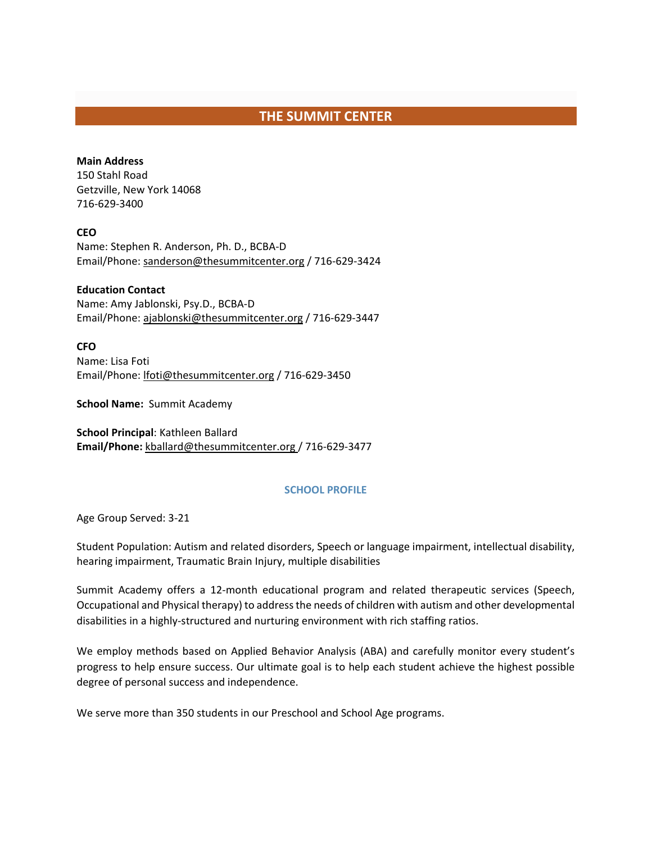# **THE SUMMIT CENTER**

## **Main Address**

150 Stahl Road Getzville, New York 14068 716-629-3400

## **CEO**

Name: Stephen R. Anderson, Ph. D., BCBA-D Email/Phone[: sanderson@thesummitcenter.org](mailto:sanderson@thesummitcenter.org) / 716-629-3424

## **Education Contact**

Name: Amy Jablonski, Psy.D., BCBA-D Email/Phone[: ajablonski@thesummitcenter.org](mailto:ajablonski@thesummitcenter.org) / 716-629-3447

## **CFO**

Name: Lisa Foti Email/Phone[: lfoti@thesummitcenter.org](mailto:lfoti@thesummitcenter.org) / 716-629-3450

**School Name:** Summit Academy

**School Principal**: Kathleen Ballard **Email/Phone:** [kballard@thesummitcenter.org](mailto:kballard@thesummitcenter.org) / 716-629-3477

## **SCHOOL PROFILE**

Age Group Served: 3-21

Student Population: Autism and related disorders, Speech or language impairment, intellectual disability, hearing impairment, Traumatic Brain Injury, multiple disabilities

Summit Academy offers a 12-month educational program and related therapeutic services (Speech, Occupational and Physical therapy) to address the needs of children with autism and other developmental disabilities in a highly-structured and nurturing environment with rich staffing ratios.

We employ methods based on Applied Behavior Analysis (ABA) and carefully monitor every student's progress to help ensure success. Our ultimate goal is to help each student achieve the highest possible degree of personal success and independence.

We serve more than 350 students in our Preschool and School Age programs.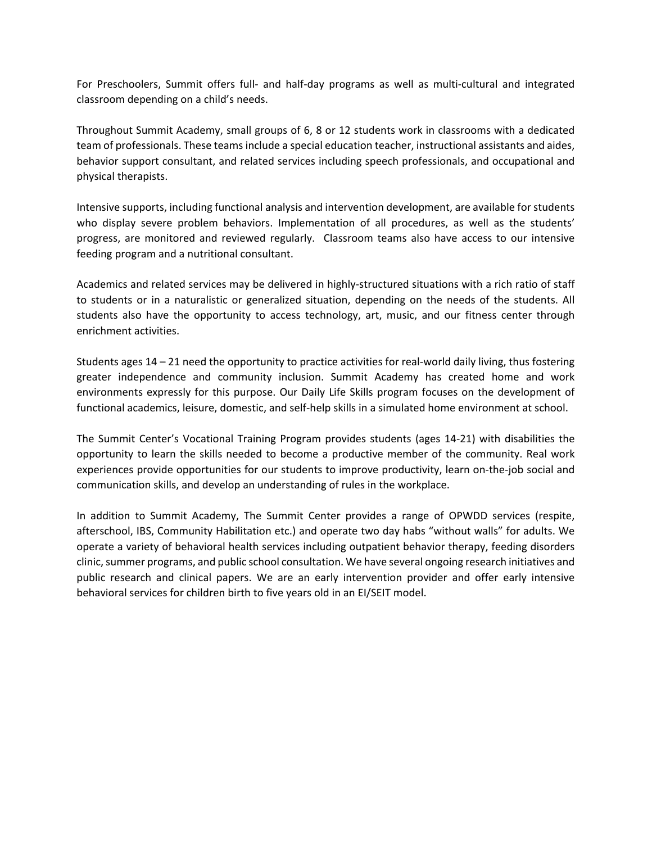For Preschoolers, Summit offers full- and half-day programs as well as multi-cultural and integrated classroom depending on a child's needs.

Throughout Summit Academy, small groups of 6, 8 or 12 students work in classrooms with a dedicated team of professionals. These teams include a special education teacher, instructional assistants and aides, behavior support consultant, and related services including speech professionals, and occupational and physical therapists.

Intensive supports, including functional analysis and intervention development, are available for students who display severe problem behaviors. Implementation of all procedures, as well as the students' progress, are monitored and reviewed regularly. Classroom teams also have access to our intensive feeding program and a nutritional consultant.

Academics and related services may be delivered in highly-structured situations with a rich ratio of staff to students or in a naturalistic or generalized situation, depending on the needs of the students. All students also have the opportunity to access technology, art, music, and our fitness center through enrichment activities.

Students ages 14 – 21 need the opportunity to practice activities for real-world daily living, thus fostering greater independence and community inclusion. Summit Academy has created home and work environments expressly for this purpose. Our Daily Life Skills program focuses on the development of functional academics, leisure, domestic, and self-help skills in a simulated home environment at school.

The Summit Center's Vocational Training Program provides students (ages 14-21) with disabilities the opportunity to learn the skills needed to become a productive member of the community. Real work experiences provide opportunities for our students to improve productivity, learn on-the-job social and communication skills, and develop an understanding of rules in the workplace.

In addition to Summit Academy, The Summit Center provides a range of OPWDD services (respite, afterschool, IBS, Community Habilitation etc.) and operate two day habs "without walls" for adults. We operate a variety of behavioral health services including outpatient behavior therapy, feeding disorders clinic, summer programs, and public school consultation. We have several ongoing research initiatives and public research and clinical papers. We are an early intervention provider and offer early intensive behavioral services for children birth to five years old in an EI/SEIT model.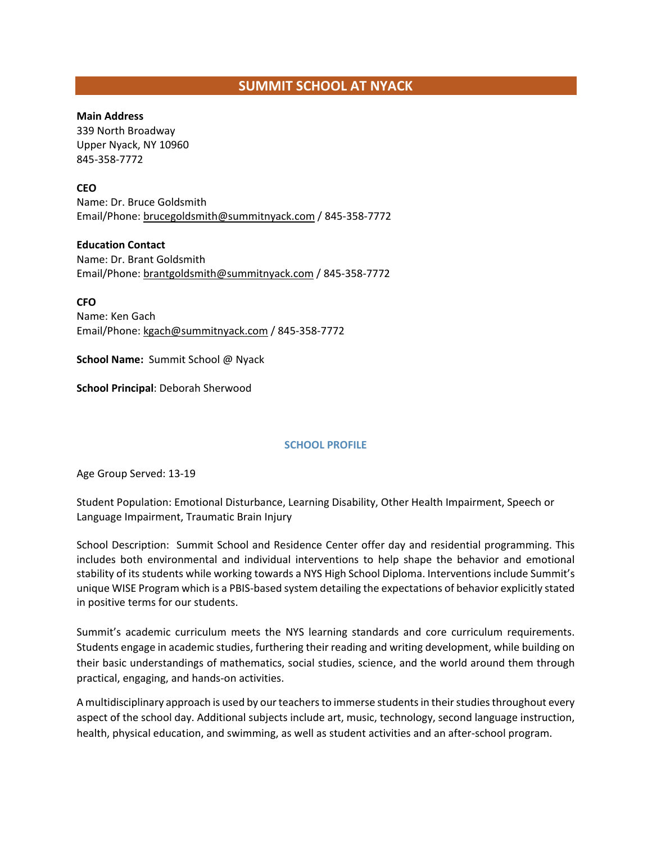# **SUMMIT SCHOOL AT NYACK**

### **Main Address**

339 North Broadway Upper Nyack, NY 10960 845-358-7772

## **CEO**

Name: Dr. Bruce Goldsmith Email/Phone[: brucegoldsmith@summitnyack.com](mailto:brucegoldsmith@summitnyack.com) / 845-358-7772

## **Education Contact**

Name: Dr. Brant Goldsmith Email/Phone[: brantgoldsmith@summitnyack.com](mailto:brantgoldsmith@summitnyack.com) / 845-358-7772

## **CFO**

Name: Ken Gach Email/Phone[: kgach@summitnyack.com](mailto:kgach@summitnyack.com) / 845-358-7772

**School Name:** Summit School @ Nyack

**School Principal**: Deborah Sherwood

## **SCHOOL PROFILE**

Age Group Served: 13-19

Student Population: Emotional Disturbance, Learning Disability, Other Health Impairment, Speech or Language Impairment, Traumatic Brain Injury

School Description: Summit School and Residence Center offer day and residential programming. This includes both environmental and individual interventions to help shape the behavior and emotional stability of its students while working towards a NYS High School Diploma. Interventions include Summit's unique WISE Program which is a PBIS-based system detailing the expectations of behavior explicitly stated in positive terms for our students.

Summit's academic curriculum meets the NYS learning standards and core curriculum requirements. Students engage in academic studies, furthering their reading and writing development, while building on their basic understandings of mathematics, social studies, science, and the world around them through practical, engaging, and hands-on activities.

A multidisciplinary approach is used by our teachers to immerse students in their studies throughout every aspect of the school day. Additional subjects include art, music, technology, second language instruction, health, physical education, and swimming, as well as student activities and an after-school program.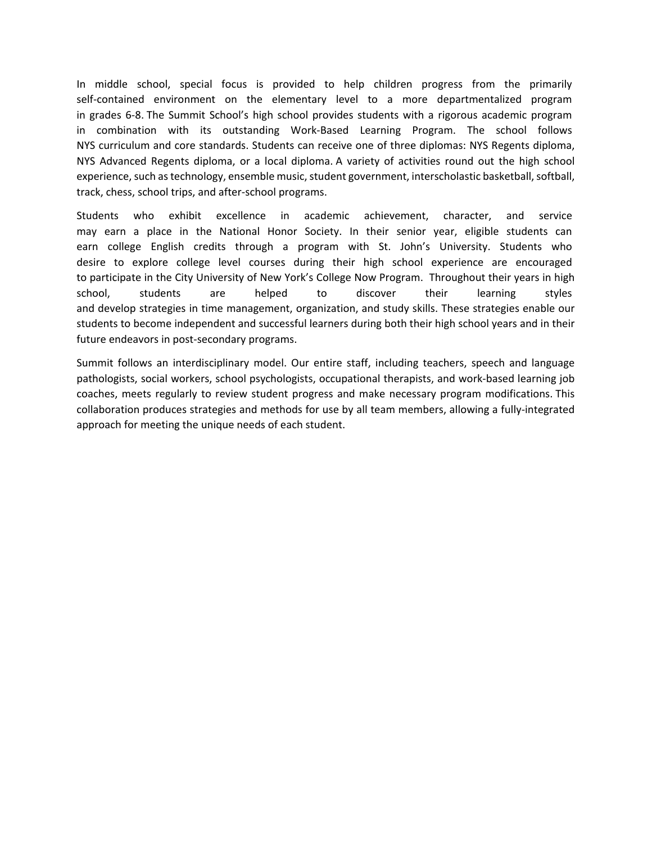In middle school, special focus is provided to help children progress from the primarily self-contained environment on the elementary level to a more departmentalized program in grades 6-8. The Summit School's high school provides students with a rigorous academic program in combination with its outstanding Work-Based Learning Program. The school follows NYS curriculum and core standards. Students can receive one of three diplomas: NYS Regents diploma, NYS Advanced Regents diploma, or a local diploma. A variety of activities round out the high school experience, such as technology, ensemble music, student government, interscholastic basketball, softball, track, chess, school trips, and after-school programs.

Students who exhibit excellence in academic achievement, character, and service may earn a place in the National Honor Society. In their senior year, eligible students can earn college English credits through a program with St. John's University. Students who desire to explore college level courses during their high school experience are encouraged to participate in the City University of New York's College Now Program. Throughout their years in high school, students are helped to discover their learning styles and develop strategies in time management, organization, and study skills. These strategies enable our students to become independent and successful learners during both their high school years and in their future endeavors in post-secondary programs.

Summit follows an interdisciplinary model. Our entire staff, including teachers, speech and language pathologists, social workers, school psychologists, occupational therapists, and work-based learning job coaches, meets regularly to review student progress and make necessary program modifications. This collaboration produces strategies and methods for use by all team members, allowing a fully-integrated approach for meeting the unique needs of each student.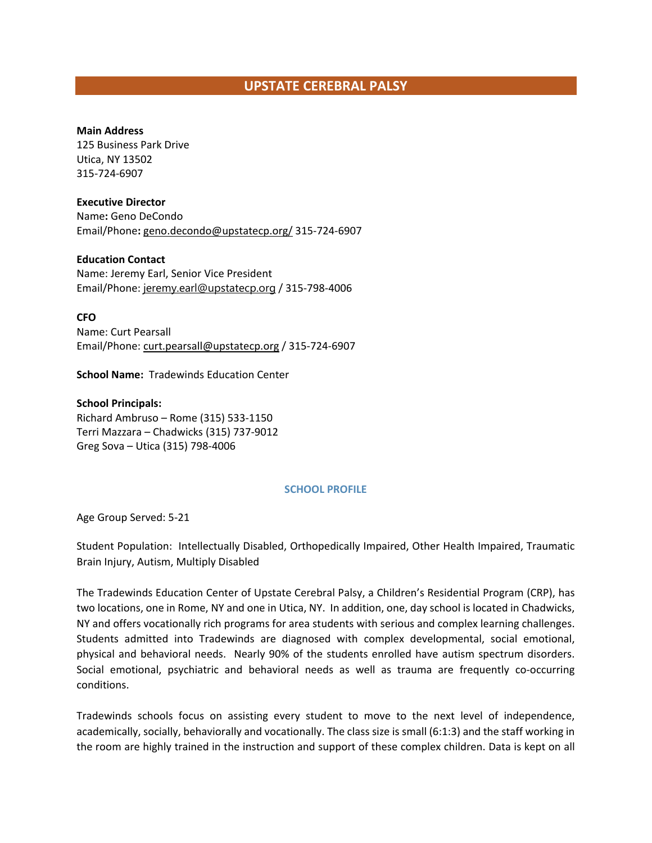## **UPSTATE CEREBRAL PALSY**

#### **Main Address**

125 Business Park Drive Utica, NY 13502 315-724-6907

#### **Executive Director**

Name**:** Geno DeCondo Email/Phone**:** [geno.decondo@upstatecp.org/](mailto:geno.decondo@upstatecp.org/) 315-724-6907

**Education Contact**

Name: Jeremy Earl, Senior Vice President Email/Phone: [jeremy.earl@upstatecp.org](mailto:jeremy.earl@upstatecp.org) / 315-798-4006

**CFO**

Name: Curt Pearsall Email/Phone[: curt.pearsall@upstatecp.org](mailto:curt.pearsall@upstatecp.org) / 315-724-6907

**School Name:** Tradewinds Education Center

**School Principals:**  Richard Ambruso – Rome (315) 533-1150 Terri Mazzara – Chadwicks (315) 737-9012 Greg Sova – Utica (315) 798-4006

## **SCHOOL PROFILE**

Age Group Served: 5-21

Student Population: Intellectually Disabled, Orthopedically Impaired, Other Health Impaired, Traumatic Brain Injury, Autism, Multiply Disabled

The Tradewinds Education Center of Upstate Cerebral Palsy, a Children's Residential Program (CRP), has two locations, one in Rome, NY and one in Utica, NY. In addition, one, day school is located in Chadwicks, NY and offers vocationally rich programs for area students with serious and complex learning challenges. Students admitted into Tradewinds are diagnosed with complex developmental, social emotional, physical and behavioral needs. Nearly 90% of the students enrolled have autism spectrum disorders. Social emotional, psychiatric and behavioral needs as well as trauma are frequently co-occurring conditions.

Tradewinds schools focus on assisting every student to move to the next level of independence, academically, socially, behaviorally and vocationally. The class size is small (6:1:3) and the staff working in the room are highly trained in the instruction and support of these complex children. Data is kept on all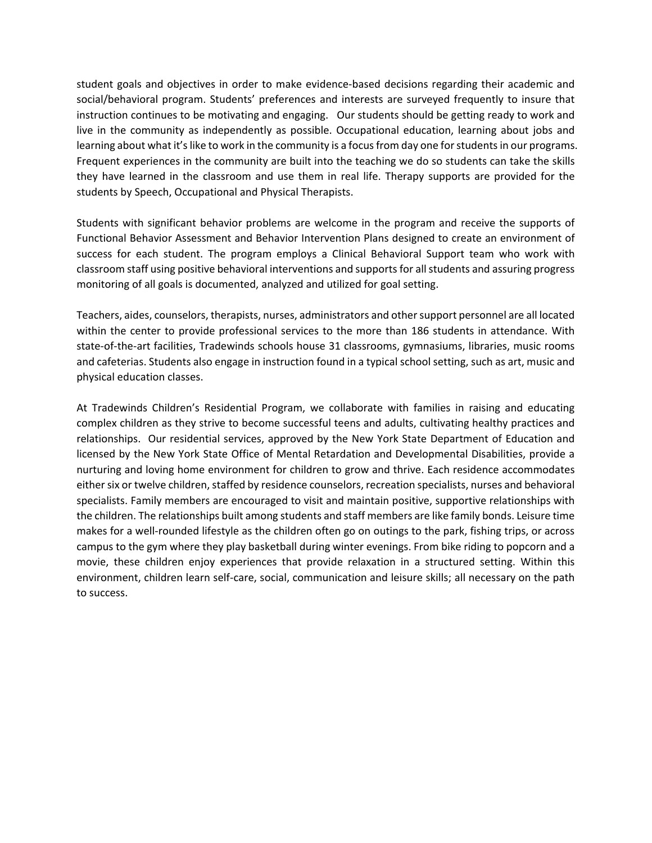student goals and objectives in order to make evidence-based decisions regarding their academic and social/behavioral program. Students' preferences and interests are surveyed frequently to insure that instruction continues to be motivating and engaging. Our students should be getting ready to work and live in the community as independently as possible. Occupational education, learning about jobs and learning about what it's like to work in the community is a focus from day one for students in our programs. Frequent experiences in the community are built into the teaching we do so students can take the skills they have learned in the classroom and use them in real life. Therapy supports are provided for the students by Speech, Occupational and Physical Therapists.

Students with significant behavior problems are welcome in the program and receive the supports of Functional Behavior Assessment and Behavior Intervention Plans designed to create an environment of success for each student. The program employs a Clinical Behavioral Support team who work with classroom staff using positive behavioral interventions and supports for all students and assuring progress monitoring of all goals is documented, analyzed and utilized for goal setting.

Teachers, aides, counselors, therapists, nurses, administrators and other support personnel are all located within the center to provide professional services to the more than 186 students in attendance. With state-of-the-art facilities, Tradewinds schools house 31 classrooms, gymnasiums, libraries, music rooms and cafeterias. Students also engage in instruction found in a typical school setting, such as art, music and physical education classes.

At Tradewinds Children's Residential Program, we collaborate with families in raising and educating complex children as they strive to become successful teens and adults, cultivating healthy practices and relationships. Our residential services, approved by the New York State Department of Education and licensed by the New York State Office of Mental Retardation and Developmental Disabilities, provide a nurturing and loving home environment for children to grow and thrive. Each residence accommodates either six or twelve children, staffed by residence counselors, recreation specialists, nurses and behavioral specialists. Family members are encouraged to visit and maintain positive, supportive relationships with the children. The relationships built among students and staff members are like family bonds. Leisure time makes for a well-rounded lifestyle as the children often go on outings to the park, fishing trips, or across campus to the gym where they play basketball during winter evenings. From bike riding to popcorn and a movie, these children enjoy experiences that provide relaxation in a structured setting. Within this environment, children learn self-care, social, communication and leisure skills; all necessary on the path to success.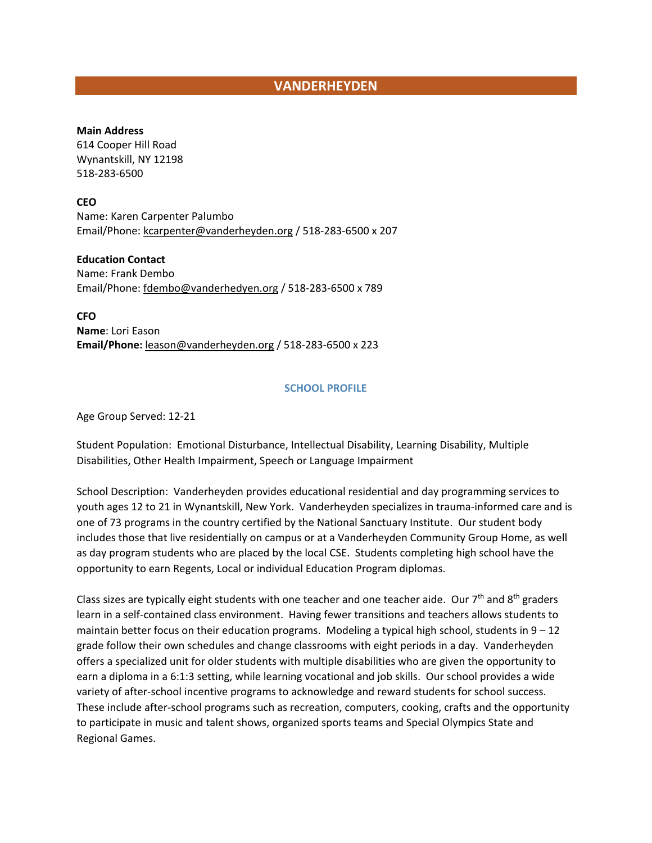## **VANDERHEYDEN**

#### **Main Address**

614 Cooper Hill Road Wynantskill, NY 12198 518-283-6500

**CEO**

Name: Karen Carpenter Palumbo Email/Phone[: kcarpenter@vanderheyden.org](mailto:kcarpenter@vanderheyden.org) / 518-283-6500 x 207

**Education Contact** Name: Frank Dembo Email/Phone[: fdembo@vanderhedyen.org](mailto:fdembo@vanderhedyen.org) / 518-283-6500 x 789

**CFO Name**: Lori Eason **Email/Phone:** [leason@vanderheyden.org](mailto:leason@vanderheyden.org) / 518-283-6500 x 223

### **SCHOOL PROFILE**

Age Group Served: 12-21

Student Population: Emotional Disturbance, Intellectual Disability, Learning Disability, Multiple Disabilities, Other Health Impairment, Speech or Language Impairment

School Description: Vanderheyden provides educational residential and day programming services to youth ages 12 to 21 in Wynantskill, New York. Vanderheyden specializes in trauma-informed care and is one of 73 programs in the country certified by the National Sanctuary Institute. Our student body includes those that live residentially on campus or at a Vanderheyden Community Group Home, as well as day program students who are placed by the local CSE. Students completing high school have the opportunity to earn Regents, Local or individual Education Program diplomas.

Class sizes are typically eight students with one teacher and one teacher aide. Our 7<sup>th</sup> and 8<sup>th</sup> graders learn in a self-contained class environment. Having fewer transitions and teachers allows students to maintain better focus on their education programs. Modeling a typical high school, students in  $9 - 12$ grade follow their own schedules and change classrooms with eight periods in a day. Vanderheyden offers a specialized unit for older students with multiple disabilities who are given the opportunity to earn a diploma in a 6:1:3 setting, while learning vocational and job skills. Our school provides a wide variety of after-school incentive programs to acknowledge and reward students for school success. These include after-school programs such as recreation, computers, cooking, crafts and the opportunity to participate in music and talent shows, organized sports teams and Special Olympics State and Regional Games.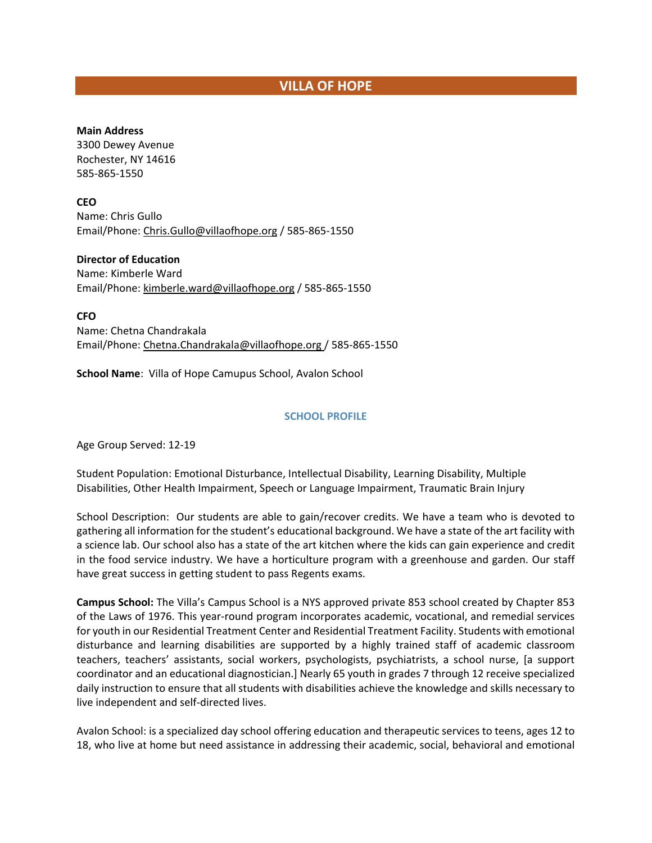# **VILLA OF HOPE**

#### **Main Address**

3300 Dewey Avenue Rochester, NY 14616 585-865-1550

**CEO**

Name: Chris Gullo Email/Phone[: Chris.Gullo@villaofhope.org](mailto:Chris.Gullo@villaofhope.org) / 585-865-1550

### **Director of Education**

Name: Kimberle Ward Email/Phone[: kimberle.ward@villaofhope.org](file://DCFS01/USERS/dmcleod/853%20Coalition/Member%20Lists/kimberle.ward@villaofhope.org%20) / 585-865-1550

**CFO** Name: Chetna Chandrakala Email/Phone: [Chetna.Chandrakala@villaofhope.org](mailto:Chetna.Chandrakala@villaofhope.org) / 585-865-1550

**School Name**: Villa of Hope Camupus School, Avalon School

## **SCHOOL PROFILE**

Age Group Served: 12-19

Student Population: Emotional Disturbance, Intellectual Disability, Learning Disability, Multiple Disabilities, Other Health Impairment, Speech or Language Impairment, Traumatic Brain Injury

School Description: Our students are able to gain/recover credits. We have a team who is devoted to gathering all information for the student's educational background. We have a state of the art facility with a science lab. Our school also has a state of the art kitchen where the kids can gain experience and credit in the food service industry. We have a horticulture program with a greenhouse and garden. Our staff have great success in getting student to pass Regents exams.

**Campus School:** The Villa's Campus School is a NYS approved private 853 school created by Chapter 853 of the Laws of 1976. This year-round program incorporates academic, vocational, and remedial services for youth in our Residential Treatment Center and Residential Treatment Facility. Students with emotional disturbance and learning disabilities are supported by a highly trained staff of academic classroom teachers, teachers' assistants, social workers, psychologists, psychiatrists, a school nurse, [a support coordinator and an educational diagnostician.] Nearly 65 youth in grades 7 through 12 receive specialized daily instruction to ensure that all students with disabilities achieve the knowledge and skills necessary to live independent and self-directed lives.

Avalon [School:](http://www.villaofhope.org/Home/AvalonSchool.aspx) is a specialized day school offering education and therapeutic services to teens, ages 12 to 18, who live at home but need assistance in addressing their academic, social, behavioral and emotional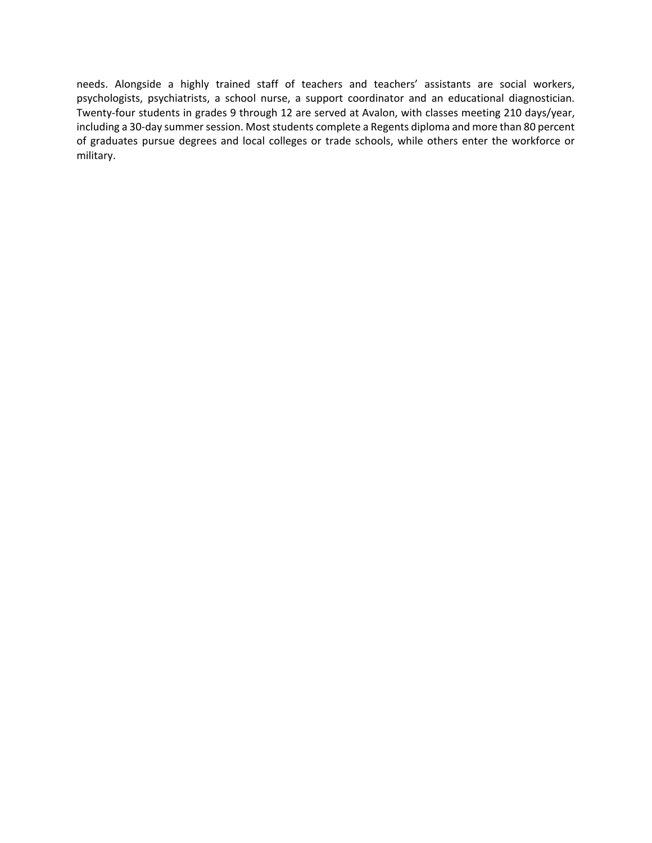needs. Alongside a highly trained staff of teachers and teachers' assistants are social workers, psychologists, psychiatrists, a school nurse, a support coordinator and an educational diagnostician. Twenty-four students in grades 9 through 12 are served at Avalon, with classes meeting 210 days/year, including a 30-day summer session. Most students complete a Regents diploma and more than 80 percent of graduates pursue degrees and local colleges or trade schools, while others enter the workforce or military.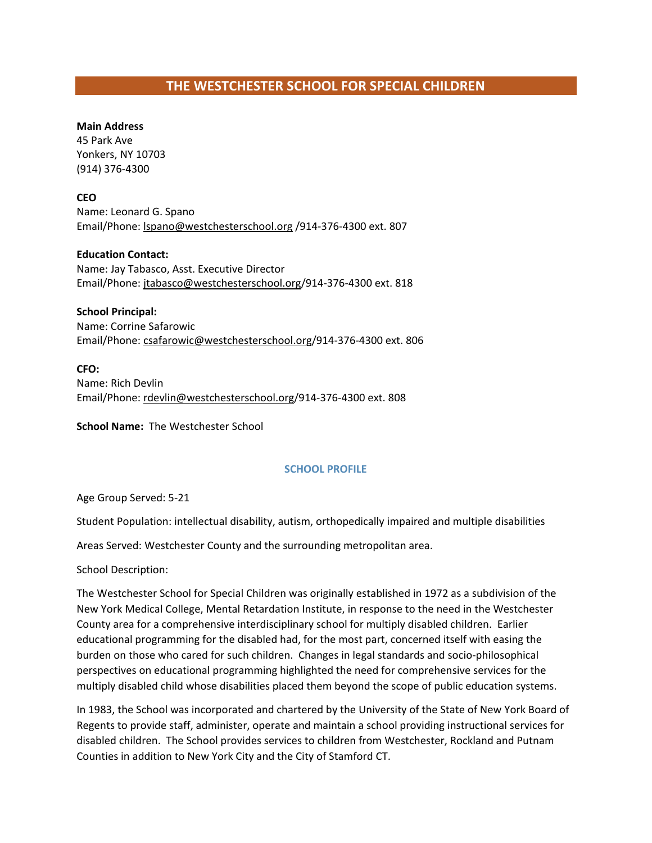# **THE WESTCHESTER SCHOOL FOR SPECIAL CHILDREN**

#### **Main Address**

45 Park Ave Yonkers, NY 10703 (914) 376-4300

**CEO**

Name: Leonard G. Spano Email/Phone[: lspano@westchesterschool.org](mailto:lspano@westchesterschool.org) /914-376-4300 ext. 807

**Education Contact:** Name: Jay Tabasco, Asst. Executive Director Email/Phone: [jtabasco@westchesterschool.org/](mailto:jtabasco@westchesterschool.org)914-376-4300 ext. 818

**School Principal:** Name: Corrine Safarowic Email/Phone[: csafarowic@westchesterschool.org/](mailto:csafarowic@westchesterschool.org)914-376-4300 ext. 806

**CFO:** Name: Rich Devlin Email/Phone: [rdevlin@westchesterschool.org/](mailto:rdevlin@westchesterschool.org)914-376-4300 ext. 808

**School Name:** The Westchester School

## **SCHOOL PROFILE**

Age Group Served: 5-21

Student Population: intellectual disability, autism, orthopedically impaired and multiple disabilities

Areas Served: Westchester County and the surrounding metropolitan area.

School Description:

The Westchester School for Special Children was originally established in 1972 as a subdivision of the New York Medical College, Mental Retardation Institute, in response to the need in the Westchester County area for a comprehensive interdisciplinary school for multiply disabled children. Earlier educational programming for the disabled had, for the most part, concerned itself with easing the burden on those who cared for such children. Changes in legal standards and socio-philosophical perspectives on educational programming highlighted the need for comprehensive services for the multiply disabled child whose disabilities placed them beyond the scope of public education systems.

In 1983, the School was incorporated and chartered by the University of the State of New York Board of Regents to provide staff, administer, operate and maintain a school providing instructional services for disabled children. The School provides services to children from Westchester, Rockland and Putnam Counties in addition to New York City and the City of Stamford CT.